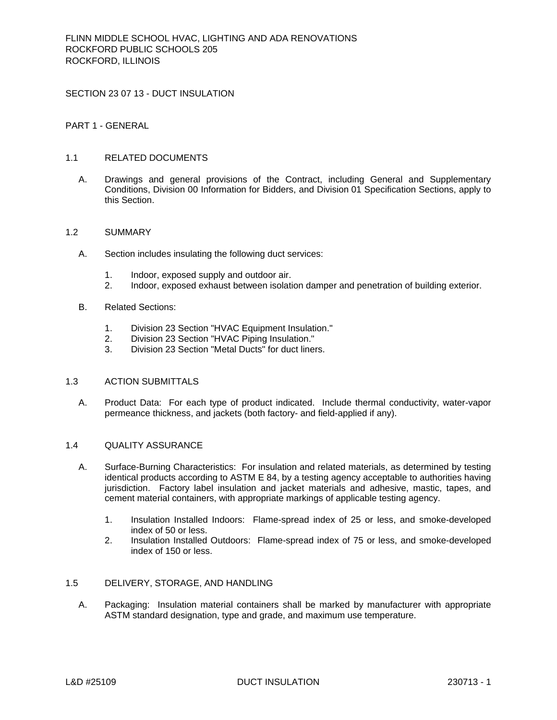SECTION 23 07 13 - DUCT INSULATION

# PART 1 - GENERAL

## 1.1 RELATED DOCUMENTS

A. Drawings and general provisions of the Contract, including General and Supplementary Conditions, Division 00 Information for Bidders, and Division 01 Specification Sections, apply to this Section.

#### 1.2 SUMMARY

- A. Section includes insulating the following duct services:
	- 1. Indoor, exposed supply and outdoor air.
	- 2. Indoor, exposed exhaust between isolation damper and penetration of building exterior.
- B. Related Sections:
	- 1. Division 23 Section "HVAC Equipment Insulation."
	- 2. Division 23 Section "HVAC Piping Insulation."
	- 3. Division 23 Section "Metal Ducts" for duct liners.

## 1.3 ACTION SUBMITTALS

A. Product Data: For each type of product indicated. Include thermal conductivity, water-vapor permeance thickness, and jackets (both factory- and field-applied if any).

## 1.4 QUALITY ASSURANCE

- A. Surface-Burning Characteristics: For insulation and related materials, as determined by testing identical products according to ASTM E 84, by a testing agency acceptable to authorities having jurisdiction. Factory label insulation and jacket materials and adhesive, mastic, tapes, and cement material containers, with appropriate markings of applicable testing agency.
	- 1. Insulation Installed Indoors: Flame-spread index of 25 or less, and smoke-developed index of 50 or less.
	- 2. Insulation Installed Outdoors: Flame-spread index of 75 or less, and smoke-developed index of 150 or less.

#### 1.5 DELIVERY, STORAGE, AND HANDLING

A. Packaging: Insulation material containers shall be marked by manufacturer with appropriate ASTM standard designation, type and grade, and maximum use temperature.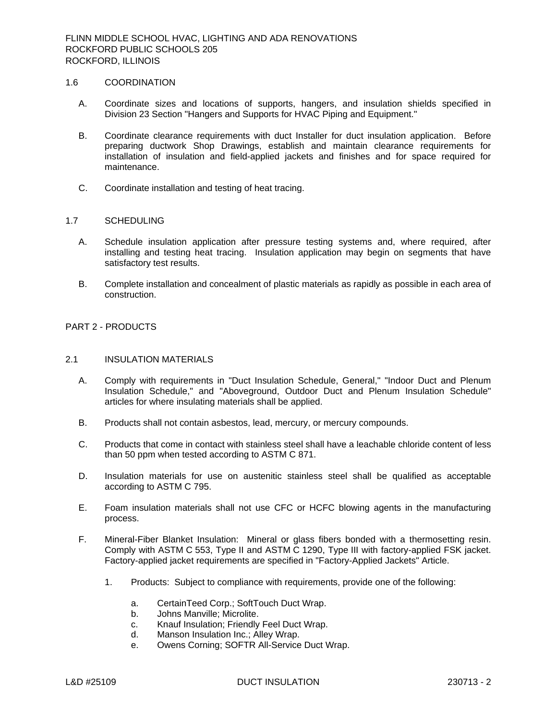#### 1.6 COORDINATION

- A. Coordinate sizes and locations of supports, hangers, and insulation shields specified in Division 23 Section "Hangers and Supports for HVAC Piping and Equipment."
- B. Coordinate clearance requirements with duct Installer for duct insulation application. Before preparing ductwork Shop Drawings, establish and maintain clearance requirements for installation of insulation and field-applied jackets and finishes and for space required for maintenance.
- C. Coordinate installation and testing of heat tracing.

## 1.7 SCHEDULING

- A. Schedule insulation application after pressure testing systems and, where required, after installing and testing heat tracing. Insulation application may begin on segments that have satisfactory test results.
- B. Complete installation and concealment of plastic materials as rapidly as possible in each area of construction.

## PART 2 - PRODUCTS

# 2.1 INSULATION MATERIALS

- A. Comply with requirements in "Duct Insulation Schedule, General," "Indoor Duct and Plenum Insulation Schedule," and "Aboveground, Outdoor Duct and Plenum Insulation Schedule" articles for where insulating materials shall be applied.
- B. Products shall not contain asbestos, lead, mercury, or mercury compounds.
- C. Products that come in contact with stainless steel shall have a leachable chloride content of less than 50 ppm when tested according to ASTM C 871.
- D. Insulation materials for use on austenitic stainless steel shall be qualified as acceptable according to ASTM C 795.
- E. Foam insulation materials shall not use CFC or HCFC blowing agents in the manufacturing process.
- F. Mineral-Fiber Blanket Insulation: Mineral or glass fibers bonded with a thermosetting resin. Comply with ASTM C 553, Type II and ASTM C 1290, Type III with factory-applied FSK jacket. Factory-applied jacket requirements are specified in "Factory-Applied Jackets" Article.
	- 1. Products: Subject to compliance with requirements, provide one of the following:
		- a. CertainTeed Corp.; SoftTouch Duct Wrap.
		- b. Johns Manville; Microlite.
		- c. Knauf Insulation; Friendly Feel Duct Wrap.
		- d. Manson Insulation Inc.; Alley Wrap.
		- e. Owens Corning; SOFTR All-Service Duct Wrap.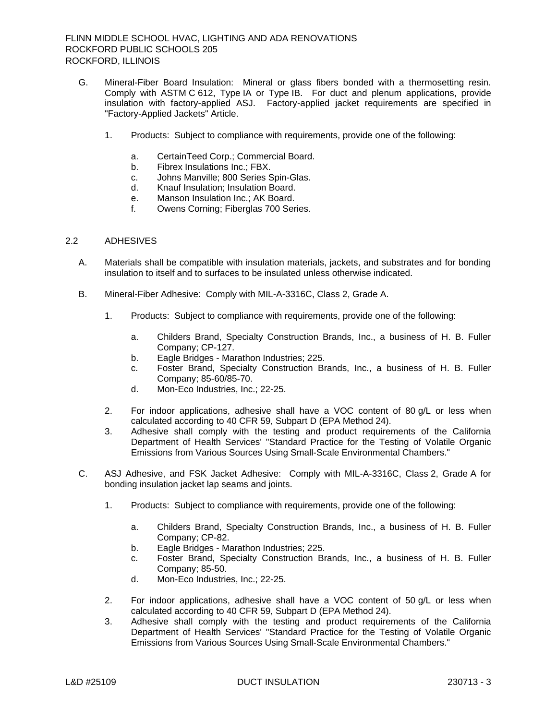- G. Mineral-Fiber Board Insulation: Mineral or glass fibers bonded with a thermosetting resin. Comply with ASTM C 612, Type IA or Type IB. For duct and plenum applications, provide insulation with factory-applied ASJ. Factory-applied jacket requirements are specified in "Factory-Applied Jackets" Article.
	- 1. Products: Subject to compliance with requirements, provide one of the following:
		- a. CertainTeed Corp.; Commercial Board.
		- b. Fibrex Insulations Inc.; FBX.
		- c. Johns Manville; 800 Series Spin-Glas.
		- d. Knauf Insulation; Insulation Board.
		- e. Manson Insulation Inc.; AK Board.
		- f. Owens Corning; Fiberglas 700 Series.

# 2.2 ADHESIVES

- A. Materials shall be compatible with insulation materials, jackets, and substrates and for bonding insulation to itself and to surfaces to be insulated unless otherwise indicated.
- B. Mineral-Fiber Adhesive: Comply with MIL-A-3316C, Class 2, Grade A.
	- 1. Products: Subject to compliance with requirements, provide one of the following:
		- a. Childers Brand, Specialty Construction Brands, Inc., a business of H. B. Fuller Company; CP-127.
		- b. Eagle Bridges Marathon Industries; 225.
		- c. Foster Brand, Specialty Construction Brands, Inc., a business of H. B. Fuller Company; 85-60/85-70.
		- d. Mon-Eco Industries, Inc.; 22-25.
	- 2. For indoor applications, adhesive shall have a VOC content of 80 g/L or less when calculated according to 40 CFR 59, Subpart D (EPA Method 24).
	- 3. Adhesive shall comply with the testing and product requirements of the California Department of Health Services' "Standard Practice for the Testing of Volatile Organic Emissions from Various Sources Using Small-Scale Environmental Chambers."
- C. ASJ Adhesive, and FSK Jacket Adhesive: Comply with MIL-A-3316C, Class 2, Grade A for bonding insulation jacket lap seams and joints.
	- 1. Products: Subject to compliance with requirements, provide one of the following:
		- a. Childers Brand, Specialty Construction Brands, Inc., a business of H. B. Fuller Company; CP-82.
		- b. Eagle Bridges Marathon Industries; 225.
		- c. Foster Brand, Specialty Construction Brands, Inc., a business of H. B. Fuller Company; 85-50.
		- d. Mon-Eco Industries, Inc.; 22-25.
	- 2. For indoor applications, adhesive shall have a VOC content of 50 g/L or less when calculated according to 40 CFR 59, Subpart D (EPA Method 24).
	- 3. Adhesive shall comply with the testing and product requirements of the California Department of Health Services' "Standard Practice for the Testing of Volatile Organic Emissions from Various Sources Using Small-Scale Environmental Chambers."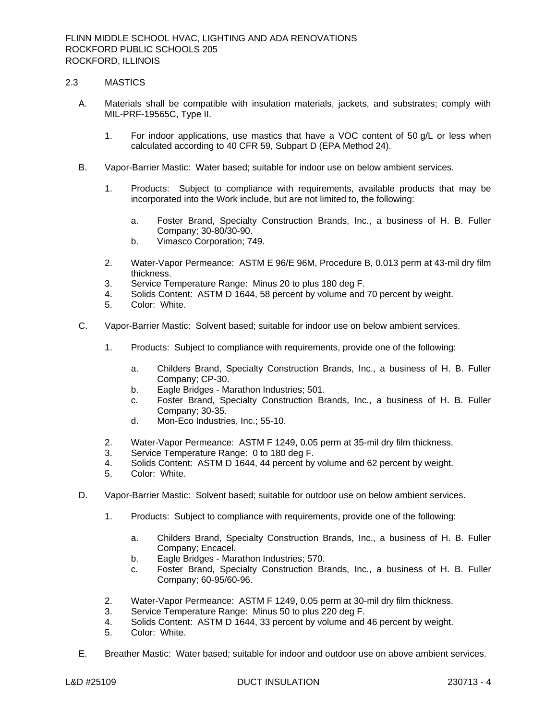## 2.3 MASTICS

- A. Materials shall be compatible with insulation materials, jackets, and substrates; comply with MIL-PRF-19565C, Type II.
	- 1. For indoor applications, use mastics that have a VOC content of 50 g/L or less when calculated according to 40 CFR 59, Subpart D (EPA Method 24).
- B. Vapor-Barrier Mastic: Water based; suitable for indoor use on below ambient services.
	- 1. Products: Subject to compliance with requirements, available products that may be incorporated into the Work include, but are not limited to, the following:
		- a. Foster Brand, Specialty Construction Brands, Inc., a business of H. B. Fuller Company; 30-80/30-90.
		- b. Vimasco Corporation; 749.
	- 2. Water-Vapor Permeance: ASTM E 96/E 96M, Procedure B, 0.013 perm at 43-mil dry film thickness.
	- 3. Service Temperature Range: Minus 20 to plus 180 deg F.
	- 4. Solids Content: ASTM D 1644, 58 percent by volume and 70 percent by weight.
	- 5. Color: White.
- C. Vapor-Barrier Mastic: Solvent based; suitable for indoor use on below ambient services.
	- 1. Products: Subject to compliance with requirements, provide one of the following:
		- a. Childers Brand, Specialty Construction Brands, Inc., a business of H. B. Fuller Company; CP-30.
		- b. Eagle Bridges Marathon Industries; 501.
		- c. Foster Brand, Specialty Construction Brands, Inc., a business of H. B. Fuller Company; 30-35.
		- d. Mon-Eco Industries, Inc.; 55-10.
	- 2. Water-Vapor Permeance: ASTM F 1249, 0.05 perm at 35-mil dry film thickness.
	- 3. Service Temperature Range: 0 to 180 deg F.
	- 4. Solids Content: ASTM D 1644, 44 percent by volume and 62 percent by weight.
	- 5. Color: White.
- D. Vapor-Barrier Mastic: Solvent based; suitable for outdoor use on below ambient services.
	- 1. Products: Subject to compliance with requirements, provide one of the following:
		- a. Childers Brand, Specialty Construction Brands, Inc., a business of H. B. Fuller Company; Encacel.
		- b. Eagle Bridges Marathon Industries; 570.
		- c. Foster Brand, Specialty Construction Brands, Inc., a business of H. B. Fuller Company; 60-95/60-96.
	- 2. Water-Vapor Permeance: ASTM F 1249, 0.05 perm at 30-mil dry film thickness.
	- 3. Service Temperature Range: Minus 50 to plus 220 deg F.
	- 4. Solids Content: ASTM D 1644, 33 percent by volume and 46 percent by weight.
	- 5. Color: White.
- E. Breather Mastic: Water based; suitable for indoor and outdoor use on above ambient services.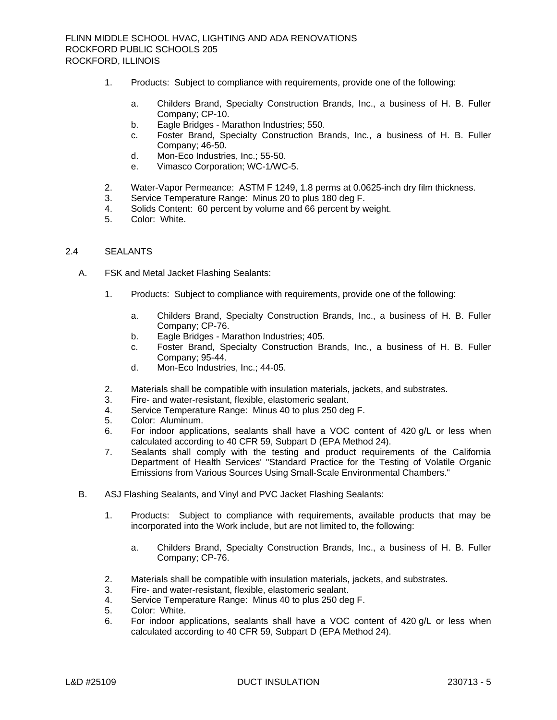- 1. Products: Subject to compliance with requirements, provide one of the following:
	- a. Childers Brand, Specialty Construction Brands, Inc., a business of H. B. Fuller Company; CP-10.
	- b. Eagle Bridges Marathon Industries; 550.
	- c. Foster Brand, Specialty Construction Brands, Inc., a business of H. B. Fuller Company; 46-50.
	- d. Mon-Eco Industries, Inc.; 55-50.
	- e. Vimasco Corporation; WC-1/WC-5.
- 2. Water-Vapor Permeance: ASTM F 1249, 1.8 perms at 0.0625-inch dry film thickness.
- 3. Service Temperature Range: Minus 20 to plus 180 deg F.
- 4. Solids Content: 60 percent by volume and 66 percent by weight.
- 5. Color: White.

# 2.4 SEALANTS

- A. FSK and Metal Jacket Flashing Sealants:
	- 1. Products: Subject to compliance with requirements, provide one of the following:
		- a. Childers Brand, Specialty Construction Brands, Inc., a business of H. B. Fuller Company; CP-76.
		- b. Eagle Bridges Marathon Industries; 405.
		- c. Foster Brand, Specialty Construction Brands, Inc., a business of H. B. Fuller Company; 95-44.
		- d. Mon-Eco Industries, Inc.; 44-05.
	- 2. Materials shall be compatible with insulation materials, jackets, and substrates.
	- 3. Fire- and water-resistant, flexible, elastomeric sealant.
	- 4. Service Temperature Range: Minus 40 to plus 250 deg F.
	- 5. Color: Aluminum.
	- 6. For indoor applications, sealants shall have a VOC content of 420 g/L or less when calculated according to 40 CFR 59, Subpart D (EPA Method 24).
	- 7. Sealants shall comply with the testing and product requirements of the California Department of Health Services' "Standard Practice for the Testing of Volatile Organic Emissions from Various Sources Using Small-Scale Environmental Chambers."
- B. ASJ Flashing Sealants, and Vinyl and PVC Jacket Flashing Sealants:
	- 1. Products: Subject to compliance with requirements, available products that may be incorporated into the Work include, but are not limited to, the following:
		- a. Childers Brand, Specialty Construction Brands, Inc., a business of H. B. Fuller Company; CP-76.
	- 2. Materials shall be compatible with insulation materials, jackets, and substrates.
	- 3. Fire- and water-resistant, flexible, elastomeric sealant.
	- 4. Service Temperature Range: Minus 40 to plus 250 deg F.
	- 5. Color: White.
	- 6. For indoor applications, sealants shall have a VOC content of 420 g/L or less when calculated according to 40 CFR 59, Subpart D (EPA Method 24).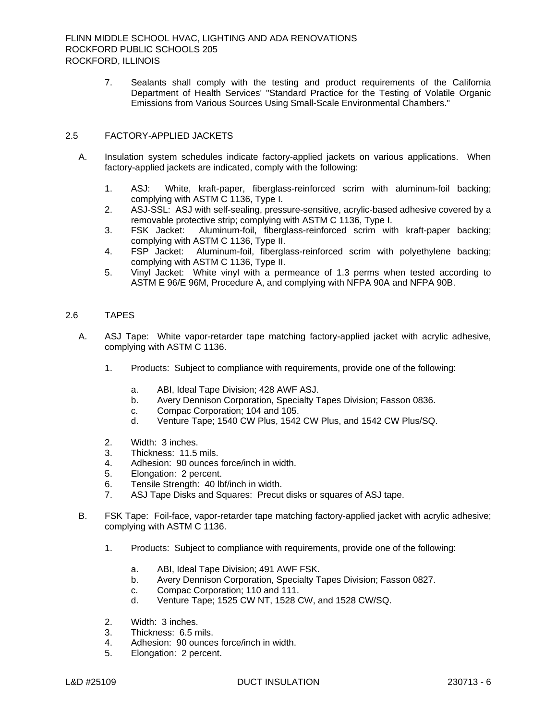7. Sealants shall comply with the testing and product requirements of the California Department of Health Services' "Standard Practice for the Testing of Volatile Organic Emissions from Various Sources Using Small-Scale Environmental Chambers."

# 2.5 FACTORY-APPLIED JACKETS

- A. Insulation system schedules indicate factory-applied jackets on various applications. When factory-applied jackets are indicated, comply with the following:
	- 1. ASJ: White, kraft-paper, fiberglass-reinforced scrim with aluminum-foil backing; complying with ASTM C 1136, Type I.
	- 2. ASJ-SSL: ASJ with self-sealing, pressure-sensitive, acrylic-based adhesive covered by a removable protective strip; complying with ASTM C 1136, Type I.
	- 3. FSK Jacket: Aluminum-foil, fiberglass-reinforced scrim with kraft-paper backing; complying with ASTM C 1136, Type II.
	- 4. FSP Jacket: Aluminum-foil, fiberglass-reinforced scrim with polyethylene backing; complying with ASTM C 1136, Type II.
	- 5. Vinyl Jacket: White vinyl with a permeance of 1.3 perms when tested according to ASTM E 96/E 96M, Procedure A, and complying with NFPA 90A and NFPA 90B.

# 2.6 TAPES

- A. ASJ Tape: White vapor-retarder tape matching factory-applied jacket with acrylic adhesive, complying with ASTM C 1136.
	- 1. Products: Subject to compliance with requirements, provide one of the following:
		- a. ABI, Ideal Tape Division; 428 AWF ASJ.
		- b. Avery Dennison Corporation, Specialty Tapes Division; Fasson 0836.
		- c. Compac Corporation; 104 and 105.
		- d. Venture Tape; 1540 CW Plus, 1542 CW Plus, and 1542 CW Plus/SQ.
	- 2. Width: 3 inches.
	- 3. Thickness: 11.5 mils.
	- 4. Adhesion: 90 ounces force/inch in width.
	- 5. Elongation: 2 percent.
	- 6. Tensile Strength: 40 lbf/inch in width.
	- 7. ASJ Tape Disks and Squares: Precut disks or squares of ASJ tape.
- B. FSK Tape: Foil-face, vapor-retarder tape matching factory-applied jacket with acrylic adhesive; complying with ASTM C 1136.
	- 1. Products: Subject to compliance with requirements, provide one of the following:
		- a. ABI, Ideal Tape Division; 491 AWF FSK.
		- b. Avery Dennison Corporation, Specialty Tapes Division; Fasson 0827.
		- c. Compac Corporation; 110 and 111.
		- d. Venture Tape; 1525 CW NT, 1528 CW, and 1528 CW/SQ.
	- 2. Width: 3 inches.
	- 3. Thickness: 6.5 mils.
	- 4. Adhesion: 90 ounces force/inch in width.
	- 5. Elongation: 2 percent.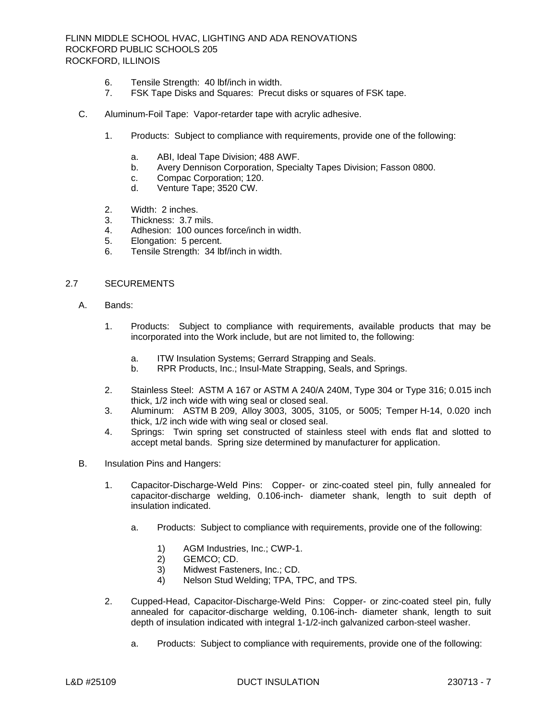FLINN MIDDLE SCHOOL HVAC, LIGHTING AND ADA RENOVATIONS ROCKFORD PUBLIC SCHOOLS 205 ROCKFORD, ILLINOIS

- 6. Tensile Strength: 40 lbf/inch in width.
- 7. FSK Tape Disks and Squares: Precut disks or squares of FSK tape.
- C. Aluminum-Foil Tape: Vapor-retarder tape with acrylic adhesive.
	- 1. Products: Subject to compliance with requirements, provide one of the following:
		- a. ABI, Ideal Tape Division; 488 AWF.
		- b. Avery Dennison Corporation, Specialty Tapes Division; Fasson 0800.
		- c. Compac Corporation; 120.
		- d. Venture Tape; 3520 CW.
	- 2. Width: 2 inches.
	- 3. Thickness: 3.7 mils.
	- 4. Adhesion: 100 ounces force/inch in width.
	- 5. Elongation: 5 percent.
	- 6. Tensile Strength: 34 lbf/inch in width.

# 2.7 SECUREMENTS

- A. Bands:
	- 1. Products: Subject to compliance with requirements, available products that may be incorporated into the Work include, but are not limited to, the following:
		- a. ITW Insulation Systems; Gerrard Strapping and Seals.
		- b. RPR Products, Inc.; Insul-Mate Strapping, Seals, and Springs.
	- 2. Stainless Steel: ASTM A 167 or ASTM A 240/A 240M, Type 304 or Type 316; 0.015 inch thick, 1/2 inch wide with wing seal or closed seal.
	- 3. Aluminum: ASTM B 209, Alloy 3003, 3005, 3105, or 5005; Temper H-14, 0.020 inch thick, 1/2 inch wide with wing seal or closed seal.
	- 4. Springs: Twin spring set constructed of stainless steel with ends flat and slotted to accept metal bands. Spring size determined by manufacturer for application.
- B. Insulation Pins and Hangers:
	- 1. Capacitor-Discharge-Weld Pins: Copper- or zinc-coated steel pin, fully annealed for capacitor-discharge welding, 0.106-inch- diameter shank, length to suit depth of insulation indicated.
		- a. Products: Subject to compliance with requirements, provide one of the following:
			- 1) AGM Industries, Inc.; CWP-1.
			- 2) GEMCO; CD.
			- 3) Midwest Fasteners, Inc.; CD.<br>4) Nelson Stud Welding: TPA. T
			- Nelson Stud Welding; TPA, TPC, and TPS.
	- 2. Cupped-Head, Capacitor-Discharge-Weld Pins: Copper- or zinc-coated steel pin, fully annealed for capacitor-discharge welding, 0.106-inch- diameter shank, length to suit depth of insulation indicated with integral 1-1/2-inch galvanized carbon-steel washer.
		- a. Products: Subject to compliance with requirements, provide one of the following: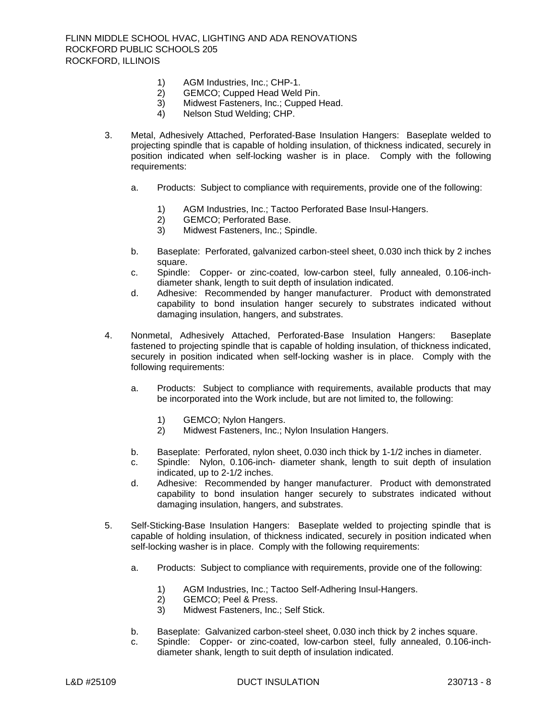- 1) AGM Industries, Inc.; CHP-1.<br>2) GEMCO: Cupped Head Weld
- GEMCO; Cupped Head Weld Pin.
- 3) Midwest Fasteners, Inc.; Cupped Head.
- 4) Nelson Stud Welding; CHP.
- 3. Metal, Adhesively Attached, Perforated-Base Insulation Hangers: Baseplate welded to projecting spindle that is capable of holding insulation, of thickness indicated, securely in position indicated when self-locking washer is in place. Comply with the following requirements:
	- a. Products: Subject to compliance with requirements, provide one of the following:
		- 1) AGM Industries, Inc.; Tactoo Perforated Base Insul-Hangers.<br>2) GEMCO; Perforated Base.
		- GEMCO; Perforated Base.
		- 3) Midwest Fasteners, Inc.; Spindle.
	- b. Baseplate: Perforated, galvanized carbon-steel sheet, 0.030 inch thick by 2 inches square.
	- c. Spindle: Copper- or zinc-coated, low-carbon steel, fully annealed, 0.106-inchdiameter shank, length to suit depth of insulation indicated.
	- d. Adhesive: Recommended by hanger manufacturer. Product with demonstrated capability to bond insulation hanger securely to substrates indicated without damaging insulation, hangers, and substrates.
- 4. Nonmetal, Adhesively Attached, Perforated-Base Insulation Hangers: Baseplate fastened to projecting spindle that is capable of holding insulation, of thickness indicated, securely in position indicated when self-locking washer is in place. Comply with the following requirements:
	- a. Products: Subject to compliance with requirements, available products that may be incorporated into the Work include, but are not limited to, the following:
		- 1) GEMCO; Nylon Hangers.
		- 2) Midwest Fasteners, Inc.; Nylon Insulation Hangers.
	- b. Baseplate: Perforated, nylon sheet, 0.030 inch thick by 1-1/2 inches in diameter.
	- c. Spindle: Nylon, 0.106-inch- diameter shank, length to suit depth of insulation indicated, up to 2-1/2 inches.
	- d. Adhesive: Recommended by hanger manufacturer. Product with demonstrated capability to bond insulation hanger securely to substrates indicated without damaging insulation, hangers, and substrates.
- 5. Self-Sticking-Base Insulation Hangers: Baseplate welded to projecting spindle that is capable of holding insulation, of thickness indicated, securely in position indicated when self-locking washer is in place. Comply with the following requirements:
	- a. Products: Subject to compliance with requirements, provide one of the following:
		- 1) AGM Industries, Inc.; Tactoo Self-Adhering Insul-Hangers.<br>2) GEMCO; Peel & Press.
		- GEMCO; Peel & Press.
		- 3) Midwest Fasteners, Inc.; Self Stick.
	- b. Baseplate: Galvanized carbon-steel sheet, 0.030 inch thick by 2 inches square.
	- c. Spindle: Copper- or zinc-coated, low-carbon steel, fully annealed, 0.106-inchdiameter shank, length to suit depth of insulation indicated.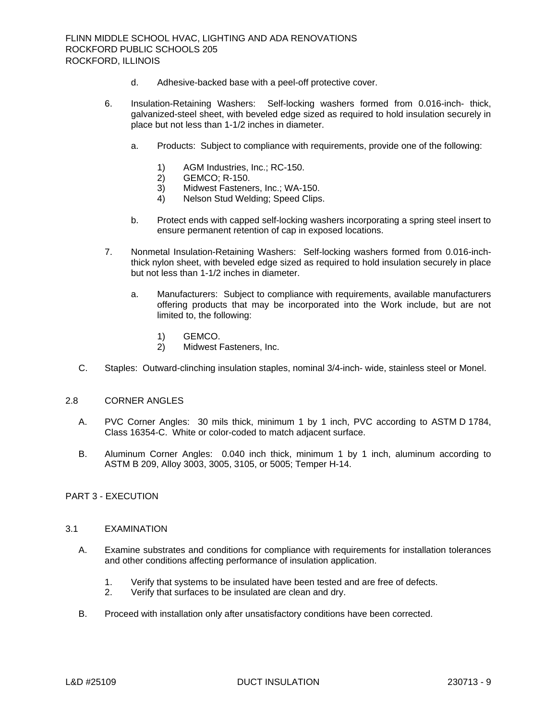- d. Adhesive-backed base with a peel-off protective cover.
- 6. Insulation-Retaining Washers: Self-locking washers formed from 0.016-inch- thick, galvanized-steel sheet, with beveled edge sized as required to hold insulation securely in place but not less than 1-1/2 inches in diameter.
	- a. Products: Subject to compliance with requirements, provide one of the following:
		- 1) AGM Industries, Inc.; RC-150.
		- 2) GEMCO; R-150.
		- 3) Midwest Fasteners, Inc.; WA-150.
		- 4) Nelson Stud Welding; Speed Clips.
	- b. Protect ends with capped self-locking washers incorporating a spring steel insert to ensure permanent retention of cap in exposed locations.
- 7. Nonmetal Insulation-Retaining Washers: Self-locking washers formed from 0.016-inchthick nylon sheet, with beveled edge sized as required to hold insulation securely in place but not less than 1-1/2 inches in diameter.
	- a. Manufacturers: Subject to compliance with requirements, available manufacturers offering products that may be incorporated into the Work include, but are not limited to, the following:
		- 1) GEMCO.
		- 2) Midwest Fasteners, Inc.
- C. Staples: Outward-clinching insulation staples, nominal 3/4-inch- wide, stainless steel or Monel.

# 2.8 CORNER ANGLES

- A. PVC Corner Angles: 30 mils thick, minimum 1 by 1 inch, PVC according to ASTM D 1784, Class 16354-C. White or color-coded to match adjacent surface.
- B. Aluminum Corner Angles: 0.040 inch thick, minimum 1 by 1 inch, aluminum according to ASTM B 209, Alloy 3003, 3005, 3105, or 5005; Temper H-14.

# PART 3 - EXECUTION

#### 3.1 EXAMINATION

- A. Examine substrates and conditions for compliance with requirements for installation tolerances and other conditions affecting performance of insulation application.
	- 1. Verify that systems to be insulated have been tested and are free of defects.
	- 2. Verify that surfaces to be insulated are clean and dry.
- B. Proceed with installation only after unsatisfactory conditions have been corrected.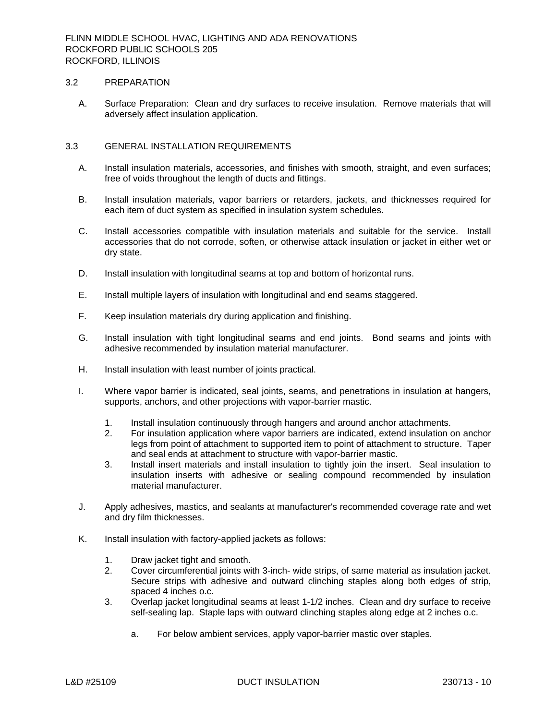## 3.2 PREPARATION

A. Surface Preparation: Clean and dry surfaces to receive insulation. Remove materials that will adversely affect insulation application.

# 3.3 GENERAL INSTALLATION REQUIREMENTS

- A. Install insulation materials, accessories, and finishes with smooth, straight, and even surfaces; free of voids throughout the length of ducts and fittings.
- B. Install insulation materials, vapor barriers or retarders, jackets, and thicknesses required for each item of duct system as specified in insulation system schedules.
- C. Install accessories compatible with insulation materials and suitable for the service. Install accessories that do not corrode, soften, or otherwise attack insulation or jacket in either wet or dry state.
- D. Install insulation with longitudinal seams at top and bottom of horizontal runs.
- E. Install multiple layers of insulation with longitudinal and end seams staggered.
- F. Keep insulation materials dry during application and finishing.
- G. Install insulation with tight longitudinal seams and end joints. Bond seams and joints with adhesive recommended by insulation material manufacturer.
- H. Install insulation with least number of joints practical.
- I. Where vapor barrier is indicated, seal joints, seams, and penetrations in insulation at hangers, supports, anchors, and other projections with vapor-barrier mastic.
	- 1. Install insulation continuously through hangers and around anchor attachments.
	- 2. For insulation application where vapor barriers are indicated, extend insulation on anchor legs from point of attachment to supported item to point of attachment to structure. Taper and seal ends at attachment to structure with vapor-barrier mastic.
	- 3. Install insert materials and install insulation to tightly join the insert. Seal insulation to insulation inserts with adhesive or sealing compound recommended by insulation material manufacturer.
- J. Apply adhesives, mastics, and sealants at manufacturer's recommended coverage rate and wet and dry film thicknesses.
- K. Install insulation with factory-applied jackets as follows:
	- 1. Draw jacket tight and smooth.
	- 2. Cover circumferential joints with 3-inch- wide strips, of same material as insulation jacket. Secure strips with adhesive and outward clinching staples along both edges of strip, spaced 4 inches o.c.
	- 3. Overlap jacket longitudinal seams at least 1-1/2 inches. Clean and dry surface to receive self-sealing lap. Staple laps with outward clinching staples along edge at 2 inches o.c.
		- a. For below ambient services, apply vapor-barrier mastic over staples.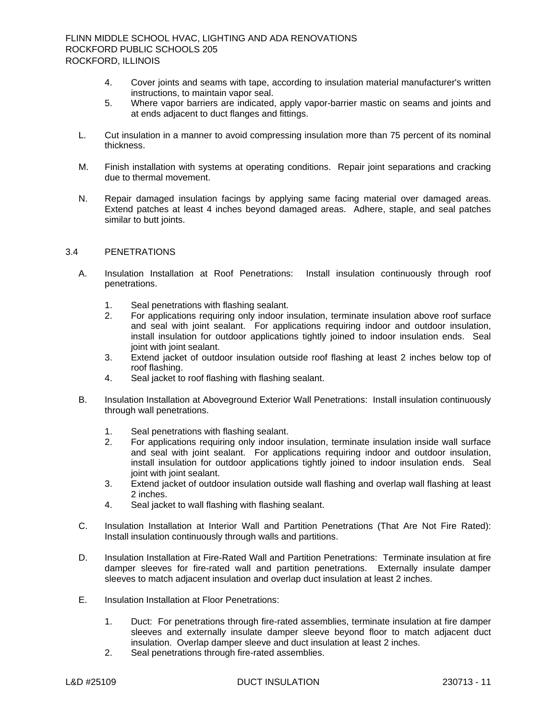- 4. Cover joints and seams with tape, according to insulation material manufacturer's written instructions, to maintain vapor seal.
- 5. Where vapor barriers are indicated, apply vapor-barrier mastic on seams and joints and at ends adjacent to duct flanges and fittings.
- L. Cut insulation in a manner to avoid compressing insulation more than 75 percent of its nominal thickness.
- M. Finish installation with systems at operating conditions. Repair joint separations and cracking due to thermal movement.
- N. Repair damaged insulation facings by applying same facing material over damaged areas. Extend patches at least 4 inches beyond damaged areas. Adhere, staple, and seal patches similar to butt joints.

# 3.4 PENETRATIONS

- A. Insulation Installation at Roof Penetrations: Install insulation continuously through roof penetrations.
	- 1. Seal penetrations with flashing sealant.
	- 2. For applications requiring only indoor insulation, terminate insulation above roof surface and seal with joint sealant. For applications requiring indoor and outdoor insulation, install insulation for outdoor applications tightly joined to indoor insulation ends. Seal joint with joint sealant.
	- 3. Extend jacket of outdoor insulation outside roof flashing at least 2 inches below top of roof flashing.
	- 4. Seal jacket to roof flashing with flashing sealant.
- B. Insulation Installation at Aboveground Exterior Wall Penetrations: Install insulation continuously through wall penetrations.
	- 1. Seal penetrations with flashing sealant.
	- 2. For applications requiring only indoor insulation, terminate insulation inside wall surface and seal with joint sealant. For applications requiring indoor and outdoor insulation, install insulation for outdoor applications tightly joined to indoor insulation ends. Seal joint with joint sealant.
	- 3. Extend jacket of outdoor insulation outside wall flashing and overlap wall flashing at least 2 inches.
	- 4. Seal jacket to wall flashing with flashing sealant.
- C. Insulation Installation at Interior Wall and Partition Penetrations (That Are Not Fire Rated): Install insulation continuously through walls and partitions.
- D. Insulation Installation at Fire-Rated Wall and Partition Penetrations: Terminate insulation at fire damper sleeves for fire-rated wall and partition penetrations. Externally insulate damper sleeves to match adjacent insulation and overlap duct insulation at least 2 inches.
- E. Insulation Installation at Floor Penetrations:
	- 1. Duct: For penetrations through fire-rated assemblies, terminate insulation at fire damper sleeves and externally insulate damper sleeve beyond floor to match adjacent duct insulation. Overlap damper sleeve and duct insulation at least 2 inches.
	- 2. Seal penetrations through fire-rated assemblies.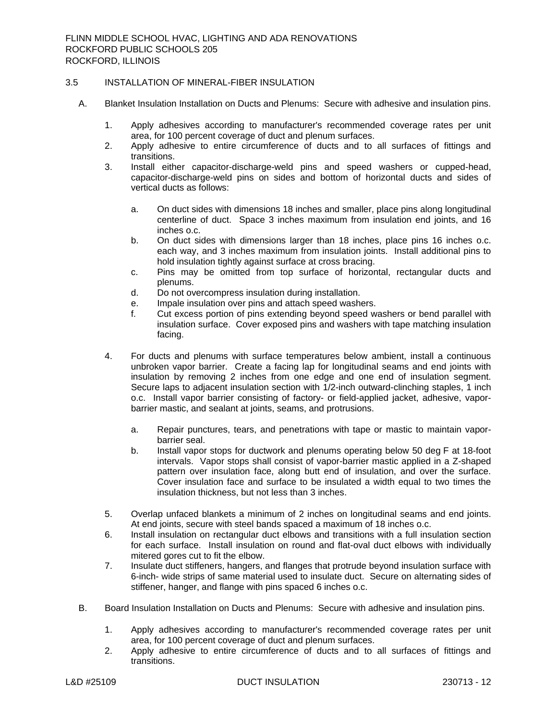## 3.5 INSTALLATION OF MINERAL-FIBER INSULATION

- A. Blanket Insulation Installation on Ducts and Plenums: Secure with adhesive and insulation pins.
	- 1. Apply adhesives according to manufacturer's recommended coverage rates per unit area, for 100 percent coverage of duct and plenum surfaces.
	- 2. Apply adhesive to entire circumference of ducts and to all surfaces of fittings and transitions.
	- 3. Install either capacitor-discharge-weld pins and speed washers or cupped-head, capacitor-discharge-weld pins on sides and bottom of horizontal ducts and sides of vertical ducts as follows:
		- a. On duct sides with dimensions 18 inches and smaller, place pins along longitudinal centerline of duct. Space 3 inches maximum from insulation end joints, and 16 inches o.c.
		- b. On duct sides with dimensions larger than 18 inches, place pins 16 inches o.c. each way, and 3 inches maximum from insulation joints. Install additional pins to hold insulation tightly against surface at cross bracing.
		- c. Pins may be omitted from top surface of horizontal, rectangular ducts and plenums.
		- d. Do not overcompress insulation during installation.
		- e. Impale insulation over pins and attach speed washers.
		- f. Cut excess portion of pins extending beyond speed washers or bend parallel with insulation surface. Cover exposed pins and washers with tape matching insulation facing.
	- 4. For ducts and plenums with surface temperatures below ambient, install a continuous unbroken vapor barrier. Create a facing lap for longitudinal seams and end joints with insulation by removing 2 inches from one edge and one end of insulation segment. Secure laps to adjacent insulation section with 1/2-inch outward-clinching staples, 1 inch o.c. Install vapor barrier consisting of factory- or field-applied jacket, adhesive, vaporbarrier mastic, and sealant at joints, seams, and protrusions.
		- a. Repair punctures, tears, and penetrations with tape or mastic to maintain vaporbarrier seal.
		- b. Install vapor stops for ductwork and plenums operating below 50 deg F at 18-foot intervals. Vapor stops shall consist of vapor-barrier mastic applied in a Z-shaped pattern over insulation face, along butt end of insulation, and over the surface. Cover insulation face and surface to be insulated a width equal to two times the insulation thickness, but not less than 3 inches.
	- 5. Overlap unfaced blankets a minimum of 2 inches on longitudinal seams and end joints. At end joints, secure with steel bands spaced a maximum of 18 inches o.c.
	- 6. Install insulation on rectangular duct elbows and transitions with a full insulation section for each surface. Install insulation on round and flat-oval duct elbows with individually mitered gores cut to fit the elbow.
	- 7. Insulate duct stiffeners, hangers, and flanges that protrude beyond insulation surface with 6-inch- wide strips of same material used to insulate duct. Secure on alternating sides of stiffener, hanger, and flange with pins spaced 6 inches o.c.
- B. Board Insulation Installation on Ducts and Plenums: Secure with adhesive and insulation pins.
	- 1. Apply adhesives according to manufacturer's recommended coverage rates per unit area, for 100 percent coverage of duct and plenum surfaces.
	- 2. Apply adhesive to entire circumference of ducts and to all surfaces of fittings and transitions.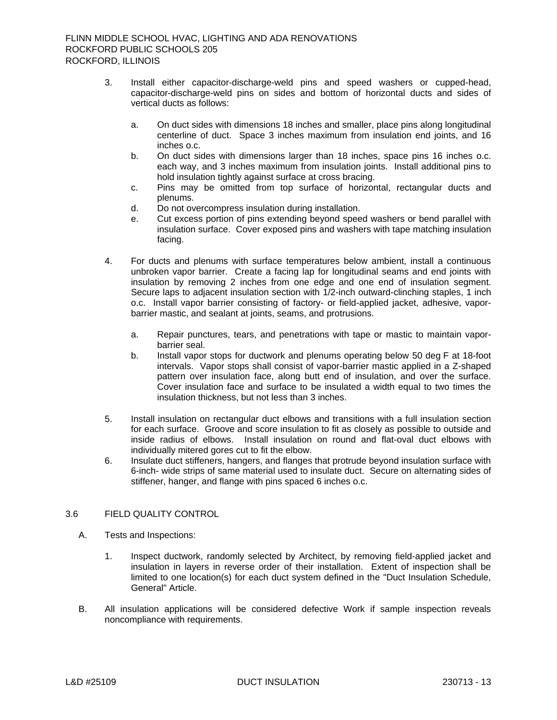- 3. Install either capacitor-discharge-weld pins and speed washers or cupped-head, capacitor-discharge-weld pins on sides and bottom of horizontal ducts and sides of vertical ducts as follows:
	- a. On duct sides with dimensions 18 inches and smaller, place pins along longitudinal centerline of duct. Space 3 inches maximum from insulation end joints, and 16 inches o.c.
	- b. On duct sides with dimensions larger than 18 inches, space pins 16 inches o.c. each way, and 3 inches maximum from insulation joints. Install additional pins to hold insulation tightly against surface at cross bracing.
	- c. Pins may be omitted from top surface of horizontal, rectangular ducts and plenums.
	- d. Do not overcompress insulation during installation.
	- e. Cut excess portion of pins extending beyond speed washers or bend parallel with insulation surface. Cover exposed pins and washers with tape matching insulation facing.
- 4. For ducts and plenums with surface temperatures below ambient, install a continuous unbroken vapor barrier. Create a facing lap for longitudinal seams and end joints with insulation by removing 2 inches from one edge and one end of insulation segment. Secure laps to adjacent insulation section with 1/2-inch outward-clinching staples, 1 inch o.c. Install vapor barrier consisting of factory- or field-applied jacket, adhesive, vaporbarrier mastic, and sealant at joints, seams, and protrusions.
	- a. Repair punctures, tears, and penetrations with tape or mastic to maintain vaporbarrier seal.
	- b. Install vapor stops for ductwork and plenums operating below 50 deg F at 18-foot intervals. Vapor stops shall consist of vapor-barrier mastic applied in a Z-shaped pattern over insulation face, along butt end of insulation, and over the surface. Cover insulation face and surface to be insulated a width equal to two times the insulation thickness, but not less than 3 inches.
- 5. Install insulation on rectangular duct elbows and transitions with a full insulation section for each surface. Groove and score insulation to fit as closely as possible to outside and inside radius of elbows. Install insulation on round and flat-oval duct elbows with individually mitered gores cut to fit the elbow.
- 6. Insulate duct stiffeners, hangers, and flanges that protrude beyond insulation surface with 6-inch- wide strips of same material used to insulate duct. Secure on alternating sides of stiffener, hanger, and flange with pins spaced 6 inches o.c.

# 3.6 FIELD QUALITY CONTROL

- A. Tests and Inspections:
	- 1. Inspect ductwork, randomly selected by Architect, by removing field-applied jacket and insulation in layers in reverse order of their installation. Extent of inspection shall be limited to one location(s) for each duct system defined in the "Duct Insulation Schedule, General" Article.
- B. All insulation applications will be considered defective Work if sample inspection reveals noncompliance with requirements.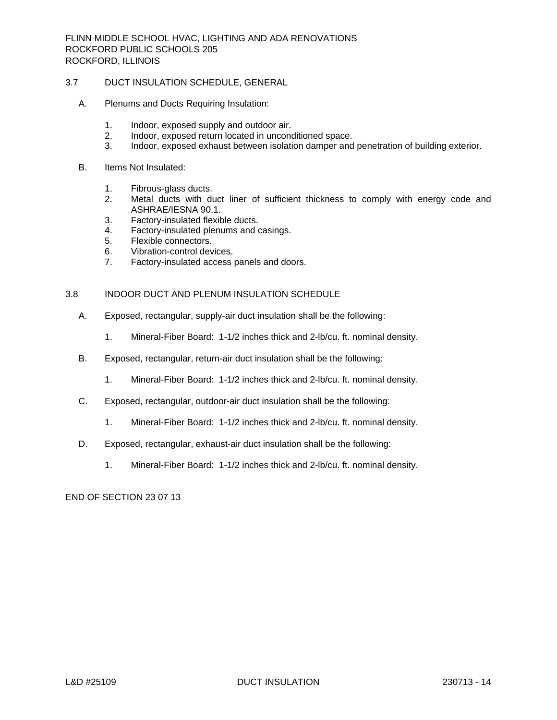FLINN MIDDLE SCHOOL HVAC, LIGHTING AND ADA RENOVATIONS ROCKFORD PUBLIC SCHOOLS 205 ROCKFORD, ILLINOIS

## 3.7 DUCT INSULATION SCHEDULE, GENERAL

- A. Plenums and Ducts Requiring Insulation:
	- 1. Indoor, exposed supply and outdoor air.
	- 2. Indoor, exposed return located in unconditioned space.<br>3. Indoor, exposed exhaust between isolation damper and
	- 3. Indoor, exposed exhaust between isolation damper and penetration of building exterior.
- B. Items Not Insulated:
	- 1. Fibrous-glass ducts.
	- 2. Metal ducts with duct liner of sufficient thickness to comply with energy code and ASHRAE/IESNA 90.1.
	- 3. Factory-insulated flexible ducts.
	- 4. Factory-insulated plenums and casings.
	- 5. Flexible connectors.
	- 6. Vibration-control devices.
	- 7. Factory-insulated access panels and doors.

## 3.8 INDOOR DUCT AND PLENUM INSULATION SCHEDULE

- A. Exposed, rectangular, supply-air duct insulation shall be the following:
	- 1. Mineral-Fiber Board: 1-1/2 inches thick and 2-lb/cu. ft. nominal density.
- B. Exposed, rectangular, return-air duct insulation shall be the following:
	- 1. Mineral-Fiber Board: 1-1/2 inches thick and 2-lb/cu. ft. nominal density.
- C. Exposed, rectangular, outdoor-air duct insulation shall be the following:
	- 1. Mineral-Fiber Board: 1-1/2 inches thick and 2-lb/cu. ft. nominal density.
- D. Exposed, rectangular, exhaust-air duct insulation shall be the following:
	- 1. Mineral-Fiber Board: 1-1/2 inches thick and 2-lb/cu. ft. nominal density.

END OF SECTION 23 07 13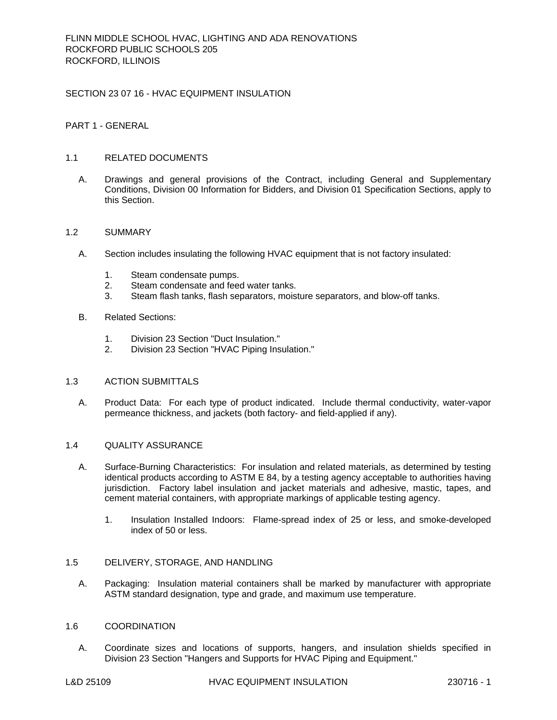# SECTION 23 07 16 - HVAC EQUIPMENT INSULATION

# PART 1 - GENERAL

# 1.1 RELATED DOCUMENTS

A. Drawings and general provisions of the Contract, including General and Supplementary Conditions, Division 00 Information for Bidders, and Division 01 Specification Sections, apply to this Section.

# 1.2 SUMMARY

- A. Section includes insulating the following HVAC equipment that is not factory insulated:
	- 1. Steam condensate pumps.
	- 2. Steam condensate and feed water tanks.
	- 3. Steam flash tanks, flash separators, moisture separators, and blow-off tanks.
- B. Related Sections:
	- 1. Division 23 Section "Duct Insulation."
	- 2. Division 23 Section "HVAC Piping Insulation."

# 1.3 ACTION SUBMITTALS

A. Product Data: For each type of product indicated. Include thermal conductivity, water-vapor permeance thickness, and jackets (both factory- and field-applied if any).

# 1.4 QUALITY ASSURANCE

- A. Surface-Burning Characteristics: For insulation and related materials, as determined by testing identical products according to ASTM E 84, by a testing agency acceptable to authorities having jurisdiction. Factory label insulation and jacket materials and adhesive, mastic, tapes, and cement material containers, with appropriate markings of applicable testing agency.
	- 1. Insulation Installed Indoors: Flame-spread index of 25 or less, and smoke-developed index of 50 or less.

# 1.5 DELIVERY, STORAGE, AND HANDLING

A. Packaging: Insulation material containers shall be marked by manufacturer with appropriate ASTM standard designation, type and grade, and maximum use temperature.

# 1.6 COORDINATION

A. Coordinate sizes and locations of supports, hangers, and insulation shields specified in Division 23 Section "Hangers and Supports for HVAC Piping and Equipment."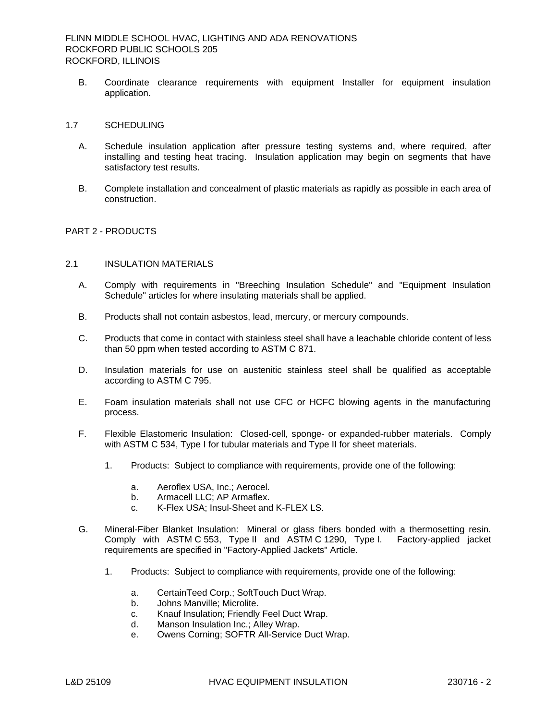FLINN MIDDLE SCHOOL HVAC, LIGHTING AND ADA RENOVATIONS ROCKFORD PUBLIC SCHOOLS 205 ROCKFORD, ILLINOIS

B. Coordinate clearance requirements with equipment Installer for equipment insulation application.

# 1.7 SCHEDULING

- A. Schedule insulation application after pressure testing systems and, where required, after installing and testing heat tracing. Insulation application may begin on segments that have satisfactory test results.
- B. Complete installation and concealment of plastic materials as rapidly as possible in each area of construction.

# PART 2 - PRODUCTS

## 2.1 INSULATION MATERIALS

- A. Comply with requirements in "Breeching Insulation Schedule" and "Equipment Insulation Schedule" articles for where insulating materials shall be applied.
- B. Products shall not contain asbestos, lead, mercury, or mercury compounds.
- C. Products that come in contact with stainless steel shall have a leachable chloride content of less than 50 ppm when tested according to ASTM C 871.
- D. Insulation materials for use on austenitic stainless steel shall be qualified as acceptable according to ASTM C 795.
- E. Foam insulation materials shall not use CFC or HCFC blowing agents in the manufacturing process.
- F. Flexible Elastomeric Insulation: Closed-cell, sponge- or expanded-rubber materials. Comply with ASTM C 534, Type I for tubular materials and Type II for sheet materials.
	- 1. Products: Subject to compliance with requirements, provide one of the following:
		- a. Aeroflex USA, Inc.; Aerocel.
		- b. Armacell LLC; AP Armaflex.
		- c. K-Flex USA; Insul-Sheet and K-FLEX LS.
- G. Mineral-Fiber Blanket Insulation: Mineral or glass fibers bonded with a thermosetting resin. Comply with ASTM C 553, Type II and ASTM C 1290, Type I. Factory-applied jacket requirements are specified in "Factory-Applied Jackets" Article.
	- 1. Products: Subject to compliance with requirements, provide one of the following:
		- a. CertainTeed Corp.; SoftTouch Duct Wrap.
		- b. Johns Manville; Microlite.
		- c. Knauf Insulation; Friendly Feel Duct Wrap.
		- d. Manson Insulation Inc.; Alley Wrap.
		- e. Owens Corning; SOFTR All-Service Duct Wrap.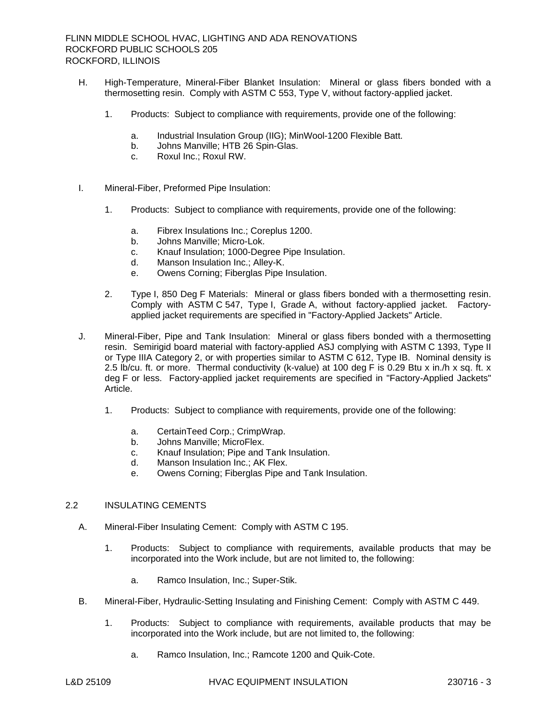- H. High-Temperature, Mineral-Fiber Blanket Insulation: Mineral or glass fibers bonded with a thermosetting resin. Comply with ASTM C 553, Type V, without factory-applied jacket.
	- 1. Products: Subject to compliance with requirements, provide one of the following:
		- a. Industrial Insulation Group (IIG); MinWool-1200 Flexible Batt.
		- b. Johns Manville; HTB 26 Spin-Glas.
		- c. Roxul Inc.; Roxul RW.
- I. Mineral-Fiber, Preformed Pipe Insulation:
	- 1. Products: Subject to compliance with requirements, provide one of the following:
		- a. Fibrex Insulations Inc.; Coreplus 1200.
		- b. Johns Manville; Micro-Lok.
		- c. Knauf Insulation; 1000-Degree Pipe Insulation.
		- d. Manson Insulation Inc.; Alley-K.
		- e. Owens Corning; Fiberglas Pipe Insulation.
	- 2. Type I, 850 Deg F Materials: Mineral or glass fibers bonded with a thermosetting resin. Comply with ASTM C 547, Type I, Grade A, without factory-applied jacket. Factoryapplied jacket requirements are specified in "Factory-Applied Jackets" Article.
- J. Mineral-Fiber, Pipe and Tank Insulation: Mineral or glass fibers bonded with a thermosetting resin. Semirigid board material with factory-applied ASJ complying with ASTM C 1393, Type II or Type IIIA Category 2, or with properties similar to ASTM C 612, Type IB. Nominal density is 2.5 lb/cu. ft. or more. Thermal conductivity (k-value) at 100 deg F is 0.29 Btu x in./h x sq. ft. x deg F or less. Factory-applied jacket requirements are specified in "Factory-Applied Jackets" Article.
	- 1. Products: Subject to compliance with requirements, provide one of the following:
		- a. CertainTeed Corp.; CrimpWrap.
		- b. Johns Manville; MicroFlex.
		- c. Knauf Insulation; Pipe and Tank Insulation.
		- d. Manson Insulation Inc.; AK Flex.
		- e. Owens Corning; Fiberglas Pipe and Tank Insulation.

# 2.2 INSULATING CEMENTS

- A. Mineral-Fiber Insulating Cement: Comply with ASTM C 195.
	- 1. Products: Subject to compliance with requirements, available products that may be incorporated into the Work include, but are not limited to, the following:
		- a. Ramco Insulation, Inc.; Super-Stik.
- B. Mineral-Fiber, Hydraulic-Setting Insulating and Finishing Cement: Comply with ASTM C 449.
	- 1. Products: Subject to compliance with requirements, available products that may be incorporated into the Work include, but are not limited to, the following:
		- a. Ramco Insulation, Inc.; Ramcote 1200 and Quik-Cote.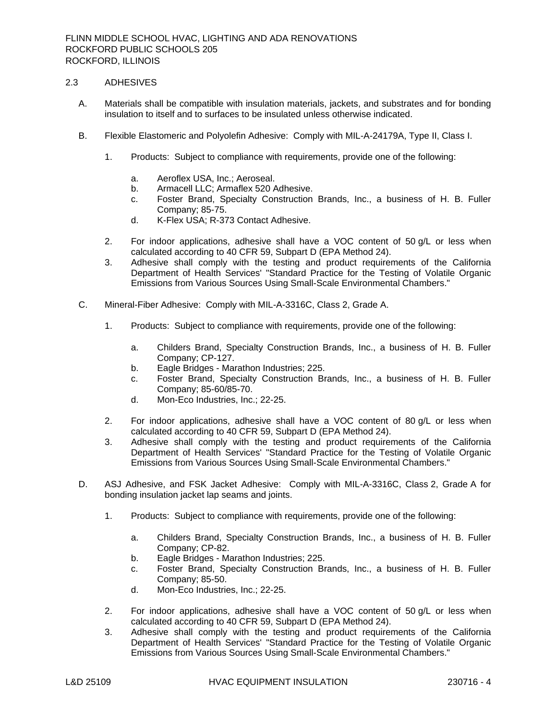## 2.3 ADHESIVES

- A. Materials shall be compatible with insulation materials, jackets, and substrates and for bonding insulation to itself and to surfaces to be insulated unless otherwise indicated.
- B. Flexible Elastomeric and Polyolefin Adhesive: Comply with MIL-A-24179A, Type II, Class I.
	- 1. Products: Subject to compliance with requirements, provide one of the following:
		- a. Aeroflex USA, Inc.; Aeroseal.
		- b. Armacell LLC; Armaflex 520 Adhesive.
		- c. Foster Brand, Specialty Construction Brands, Inc., a business of H. B. Fuller Company; 85-75.
		- d. K-Flex USA; R-373 Contact Adhesive.
	- 2. For indoor applications, adhesive shall have a VOC content of 50 g/L or less when calculated according to 40 CFR 59, Subpart D (EPA Method 24).
	- 3. Adhesive shall comply with the testing and product requirements of the California Department of Health Services' "Standard Practice for the Testing of Volatile Organic Emissions from Various Sources Using Small-Scale Environmental Chambers."
- C. Mineral-Fiber Adhesive: Comply with MIL-A-3316C, Class 2, Grade A.
	- 1. Products: Subject to compliance with requirements, provide one of the following:
		- a. Childers Brand, Specialty Construction Brands, Inc., a business of H. B. Fuller Company; CP-127.
		- b. Eagle Bridges Marathon Industries; 225.
		- c. Foster Brand, Specialty Construction Brands, Inc., a business of H. B. Fuller Company; 85-60/85-70.
		- d. Mon-Eco Industries, Inc.; 22-25.
	- 2. For indoor applications, adhesive shall have a VOC content of 80 g/L or less when calculated according to 40 CFR 59, Subpart D (EPA Method 24).
	- 3. Adhesive shall comply with the testing and product requirements of the California Department of Health Services' "Standard Practice for the Testing of Volatile Organic Emissions from Various Sources Using Small-Scale Environmental Chambers."
- D. ASJ Adhesive, and FSK Jacket Adhesive: Comply with MIL-A-3316C, Class 2, Grade A for bonding insulation jacket lap seams and joints.
	- 1. Products: Subject to compliance with requirements, provide one of the following:
		- a. Childers Brand, Specialty Construction Brands, Inc., a business of H. B. Fuller Company; CP-82.
		- b. Eagle Bridges Marathon Industries; 225.
		- c. Foster Brand, Specialty Construction Brands, Inc., a business of H. B. Fuller Company; 85-50.
		- d. Mon-Eco Industries, Inc.; 22-25.
	- 2. For indoor applications, adhesive shall have a VOC content of 50 g/L or less when calculated according to 40 CFR 59, Subpart D (EPA Method 24).
	- 3. Adhesive shall comply with the testing and product requirements of the California Department of Health Services' "Standard Practice for the Testing of Volatile Organic Emissions from Various Sources Using Small-Scale Environmental Chambers."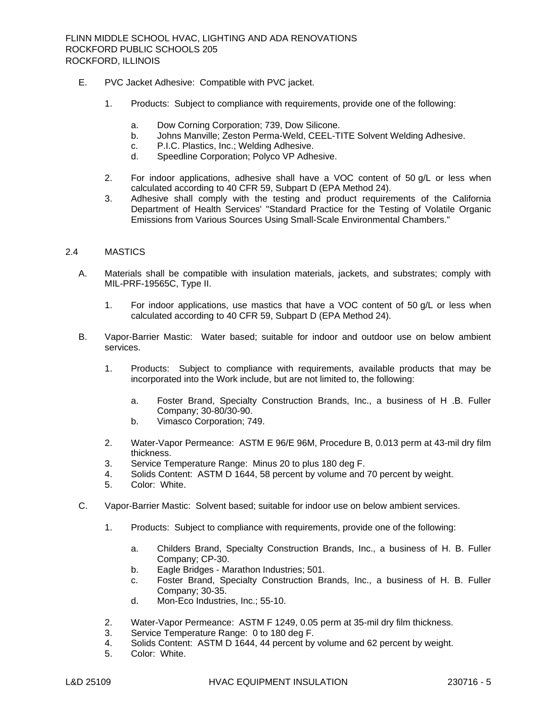- E. PVC Jacket Adhesive: Compatible with PVC jacket.
	- 1. Products: Subject to compliance with requirements, provide one of the following:
		- a. Dow Corning Corporation; 739, Dow Silicone.
		- b. Johns Manville; Zeston Perma-Weld, CEEL-TITE Solvent Welding Adhesive.
		- c. P.I.C. Plastics, Inc.; Welding Adhesive.
		- d. Speedline Corporation; Polyco VP Adhesive.
	- 2. For indoor applications, adhesive shall have a VOC content of 50 g/L or less when calculated according to 40 CFR 59, Subpart D (EPA Method 24).
	- 3. Adhesive shall comply with the testing and product requirements of the California Department of Health Services' "Standard Practice for the Testing of Volatile Organic Emissions from Various Sources Using Small-Scale Environmental Chambers."

## 2.4 MASTICS

- A. Materials shall be compatible with insulation materials, jackets, and substrates; comply with MIL-PRF-19565C, Type II.
	- 1. For indoor applications, use mastics that have a VOC content of 50 g/L or less when calculated according to 40 CFR 59, Subpart D (EPA Method 24).
- B. Vapor-Barrier Mastic: Water based; suitable for indoor and outdoor use on below ambient services.
	- 1. Products: Subject to compliance with requirements, available products that may be incorporated into the Work include, but are not limited to, the following:
		- a. Foster Brand, Specialty Construction Brands, Inc., a business of H .B. Fuller Company; 30-80/30-90.
		- b. Vimasco Corporation; 749.
	- 2. Water-Vapor Permeance: ASTM E 96/E 96M, Procedure B, 0.013 perm at 43-mil dry film thickness.
	- 3. Service Temperature Range: Minus 20 to plus 180 deg F.
	- 4. Solids Content: ASTM D 1644, 58 percent by volume and 70 percent by weight.
	- 5. Color: White.
- C. Vapor-Barrier Mastic: Solvent based; suitable for indoor use on below ambient services.
	- 1. Products: Subject to compliance with requirements, provide one of the following:
		- a. Childers Brand, Specialty Construction Brands, Inc., a business of H. B. Fuller Company; CP-30.
		- b. Eagle Bridges Marathon Industries; 501.
		- c. Foster Brand, Specialty Construction Brands, Inc., a business of H. B. Fuller Company; 30-35.
		- d. Mon-Eco Industries, Inc.; 55-10.
	- 2. Water-Vapor Permeance: ASTM F 1249, 0.05 perm at 35-mil dry film thickness.
	- 3. Service Temperature Range: 0 to 180 deg F.
	- 4. Solids Content: ASTM D 1644, 44 percent by volume and 62 percent by weight.
	- 5. Color: White.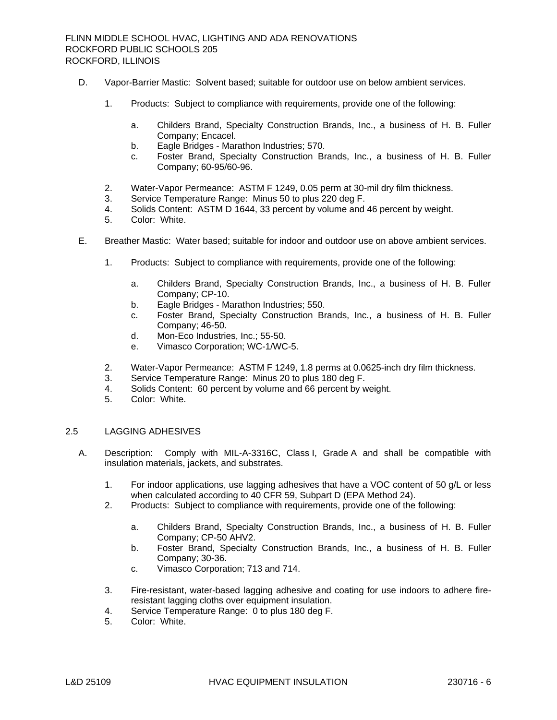- D. Vapor-Barrier Mastic: Solvent based; suitable for outdoor use on below ambient services.
	- 1. Products: Subject to compliance with requirements, provide one of the following:
		- a. Childers Brand, Specialty Construction Brands, Inc., a business of H. B. Fuller Company; Encacel.
		- b. Eagle Bridges Marathon Industries; 570.
		- c. Foster Brand, Specialty Construction Brands, Inc., a business of H. B. Fuller Company; 60-95/60-96.
	- 2. Water-Vapor Permeance: ASTM F 1249, 0.05 perm at 30-mil dry film thickness.
	- 3. Service Temperature Range: Minus 50 to plus 220 deg F.
	- 4. Solids Content: ASTM D 1644, 33 percent by volume and 46 percent by weight.
	- Color: White.
- E. Breather Mastic: Water based; suitable for indoor and outdoor use on above ambient services.
	- 1. Products: Subject to compliance with requirements, provide one of the following:
		- a. Childers Brand, Specialty Construction Brands, Inc., a business of H. B. Fuller Company; CP-10.
		- b. Eagle Bridges Marathon Industries; 550.
		- c. Foster Brand, Specialty Construction Brands, Inc., a business of H. B. Fuller Company; 46-50.
		- d. Mon-Eco Industries, Inc.; 55-50.
		- e. Vimasco Corporation; WC-1/WC-5.
	- 2. Water-Vapor Permeance: ASTM F 1249, 1.8 perms at 0.0625-inch dry film thickness.
	- 3. Service Temperature Range: Minus 20 to plus 180 deg F.
	- 4. Solids Content: 60 percent by volume and 66 percent by weight.
	- 5. Color: White.

## 2.5 LAGGING ADHESIVES

- A. Description: Comply with MIL-A-3316C, Class I, Grade A and shall be compatible with insulation materials, jackets, and substrates.
	- 1. For indoor applications, use lagging adhesives that have a VOC content of 50 g/L or less when calculated according to 40 CFR 59, Subpart D (EPA Method 24).
	- 2. Products: Subject to compliance with requirements, provide one of the following:
		- a. Childers Brand, Specialty Construction Brands, Inc., a business of H. B. Fuller Company; CP-50 AHV2.
		- b. Foster Brand, Specialty Construction Brands, Inc., a business of H. B. Fuller Company; 30-36.
		- c. Vimasco Corporation; 713 and 714.
	- 3. Fire-resistant, water-based lagging adhesive and coating for use indoors to adhere fireresistant lagging cloths over equipment insulation.
	- 4. Service Temperature Range: 0 to plus 180 deg F.
	- 5. Color: White.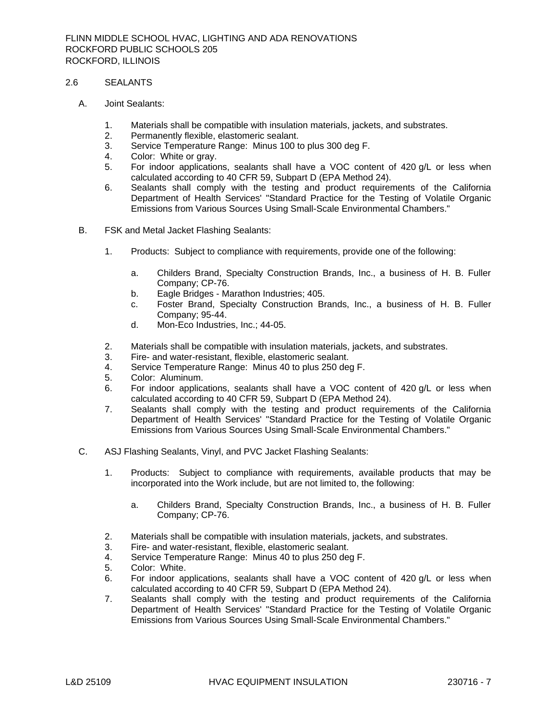## 2.6 SEALANTS

- A. Joint Sealants:
	- 1. Materials shall be compatible with insulation materials, jackets, and substrates.
	- 2. Permanently flexible, elastomeric sealant.
	- 3. Service Temperature Range: Minus 100 to plus 300 deg F.
	- 4. Color: White or gray.
	- 5. For indoor applications, sealants shall have a VOC content of 420 g/L or less when calculated according to 40 CFR 59, Subpart D (EPA Method 24).
	- 6. Sealants shall comply with the testing and product requirements of the California Department of Health Services' "Standard Practice for the Testing of Volatile Organic Emissions from Various Sources Using Small-Scale Environmental Chambers."
- B. FSK and Metal Jacket Flashing Sealants:
	- 1. Products: Subject to compliance with requirements, provide one of the following:
		- a. Childers Brand, Specialty Construction Brands, Inc., a business of H. B. Fuller Company; CP-76.
		- b. Eagle Bridges Marathon Industries; 405.
		- c. Foster Brand, Specialty Construction Brands, Inc., a business of H. B. Fuller Company; 95-44.
		- d. Mon-Eco Industries, Inc.; 44-05.
	- 2. Materials shall be compatible with insulation materials, jackets, and substrates.
	- 3. Fire- and water-resistant, flexible, elastomeric sealant.
	- 4. Service Temperature Range: Minus 40 to plus 250 deg F.
	- 5. Color: Aluminum.
	- 6. For indoor applications, sealants shall have a VOC content of 420 g/L or less when calculated according to 40 CFR 59, Subpart D (EPA Method 24).
	- 7. Sealants shall comply with the testing and product requirements of the California Department of Health Services' "Standard Practice for the Testing of Volatile Organic Emissions from Various Sources Using Small-Scale Environmental Chambers."
- C. ASJ Flashing Sealants, Vinyl, and PVC Jacket Flashing Sealants:
	- 1. Products: Subject to compliance with requirements, available products that may be incorporated into the Work include, but are not limited to, the following:
		- a. Childers Brand, Specialty Construction Brands, Inc., a business of H. B. Fuller Company; CP-76.
	- 2. Materials shall be compatible with insulation materials, jackets, and substrates.
	- 3. Fire- and water-resistant, flexible, elastomeric sealant.
	- 4. Service Temperature Range: Minus 40 to plus 250 deg F.
	- 5. Color: White.
	- 6. For indoor applications, sealants shall have a VOC content of 420 g/L or less when calculated according to 40 CFR 59, Subpart D (EPA Method 24).
	- 7. Sealants shall comply with the testing and product requirements of the California Department of Health Services' "Standard Practice for the Testing of Volatile Organic Emissions from Various Sources Using Small-Scale Environmental Chambers."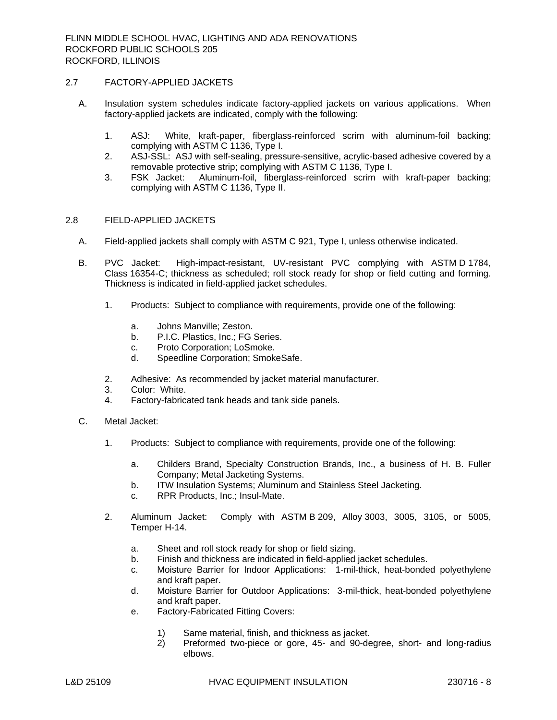## 2.7 FACTORY-APPLIED JACKETS

- A. Insulation system schedules indicate factory-applied jackets on various applications. When factory-applied jackets are indicated, comply with the following:
	- 1. ASJ: White, kraft-paper, fiberglass-reinforced scrim with aluminum-foil backing; complying with ASTM C 1136, Type I.
	- 2. ASJ-SSL: ASJ with self-sealing, pressure-sensitive, acrylic-based adhesive covered by a removable protective strip; complying with ASTM C 1136, Type I.
	- 3. FSK Jacket: Aluminum-foil, fiberglass-reinforced scrim with kraft-paper backing; complying with ASTM C 1136, Type II.

# 2.8 FIELD-APPLIED JACKETS

- A. Field-applied jackets shall comply with ASTM C 921, Type I, unless otherwise indicated.
- B. PVC Jacket: High-impact-resistant, UV-resistant PVC complying with ASTM D 1784, Class 16354-C; thickness as scheduled; roll stock ready for shop or field cutting and forming. Thickness is indicated in field-applied jacket schedules.
	- 1. Products: Subject to compliance with requirements, provide one of the following:
		- a. Johns Manville; Zeston.
		- b. P.I.C. Plastics, Inc.; FG Series.
		- c. Proto Corporation; LoSmoke.
		- d. Speedline Corporation; SmokeSafe.
	- 2. Adhesive: As recommended by jacket material manufacturer.
	- 3. Color: White.
	- 4. Factory-fabricated tank heads and tank side panels.
- C. Metal Jacket:
	- 1. Products: Subject to compliance with requirements, provide one of the following:
		- a. Childers Brand, Specialty Construction Brands, Inc., a business of H. B. Fuller Company; Metal Jacketing Systems.
		- b. ITW Insulation Systems; Aluminum and Stainless Steel Jacketing.
		- c. RPR Products, Inc.; Insul-Mate.
	- 2. Aluminum Jacket: Comply with ASTM B 209, Alloy 3003, 3005, 3105, or 5005, Temper H-14.
		- a. Sheet and roll stock ready for shop or field sizing.
		- b. Finish and thickness are indicated in field-applied jacket schedules.
		- c. Moisture Barrier for Indoor Applications: 1-mil-thick, heat-bonded polyethylene and kraft paper.
		- d. Moisture Barrier for Outdoor Applications: 3-mil-thick, heat-bonded polyethylene and kraft paper.
		- e. Factory-Fabricated Fitting Covers:
			- 1) Same material, finish, and thickness as jacket.
			- 2) Preformed two-piece or gore, 45- and 90-degree, short- and long-radius elbows.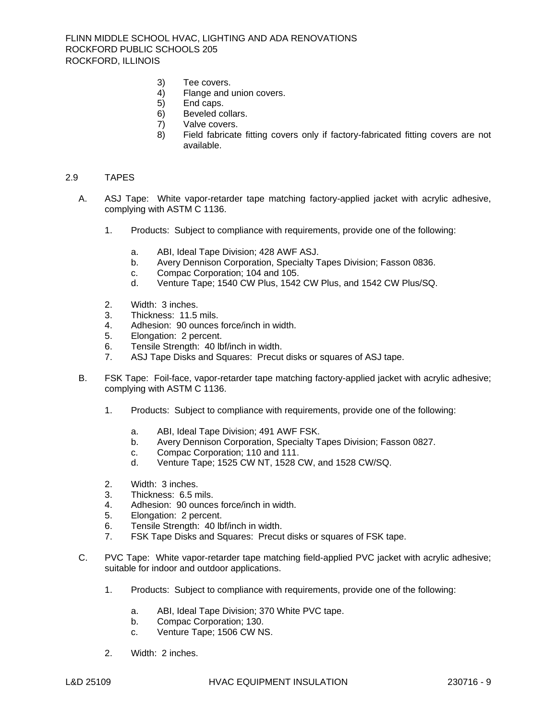FLINN MIDDLE SCHOOL HVAC, LIGHTING AND ADA RENOVATIONS ROCKFORD PUBLIC SCHOOLS 205 ROCKFORD, ILLINOIS

- 3) Tee covers.
- 4) Flange and union covers.
- 5) End caps.
- 6) Beveled collars.
- 7) Valve covers.
- 8) Field fabricate fitting covers only if factory-fabricated fitting covers are not available.

#### 2.9 TAPES

- A. ASJ Tape: White vapor-retarder tape matching factory-applied jacket with acrylic adhesive, complying with ASTM C 1136.
	- 1. Products: Subject to compliance with requirements, provide one of the following:
		- a. ABI, Ideal Tape Division; 428 AWF ASJ.
		- b. Avery Dennison Corporation, Specialty Tapes Division; Fasson 0836.
		- c. Compac Corporation; 104 and 105.
		- d. Venture Tape; 1540 CW Plus, 1542 CW Plus, and 1542 CW Plus/SQ.
	- 2. Width: 3 inches.
	- 3. Thickness: 11.5 mils.
	- 4. Adhesion: 90 ounces force/inch in width.
	- 5. Elongation: 2 percent.
	- 6. Tensile Strength: 40 lbf/inch in width.
	- 7. ASJ Tape Disks and Squares: Precut disks or squares of ASJ tape.
- B. FSK Tape: Foil-face, vapor-retarder tape matching factory-applied jacket with acrylic adhesive; complying with ASTM C 1136.
	- 1. Products: Subject to compliance with requirements, provide one of the following:
		- a. ABI, Ideal Tape Division; 491 AWF FSK.
		- b. Avery Dennison Corporation, Specialty Tapes Division; Fasson 0827.
		- c. Compac Corporation; 110 and 111.
		- d. Venture Tape; 1525 CW NT, 1528 CW, and 1528 CW/SQ.
	- 2. Width: 3 inches.
	- 3. Thickness: 6.5 mils.
	- 4. Adhesion: 90 ounces force/inch in width.
	- 5. Elongation: 2 percent.
	- 6. Tensile Strength: 40 lbf/inch in width.
	- 7. FSK Tape Disks and Squares: Precut disks or squares of FSK tape.
- C. PVC Tape: White vapor-retarder tape matching field-applied PVC jacket with acrylic adhesive; suitable for indoor and outdoor applications.
	- 1. Products: Subject to compliance with requirements, provide one of the following:
		- a. ABI, Ideal Tape Division; 370 White PVC tape.
		- b. Compac Corporation; 130.
		- c. Venture Tape; 1506 CW NS.
	- 2. Width: 2 inches.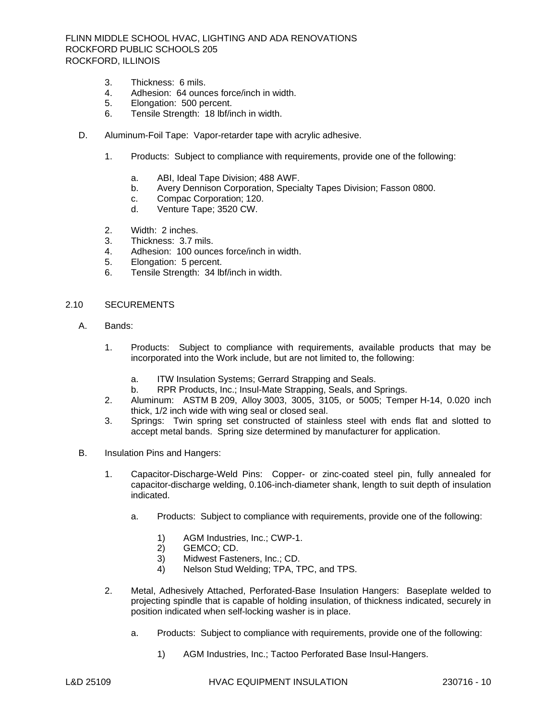FLINN MIDDLE SCHOOL HVAC, LIGHTING AND ADA RENOVATIONS ROCKFORD PUBLIC SCHOOLS 205 ROCKFORD, ILLINOIS

- 3. Thickness: 6 mils.
- 4. Adhesion: 64 ounces force/inch in width.
- 5. Elongation: 500 percent.
- 6. Tensile Strength: 18 lbf/inch in width.
- D. Aluminum-Foil Tape: Vapor-retarder tape with acrylic adhesive.
	- 1. Products: Subject to compliance with requirements, provide one of the following:
		- a. ABI, Ideal Tape Division; 488 AWF.
		- b. Avery Dennison Corporation, Specialty Tapes Division; Fasson 0800.
		- c. Compac Corporation; 120.
		- d. Venture Tape; 3520 CW.
	- 2. Width: 2 inches.
	- 3. Thickness: 3.7 mils.
	- 4. Adhesion: 100 ounces force/inch in width.
	- 5. Elongation: 5 percent.
	- 6. Tensile Strength: 34 lbf/inch in width.

#### 2.10 SECUREMENTS

- A. Bands:
	- 1. Products: Subject to compliance with requirements, available products that may be incorporated into the Work include, but are not limited to, the following:
		- a. ITW Insulation Systems; Gerrard Strapping and Seals.
		- b. RPR Products, Inc.; Insul-Mate Strapping, Seals, and Springs.
	- 2. Aluminum: ASTM B 209, Alloy 3003, 3005, 3105, or 5005; Temper H-14, 0.020 inch thick, 1/2 inch wide with wing seal or closed seal.
	- 3. Springs: Twin spring set constructed of stainless steel with ends flat and slotted to accept metal bands. Spring size determined by manufacturer for application.
- B. Insulation Pins and Hangers:
	- 1. Capacitor-Discharge-Weld Pins: Copper- or zinc-coated steel pin, fully annealed for capacitor-discharge welding, 0.106-inch-diameter shank, length to suit depth of insulation indicated.
		- a. Products: Subject to compliance with requirements, provide one of the following:
			- 1) AGM Industries, Inc.; CWP-1.
			- 2) GEMCO; CD.
			- 3) Midwest Fasteners, Inc.; CD.
			- 4) Nelson Stud Welding; TPA, TPC, and TPS.
	- 2. Metal, Adhesively Attached, Perforated-Base Insulation Hangers: Baseplate welded to projecting spindle that is capable of holding insulation, of thickness indicated, securely in position indicated when self-locking washer is in place.
		- a. Products: Subject to compliance with requirements, provide one of the following:
			- 1) AGM Industries, Inc.; Tactoo Perforated Base Insul-Hangers.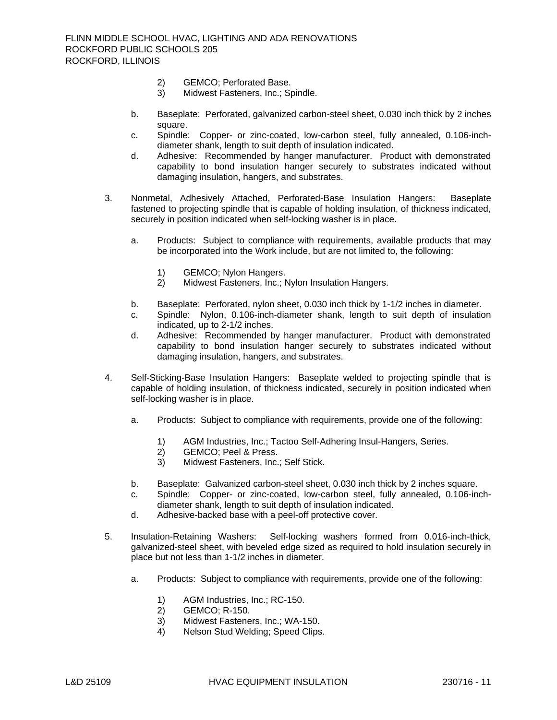- 2) GEMCO; Perforated Base.
- 3) Midwest Fasteners, Inc.; Spindle.
- b. Baseplate: Perforated, galvanized carbon-steel sheet, 0.030 inch thick by 2 inches square.
- c. Spindle: Copper- or zinc-coated, low-carbon steel, fully annealed, 0.106-inchdiameter shank, length to suit depth of insulation indicated.
- d. Adhesive: Recommended by hanger manufacturer. Product with demonstrated capability to bond insulation hanger securely to substrates indicated without damaging insulation, hangers, and substrates.
- 3. Nonmetal, Adhesively Attached, Perforated-Base Insulation Hangers: Baseplate fastened to projecting spindle that is capable of holding insulation, of thickness indicated, securely in position indicated when self-locking washer is in place.
	- a. Products: Subject to compliance with requirements, available products that may be incorporated into the Work include, but are not limited to, the following:
		- 1) GEMCO; Nylon Hangers.
		- 2) Midwest Fasteners, Inc.; Nylon Insulation Hangers.
	- b. Baseplate: Perforated, nylon sheet, 0.030 inch thick by 1-1/2 inches in diameter.
	- c. Spindle: Nylon, 0.106-inch-diameter shank, length to suit depth of insulation indicated, up to 2-1/2 inches.
	- d. Adhesive: Recommended by hanger manufacturer. Product with demonstrated capability to bond insulation hanger securely to substrates indicated without damaging insulation, hangers, and substrates.
- 4. Self-Sticking-Base Insulation Hangers: Baseplate welded to projecting spindle that is capable of holding insulation, of thickness indicated, securely in position indicated when self-locking washer is in place.
	- a. Products: Subject to compliance with requirements, provide one of the following:
		- 1) AGM Industries, Inc.; Tactoo Self-Adhering Insul-Hangers, Series.
		- 2) GEMCO; Peel & Press.
		- 3) Midwest Fasteners, Inc.; Self Stick.
	- b. Baseplate: Galvanized carbon-steel sheet, 0.030 inch thick by 2 inches square.
	- c. Spindle: Copper- or zinc-coated, low-carbon steel, fully annealed, 0.106-inchdiameter shank, length to suit depth of insulation indicated.
	- d. Adhesive-backed base with a peel-off protective cover.
- 5. Insulation-Retaining Washers: Self-locking washers formed from 0.016-inch-thick, galvanized-steel sheet, with beveled edge sized as required to hold insulation securely in place but not less than 1-1/2 inches in diameter.
	- a. Products: Subject to compliance with requirements, provide one of the following:
		- 1) AGM Industries, Inc.; RC-150.<br>2) GEMCO; R-150.
		- GEMCO; R-150.
		- 3) Midwest Fasteners, Inc.; WA-150.
		- 4) Nelson Stud Welding; Speed Clips.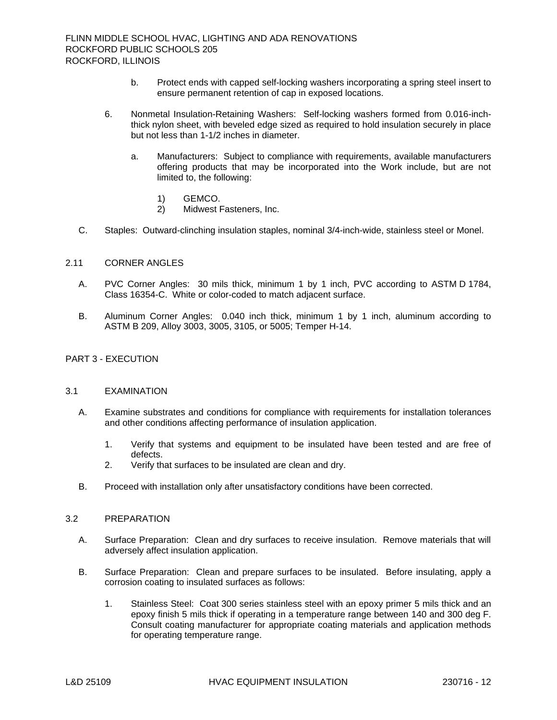- b. Protect ends with capped self-locking washers incorporating a spring steel insert to ensure permanent retention of cap in exposed locations.
- 6. Nonmetal Insulation-Retaining Washers: Self-locking washers formed from 0.016-inchthick nylon sheet, with beveled edge sized as required to hold insulation securely in place but not less than 1-1/2 inches in diameter.
	- a. Manufacturers: Subject to compliance with requirements, available manufacturers offering products that may be incorporated into the Work include, but are not limited to, the following:
		- 1) GEMCO.
		- 2) Midwest Fasteners, Inc.
- C. Staples: Outward-clinching insulation staples, nominal 3/4-inch-wide, stainless steel or Monel.

# 2.11 CORNER ANGLES

- A. PVC Corner Angles: 30 mils thick, minimum 1 by 1 inch, PVC according to ASTM D 1784, Class 16354-C. White or color-coded to match adjacent surface.
- B. Aluminum Corner Angles: 0.040 inch thick, minimum 1 by 1 inch, aluminum according to ASTM B 209, Alloy 3003, 3005, 3105, or 5005; Temper H-14.

# PART 3 - EXECUTION

# 3.1 EXAMINATION

- A. Examine substrates and conditions for compliance with requirements for installation tolerances and other conditions affecting performance of insulation application.
	- 1. Verify that systems and equipment to be insulated have been tested and are free of defects.
	- 2. Verify that surfaces to be insulated are clean and dry.
- B. Proceed with installation only after unsatisfactory conditions have been corrected.

# 3.2 PREPARATION

- A. Surface Preparation: Clean and dry surfaces to receive insulation. Remove materials that will adversely affect insulation application.
- B. Surface Preparation: Clean and prepare surfaces to be insulated. Before insulating, apply a corrosion coating to insulated surfaces as follows:
	- 1. Stainless Steel: Coat 300 series stainless steel with an epoxy primer 5 mils thick and an epoxy finish 5 mils thick if operating in a temperature range between 140 and 300 deg F. Consult coating manufacturer for appropriate coating materials and application methods for operating temperature range.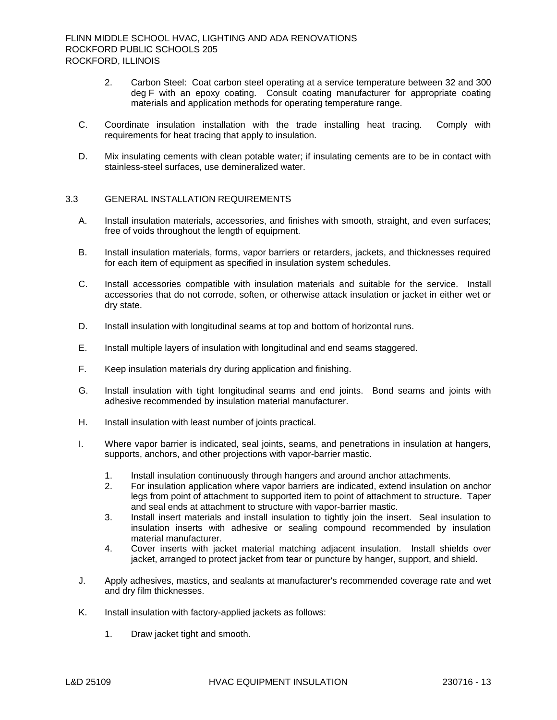- 2. Carbon Steel: Coat carbon steel operating at a service temperature between 32 and 300 deg F with an epoxy coating. Consult coating manufacturer for appropriate coating materials and application methods for operating temperature range.
- C. Coordinate insulation installation with the trade installing heat tracing. Comply with requirements for heat tracing that apply to insulation.
- D. Mix insulating cements with clean potable water; if insulating cements are to be in contact with stainless-steel surfaces, use demineralized water.

# 3.3 GENERAL INSTALLATION REQUIREMENTS

- A. Install insulation materials, accessories, and finishes with smooth, straight, and even surfaces; free of voids throughout the length of equipment.
- B. Install insulation materials, forms, vapor barriers or retarders, jackets, and thicknesses required for each item of equipment as specified in insulation system schedules.
- C. Install accessories compatible with insulation materials and suitable for the service. Install accessories that do not corrode, soften, or otherwise attack insulation or jacket in either wet or dry state.
- D. Install insulation with longitudinal seams at top and bottom of horizontal runs.
- E. Install multiple layers of insulation with longitudinal and end seams staggered.
- F. Keep insulation materials dry during application and finishing.
- G. Install insulation with tight longitudinal seams and end joints. Bond seams and joints with adhesive recommended by insulation material manufacturer.
- H. Install insulation with least number of joints practical.
- I. Where vapor barrier is indicated, seal joints, seams, and penetrations in insulation at hangers, supports, anchors, and other projections with vapor-barrier mastic.
	- 1. Install insulation continuously through hangers and around anchor attachments.
	- 2. For insulation application where vapor barriers are indicated, extend insulation on anchor legs from point of attachment to supported item to point of attachment to structure. Taper and seal ends at attachment to structure with vapor-barrier mastic.
	- 3. Install insert materials and install insulation to tightly join the insert. Seal insulation to insulation inserts with adhesive or sealing compound recommended by insulation material manufacturer.
	- 4. Cover inserts with jacket material matching adjacent insulation. Install shields over jacket, arranged to protect jacket from tear or puncture by hanger, support, and shield.
- J. Apply adhesives, mastics, and sealants at manufacturer's recommended coverage rate and wet and dry film thicknesses.
- K. Install insulation with factory-applied jackets as follows:
	- 1. Draw jacket tight and smooth.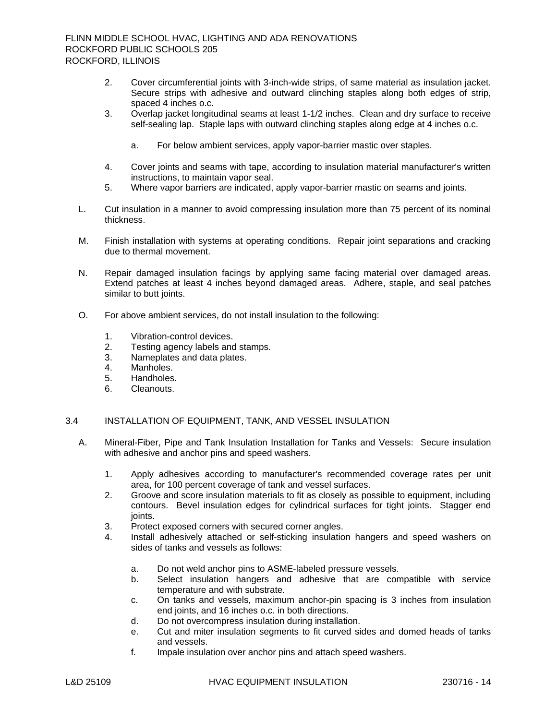- 2. Cover circumferential joints with 3-inch-wide strips, of same material as insulation jacket. Secure strips with adhesive and outward clinching staples along both edges of strip, spaced 4 inches o.c.
- 3. Overlap jacket longitudinal seams at least 1-1/2 inches. Clean and dry surface to receive self-sealing lap. Staple laps with outward clinching staples along edge at 4 inches o.c.
	- a. For below ambient services, apply vapor-barrier mastic over staples.
- 4. Cover joints and seams with tape, according to insulation material manufacturer's written instructions, to maintain vapor seal.
- 5. Where vapor barriers are indicated, apply vapor-barrier mastic on seams and joints.
- L. Cut insulation in a manner to avoid compressing insulation more than 75 percent of its nominal thickness.
- M. Finish installation with systems at operating conditions. Repair joint separations and cracking due to thermal movement.
- N. Repair damaged insulation facings by applying same facing material over damaged areas. Extend patches at least 4 inches beyond damaged areas. Adhere, staple, and seal patches similar to butt joints.
- O. For above ambient services, do not install insulation to the following:
	- 1. Vibration-control devices.
	- 2. Testing agency labels and stamps.
	- 3. Nameplates and data plates.
	- 4. Manholes.
	- 5. Handholes.
	- 6. Cleanouts.

# 3.4 INSTALLATION OF EQUIPMENT, TANK, AND VESSEL INSULATION

- A. Mineral-Fiber, Pipe and Tank Insulation Installation for Tanks and Vessels: Secure insulation with adhesive and anchor pins and speed washers.
	- 1. Apply adhesives according to manufacturer's recommended coverage rates per unit area, for 100 percent coverage of tank and vessel surfaces.
	- 2. Groove and score insulation materials to fit as closely as possible to equipment, including contours. Bevel insulation edges for cylindrical surfaces for tight joints. Stagger end joints.
	- 3. Protect exposed corners with secured corner angles.
	- 4. Install adhesively attached or self-sticking insulation hangers and speed washers on sides of tanks and vessels as follows:
		- a. Do not weld anchor pins to ASME-labeled pressure vessels.
		- b. Select insulation hangers and adhesive that are compatible with service temperature and with substrate.
		- c. On tanks and vessels, maximum anchor-pin spacing is 3 inches from insulation end joints, and 16 inches o.c. in both directions.
		- d. Do not overcompress insulation during installation.
		- e. Cut and miter insulation segments to fit curved sides and domed heads of tanks and vessels.
		- f. Impale insulation over anchor pins and attach speed washers.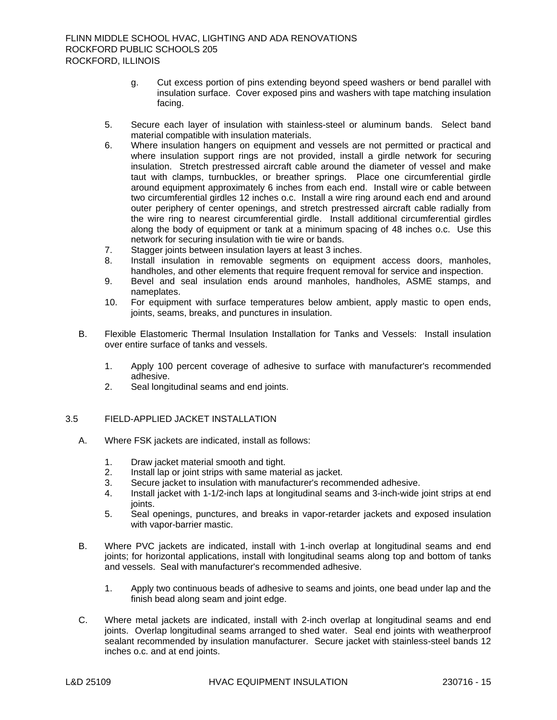- g. Cut excess portion of pins extending beyond speed washers or bend parallel with insulation surface. Cover exposed pins and washers with tape matching insulation facing.
- 5. Secure each layer of insulation with stainless-steel or aluminum bands. Select band material compatible with insulation materials.
- 6. Where insulation hangers on equipment and vessels are not permitted or practical and where insulation support rings are not provided, install a girdle network for securing insulation. Stretch prestressed aircraft cable around the diameter of vessel and make taut with clamps, turnbuckles, or breather springs. Place one circumferential girdle around equipment approximately 6 inches from each end. Install wire or cable between two circumferential girdles 12 inches o.c. Install a wire ring around each end and around outer periphery of center openings, and stretch prestressed aircraft cable radially from the wire ring to nearest circumferential girdle. Install additional circumferential girdles along the body of equipment or tank at a minimum spacing of 48 inches o.c. Use this network for securing insulation with tie wire or bands.
- 7. Stagger joints between insulation layers at least 3 inches.
- 8. Install insulation in removable segments on equipment access doors, manholes, handholes, and other elements that require frequent removal for service and inspection.
- 9. Bevel and seal insulation ends around manholes, handholes, ASME stamps, and nameplates.
- 10. For equipment with surface temperatures below ambient, apply mastic to open ends, joints, seams, breaks, and punctures in insulation.
- B. Flexible Elastomeric Thermal Insulation Installation for Tanks and Vessels: Install insulation over entire surface of tanks and vessels.
	- 1. Apply 100 percent coverage of adhesive to surface with manufacturer's recommended adhesive.
	- 2. Seal longitudinal seams and end joints.
- 3.5 FIELD-APPLIED JACKET INSTALLATION
	- A. Where FSK jackets are indicated, install as follows:
		- 1. Draw jacket material smooth and tight.
		- 2. Install lap or joint strips with same material as jacket.
		- 3. Secure jacket to insulation with manufacturer's recommended adhesive.
		- 4. Install jacket with 1-1/2-inch laps at longitudinal seams and 3-inch-wide joint strips at end joints.
		- 5. Seal openings, punctures, and breaks in vapor-retarder jackets and exposed insulation with vapor-barrier mastic.
	- B. Where PVC jackets are indicated, install with 1-inch overlap at longitudinal seams and end joints; for horizontal applications, install with longitudinal seams along top and bottom of tanks and vessels. Seal with manufacturer's recommended adhesive.
		- 1. Apply two continuous beads of adhesive to seams and joints, one bead under lap and the finish bead along seam and joint edge.
	- C. Where metal jackets are indicated, install with 2-inch overlap at longitudinal seams and end joints. Overlap longitudinal seams arranged to shed water. Seal end joints with weatherproof sealant recommended by insulation manufacturer. Secure jacket with stainless-steel bands 12 inches o.c. and at end joints.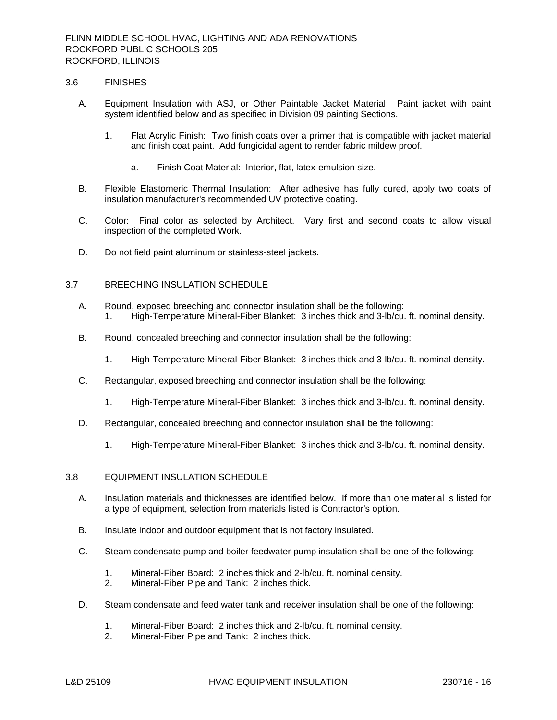#### 3.6 FINISHES

- A. Equipment Insulation with ASJ, or Other Paintable Jacket Material: Paint jacket with paint system identified below and as specified in Division 09 painting Sections.
	- 1. Flat Acrylic Finish: Two finish coats over a primer that is compatible with jacket material and finish coat paint. Add fungicidal agent to render fabric mildew proof.
		- a. Finish Coat Material: Interior, flat, latex-emulsion size.
- B. Flexible Elastomeric Thermal Insulation: After adhesive has fully cured, apply two coats of insulation manufacturer's recommended UV protective coating.
- C. Color: Final color as selected by Architect. Vary first and second coats to allow visual inspection of the completed Work.
- D. Do not field paint aluminum or stainless-steel jackets.

## 3.7 BREECHING INSULATION SCHEDULE

- A. Round, exposed breeching and connector insulation shall be the following: 1. High-Temperature Mineral-Fiber Blanket: 3 inches thick and 3-lb/cu. ft. nominal density.
- B. Round, concealed breeching and connector insulation shall be the following:
	- 1. High-Temperature Mineral-Fiber Blanket: 3 inches thick and 3-lb/cu. ft. nominal density.
- C. Rectangular, exposed breeching and connector insulation shall be the following:
	- 1. High-Temperature Mineral-Fiber Blanket: 3 inches thick and 3-lb/cu. ft. nominal density.
- D. Rectangular, concealed breeching and connector insulation shall be the following:
	- 1. High-Temperature Mineral-Fiber Blanket: 3 inches thick and 3-lb/cu. ft. nominal density.

### 3.8 EQUIPMENT INSULATION SCHEDULE

- A. Insulation materials and thicknesses are identified below. If more than one material is listed for a type of equipment, selection from materials listed is Contractor's option.
- B. Insulate indoor and outdoor equipment that is not factory insulated.
- C. Steam condensate pump and boiler feedwater pump insulation shall be one of the following:
	- 1. Mineral-Fiber Board: 2 inches thick and 2-lb/cu. ft. nominal density.
	- 2. Mineral-Fiber Pipe and Tank: 2 inches thick.
- D. Steam condensate and feed water tank and receiver insulation shall be one of the following:
	- 1. Mineral-Fiber Board: 2 inches thick and 2-lb/cu. ft. nominal density.
	- 2. Mineral-Fiber Pipe and Tank: 2 inches thick.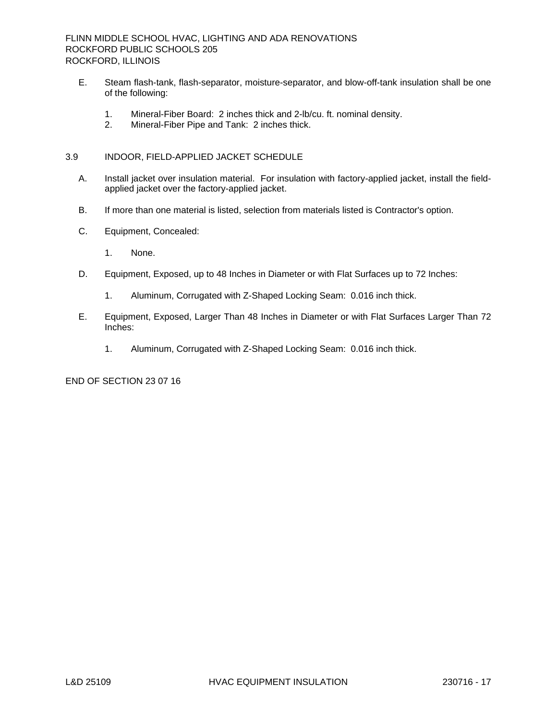- E. Steam flash-tank, flash-separator, moisture-separator, and blow-off-tank insulation shall be one of the following:
	- 1. Mineral-Fiber Board: 2 inches thick and 2-lb/cu. ft. nominal density.
	- 2. Mineral-Fiber Pipe and Tank: 2 inches thick.

# 3.9 INDOOR, FIELD-APPLIED JACKET SCHEDULE

- A. Install jacket over insulation material. For insulation with factory-applied jacket, install the fieldapplied jacket over the factory-applied jacket.
- B. If more than one material is listed, selection from materials listed is Contractor's option.
- C. Equipment, Concealed:
	- 1. None.
- D. Equipment, Exposed, up to 48 Inches in Diameter or with Flat Surfaces up to 72 Inches:
	- 1. Aluminum, Corrugated with Z-Shaped Locking Seam: 0.016 inch thick.
- E. Equipment, Exposed, Larger Than 48 Inches in Diameter or with Flat Surfaces Larger Than 72 Inches:
	- 1. Aluminum, Corrugated with Z-Shaped Locking Seam: 0.016 inch thick.

END OF SECTION 23 07 16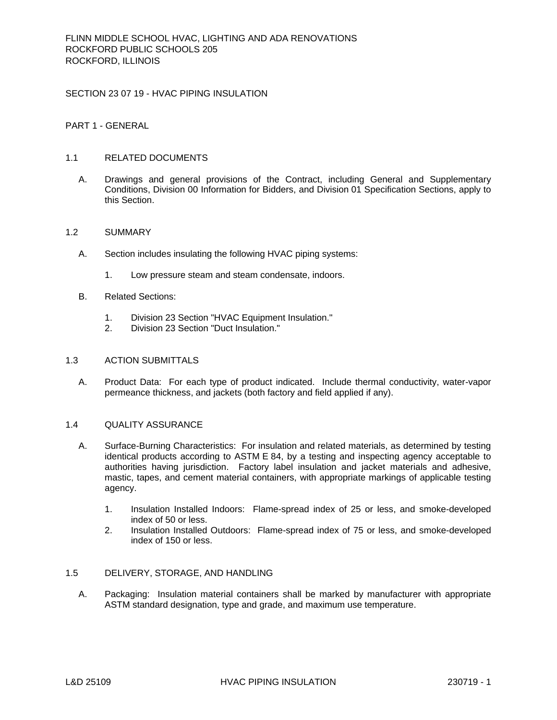SECTION 23 07 19 - HVAC PIPING INSULATION

PART 1 - GENERAL

# 1.1 RELATED DOCUMENTS

A. Drawings and general provisions of the Contract, including General and Supplementary Conditions, Division 00 Information for Bidders, and Division 01 Specification Sections, apply to this Section.

## 1.2 SUMMARY

- A. Section includes insulating the following HVAC piping systems:
	- 1. Low pressure steam and steam condensate, indoors.
- B. Related Sections:
	- 1. Division 23 Section "HVAC Equipment Insulation."
	- 2. Division 23 Section "Duct Insulation."

## 1.3 ACTION SUBMITTALS

A. Product Data: For each type of product indicated. Include thermal conductivity, water-vapor permeance thickness, and jackets (both factory and field applied if any).

# 1.4 QUALITY ASSURANCE

- A. Surface-Burning Characteristics: For insulation and related materials, as determined by testing identical products according to ASTM E 84, by a testing and inspecting agency acceptable to authorities having jurisdiction. Factory label insulation and jacket materials and adhesive, mastic, tapes, and cement material containers, with appropriate markings of applicable testing agency.
	- 1. Insulation Installed Indoors: Flame-spread index of 25 or less, and smoke-developed index of 50 or less.
	- 2. Insulation Installed Outdoors: Flame-spread index of 75 or less, and smoke-developed index of 150 or less.

# 1.5 DELIVERY, STORAGE, AND HANDLING

A. Packaging: Insulation material containers shall be marked by manufacturer with appropriate ASTM standard designation, type and grade, and maximum use temperature.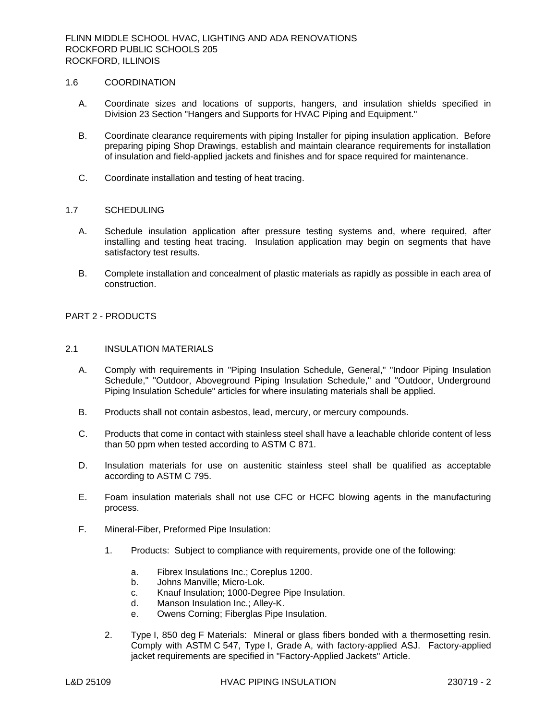## 1.6 COORDINATION

- A. Coordinate sizes and locations of supports, hangers, and insulation shields specified in Division 23 Section "Hangers and Supports for HVAC Piping and Equipment."
- B. Coordinate clearance requirements with piping Installer for piping insulation application. Before preparing piping Shop Drawings, establish and maintain clearance requirements for installation of insulation and field-applied jackets and finishes and for space required for maintenance.
- C. Coordinate installation and testing of heat tracing.

## 1.7 SCHEDULING

- A. Schedule insulation application after pressure testing systems and, where required, after installing and testing heat tracing. Insulation application may begin on segments that have satisfactory test results.
- B. Complete installation and concealment of plastic materials as rapidly as possible in each area of construction.

# PART 2 - PRODUCTS

#### 2.1 INSULATION MATERIALS

- A. Comply with requirements in "Piping Insulation Schedule, General," "Indoor Piping Insulation Schedule," "Outdoor, Aboveground Piping Insulation Schedule," and "Outdoor, Underground Piping Insulation Schedule" articles for where insulating materials shall be applied.
- B. Products shall not contain asbestos, lead, mercury, or mercury compounds.
- C. Products that come in contact with stainless steel shall have a leachable chloride content of less than 50 ppm when tested according to ASTM C 871.
- D. Insulation materials for use on austenitic stainless steel shall be qualified as acceptable according to ASTM C 795.
- E. Foam insulation materials shall not use CFC or HCFC blowing agents in the manufacturing process.
- F. Mineral-Fiber, Preformed Pipe Insulation:
	- 1. Products: Subject to compliance with requirements, provide one of the following:
		- a. Fibrex Insulations Inc.; Coreplus 1200.
		- b. Johns Manville; Micro-Lok.
		- c. Knauf Insulation; 1000-Degree Pipe Insulation.
		- d. Manson Insulation Inc.; Alley-K.
		- e. Owens Corning; Fiberglas Pipe Insulation.
	- 2. Type I, 850 deg F Materials: Mineral or glass fibers bonded with a thermosetting resin. Comply with ASTM C 547, Type I, Grade A, with factory-applied ASJ. Factory-applied jacket requirements are specified in "Factory-Applied Jackets" Article.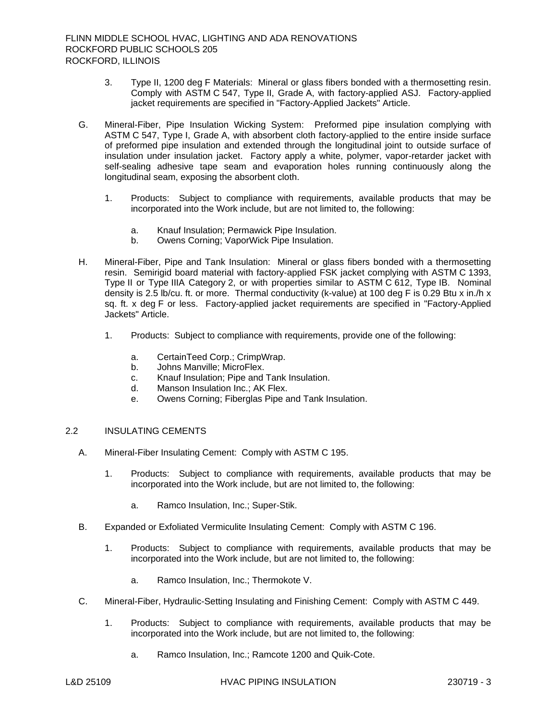- 3. Type II, 1200 deg F Materials: Mineral or glass fibers bonded with a thermosetting resin. Comply with ASTM C 547, Type II, Grade A, with factory-applied ASJ. Factory-applied jacket requirements are specified in "Factory-Applied Jackets" Article.
- G. Mineral-Fiber, Pipe Insulation Wicking System: Preformed pipe insulation complying with ASTM C 547, Type I, Grade A, with absorbent cloth factory-applied to the entire inside surface of preformed pipe insulation and extended through the longitudinal joint to outside surface of insulation under insulation jacket. Factory apply a white, polymer, vapor-retarder jacket with self-sealing adhesive tape seam and evaporation holes running continuously along the longitudinal seam, exposing the absorbent cloth.
	- 1. Products: Subject to compliance with requirements, available products that may be incorporated into the Work include, but are not limited to, the following:
		- a. Knauf Insulation; Permawick Pipe Insulation.
		- b. Owens Corning; VaporWick Pipe Insulation.
- H. Mineral-Fiber, Pipe and Tank Insulation: Mineral or glass fibers bonded with a thermosetting resin. Semirigid board material with factory-applied FSK jacket complying with ASTM C 1393, Type II or Type IIIA Category 2, or with properties similar to ASTM C 612, Type IB. Nominal density is 2.5 lb/cu. ft. or more. Thermal conductivity (k-value) at 100 deg F is 0.29 Btu x in./h x sq. ft. x deg F or less. Factory-applied jacket requirements are specified in "Factory-Applied Jackets" Article.
	- 1. Products: Subject to compliance with requirements, provide one of the following:
		- a. CertainTeed Corp.; CrimpWrap.
		- b. Johns Manville; MicroFlex.
		- c. Knauf Insulation; Pipe and Tank Insulation.
		- d. Manson Insulation Inc.; AK Flex.
		- e. Owens Corning; Fiberglas Pipe and Tank Insulation.

## 2.2 INSULATING CEMENTS

- A. Mineral-Fiber Insulating Cement: Comply with ASTM C 195.
	- 1. Products: Subject to compliance with requirements, available products that may be incorporated into the Work include, but are not limited to, the following:
		- a. Ramco Insulation, Inc.; Super-Stik.
- B. Expanded or Exfoliated Vermiculite Insulating Cement: Comply with ASTM C 196.
	- 1. Products: Subject to compliance with requirements, available products that may be incorporated into the Work include, but are not limited to, the following:
		- a. Ramco Insulation, Inc.; Thermokote V.
- C. Mineral-Fiber, Hydraulic-Setting Insulating and Finishing Cement: Comply with ASTM C 449.
	- 1. Products: Subject to compliance with requirements, available products that may be incorporated into the Work include, but are not limited to, the following:
		- a. Ramco Insulation, Inc.; Ramcote 1200 and Quik-Cote.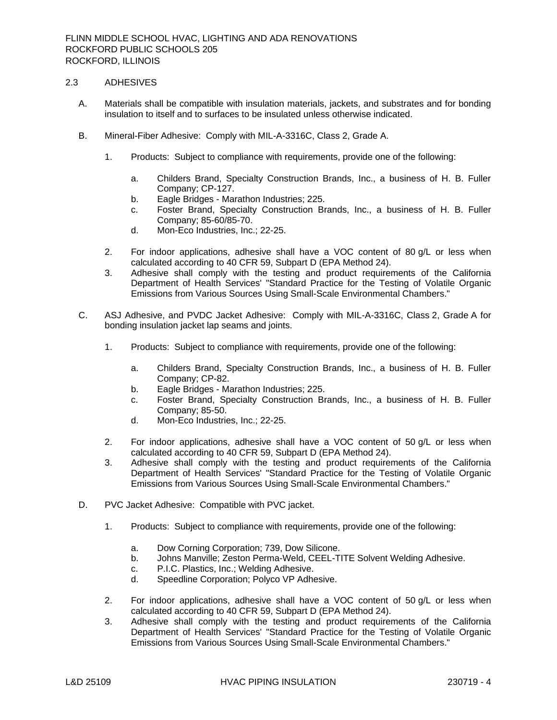## 2.3 ADHESIVES

- A. Materials shall be compatible with insulation materials, jackets, and substrates and for bonding insulation to itself and to surfaces to be insulated unless otherwise indicated.
- B. Mineral-Fiber Adhesive: Comply with MIL-A-3316C, Class 2, Grade A.
	- 1. Products: Subject to compliance with requirements, provide one of the following:
		- a. Childers Brand, Specialty Construction Brands, Inc., a business of H. B. Fuller Company; CP-127.
		- b. Eagle Bridges Marathon Industries; 225.
		- c. Foster Brand, Specialty Construction Brands, Inc., a business of H. B. Fuller Company; 85-60/85-70.
		- d. Mon-Eco Industries, Inc.; 22-25.
	- 2. For indoor applications, adhesive shall have a VOC content of 80 g/L or less when calculated according to 40 CFR 59, Subpart D (EPA Method 24).
	- 3. Adhesive shall comply with the testing and product requirements of the California Department of Health Services' "Standard Practice for the Testing of Volatile Organic Emissions from Various Sources Using Small-Scale Environmental Chambers."
- C. ASJ Adhesive, and PVDC Jacket Adhesive: Comply with MIL-A-3316C, Class 2, Grade A for bonding insulation jacket lap seams and joints.
	- 1. Products: Subject to compliance with requirements, provide one of the following:
		- a. Childers Brand, Specialty Construction Brands, Inc., a business of H. B. Fuller Company; CP-82.
		- b. Eagle Bridges Marathon Industries; 225.
		- c. Foster Brand, Specialty Construction Brands, Inc., a business of H. B. Fuller Company; 85-50.
		- d. Mon-Eco Industries, Inc.; 22-25.
	- 2. For indoor applications, adhesive shall have a VOC content of 50 g/L or less when calculated according to 40 CFR 59, Subpart D (EPA Method 24).
	- 3. Adhesive shall comply with the testing and product requirements of the California Department of Health Services' "Standard Practice for the Testing of Volatile Organic Emissions from Various Sources Using Small-Scale Environmental Chambers."
- D. PVC Jacket Adhesive: Compatible with PVC jacket.
	- 1. Products: Subject to compliance with requirements, provide one of the following:
		- a. Dow Corning Corporation; 739, Dow Silicone.
		- b. Johns Manville; Zeston Perma-Weld, CEEL-TITE Solvent Welding Adhesive.
		- c. P.I.C. Plastics, Inc.; Welding Adhesive.
		- d. Speedline Corporation; Polyco VP Adhesive.
	- 2. For indoor applications, adhesive shall have a VOC content of 50 g/L or less when calculated according to 40 CFR 59, Subpart D (EPA Method 24).
	- 3. Adhesive shall comply with the testing and product requirements of the California Department of Health Services' "Standard Practice for the Testing of Volatile Organic Emissions from Various Sources Using Small-Scale Environmental Chambers."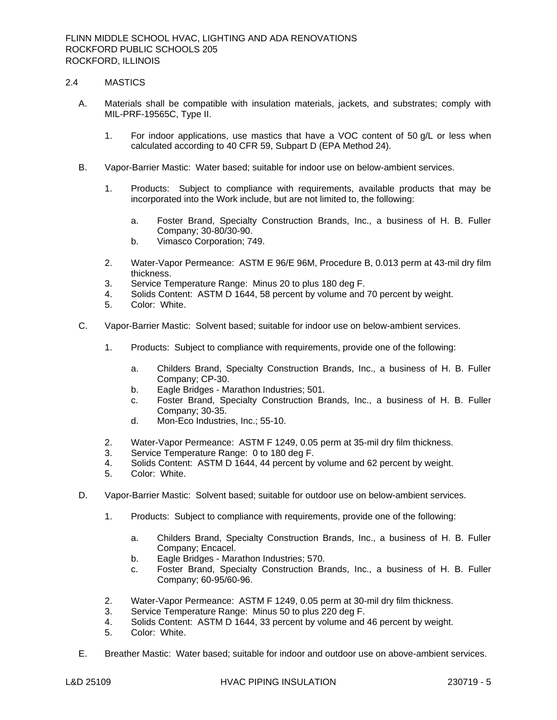## 2.4 MASTICS

- A. Materials shall be compatible with insulation materials, jackets, and substrates; comply with MIL-PRF-19565C, Type II.
	- 1. For indoor applications, use mastics that have a VOC content of 50 g/L or less when calculated according to 40 CFR 59, Subpart D (EPA Method 24).
- B. Vapor-Barrier Mastic: Water based; suitable for indoor use on below-ambient services.
	- 1. Products: Subject to compliance with requirements, available products that may be incorporated into the Work include, but are not limited to, the following:
		- a. Foster Brand, Specialty Construction Brands, Inc., a business of H. B. Fuller Company; 30-80/30-90.
		- b. Vimasco Corporation; 749.
	- 2. Water-Vapor Permeance: ASTM E 96/E 96M, Procedure B, 0.013 perm at 43-mil dry film thickness.
	- 3. Service Temperature Range: Minus 20 to plus 180 deg F.
	- 4. Solids Content: ASTM D 1644, 58 percent by volume and 70 percent by weight.
	- 5. Color: White.
- C. Vapor-Barrier Mastic: Solvent based; suitable for indoor use on below-ambient services.
	- 1. Products: Subject to compliance with requirements, provide one of the following:
		- a. Childers Brand, Specialty Construction Brands, Inc., a business of H. B. Fuller Company; CP-30.
		- b. Eagle Bridges Marathon Industries; 501.
		- c. Foster Brand, Specialty Construction Brands, Inc., a business of H. B. Fuller Company; 30-35.
		- d. Mon-Eco Industries, Inc.; 55-10.
	- 2. Water-Vapor Permeance: ASTM F 1249, 0.05 perm at 35-mil dry film thickness.
	- 3. Service Temperature Range: 0 to 180 deg F.
	- 4. Solids Content: ASTM D 1644, 44 percent by volume and 62 percent by weight.
	- 5. Color: White.
- D. Vapor-Barrier Mastic: Solvent based; suitable for outdoor use on below-ambient services.
	- 1. Products: Subject to compliance with requirements, provide one of the following:
		- a. Childers Brand, Specialty Construction Brands, Inc., a business of H. B. Fuller Company; Encacel.
		- b. Eagle Bridges Marathon Industries; 570.
		- c. Foster Brand, Specialty Construction Brands, Inc., a business of H. B. Fuller Company; 60-95/60-96.
	- 2. Water-Vapor Permeance: ASTM F 1249, 0.05 perm at 30-mil dry film thickness.
	- 3. Service Temperature Range: Minus 50 to plus 220 deg F.
	- 4. Solids Content: ASTM D 1644, 33 percent by volume and 46 percent by weight.
	- 5. Color: White.
- E. Breather Mastic: Water based; suitable for indoor and outdoor use on above-ambient services.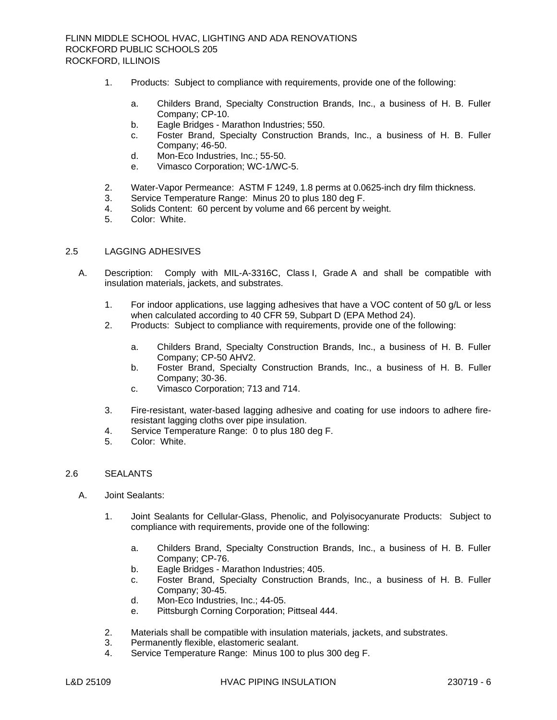- 1. Products: Subject to compliance with requirements, provide one of the following:
	- a. Childers Brand, Specialty Construction Brands, Inc., a business of H. B. Fuller Company; CP-10.
	- b. Eagle Bridges Marathon Industries; 550.
	- c. Foster Brand, Specialty Construction Brands, Inc., a business of H. B. Fuller Company; 46-50.
	- d. Mon-Eco Industries, Inc.; 55-50.
	- e. Vimasco Corporation; WC-1/WC-5.
- 2. Water-Vapor Permeance: ASTM F 1249, 1.8 perms at 0.0625-inch dry film thickness.
- 3. Service Temperature Range: Minus 20 to plus 180 deg F.
- 4. Solids Content: 60 percent by volume and 66 percent by weight.
- 5. Color: White.

## 2.5 LAGGING ADHESIVES

- A. Description: Comply with MIL-A-3316C, Class I, Grade A and shall be compatible with insulation materials, jackets, and substrates.
	- 1. For indoor applications, use lagging adhesives that have a VOC content of 50 g/L or less when calculated according to 40 CFR 59, Subpart D (EPA Method 24).
	- 2. Products: Subject to compliance with requirements, provide one of the following:
		- a. Childers Brand, Specialty Construction Brands, Inc., a business of H. B. Fuller Company; CP-50 AHV2.
		- b. Foster Brand, Specialty Construction Brands, Inc., a business of H. B. Fuller Company; 30-36.
		- c. Vimasco Corporation; 713 and 714.
	- 3. Fire-resistant, water-based lagging adhesive and coating for use indoors to adhere fireresistant lagging cloths over pipe insulation.
	- 4. Service Temperature Range: 0 to plus 180 deg F.
	- 5. Color: White.

#### 2.6 SEALANTS

- A. Joint Sealants:
	- 1. Joint Sealants for Cellular-Glass, Phenolic, and Polyisocyanurate Products: Subject to compliance with requirements, provide one of the following:
		- a. Childers Brand, Specialty Construction Brands, Inc., a business of H. B. Fuller Company; CP-76.
		- b. Eagle Bridges Marathon Industries; 405.
		- c. Foster Brand, Specialty Construction Brands, Inc., a business of H. B. Fuller Company; 30-45.
		- d. Mon-Eco Industries, Inc.; 44-05.
		- e. Pittsburgh Corning Corporation; Pittseal 444.
	- 2. Materials shall be compatible with insulation materials, jackets, and substrates.
	- 3. Permanently flexible, elastomeric sealant.
	- 4. Service Temperature Range: Minus 100 to plus 300 deg F.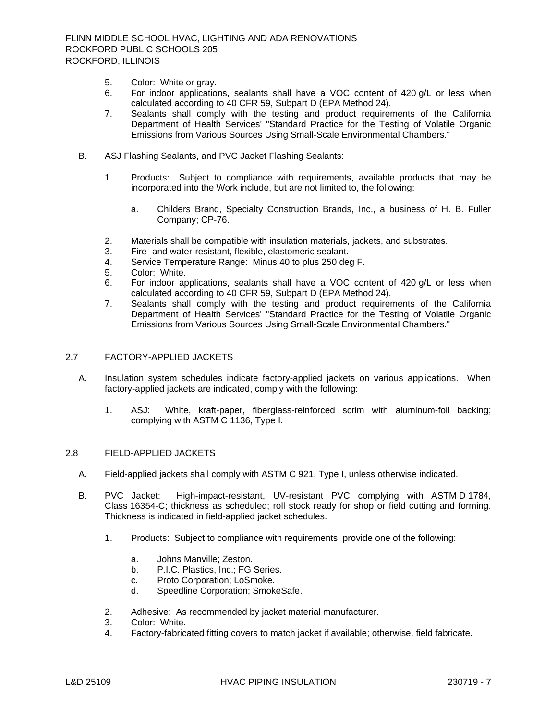- 5. Color: White or gray.
- 6. For indoor applications, sealants shall have a VOC content of 420 g/L or less when calculated according to 40 CFR 59, Subpart D (EPA Method 24).
- 7. Sealants shall comply with the testing and product requirements of the California Department of Health Services' "Standard Practice for the Testing of Volatile Organic Emissions from Various Sources Using Small-Scale Environmental Chambers."
- B. ASJ Flashing Sealants, and PVC Jacket Flashing Sealants:
	- 1. Products: Subject to compliance with requirements, available products that may be incorporated into the Work include, but are not limited to, the following:
		- a. Childers Brand, Specialty Construction Brands, Inc., a business of H. B. Fuller Company; CP-76.
	- 2. Materials shall be compatible with insulation materials, jackets, and substrates.
	- 3. Fire- and water-resistant, flexible, elastomeric sealant.
	- 4. Service Temperature Range: Minus 40 to plus 250 deg F.
	- 5. Color: White.
	- 6. For indoor applications, sealants shall have a VOC content of 420 g/L or less when calculated according to 40 CFR 59, Subpart D (EPA Method 24).
	- 7. Sealants shall comply with the testing and product requirements of the California Department of Health Services' "Standard Practice for the Testing of Volatile Organic Emissions from Various Sources Using Small-Scale Environmental Chambers."

## 2.7 FACTORY-APPLIED JACKETS

- A. Insulation system schedules indicate factory-applied jackets on various applications. When factory-applied jackets are indicated, comply with the following:
	- 1. ASJ: White, kraft-paper, fiberglass-reinforced scrim with aluminum-foil backing; complying with ASTM C 1136, Type I.

### 2.8 FIELD-APPLIED JACKETS

- A. Field-applied jackets shall comply with ASTM C 921, Type I, unless otherwise indicated.
- B. PVC Jacket: High-impact-resistant, UV-resistant PVC complying with ASTM D 1784, Class 16354-C; thickness as scheduled; roll stock ready for shop or field cutting and forming. Thickness is indicated in field-applied jacket schedules.
	- 1. Products: Subject to compliance with requirements, provide one of the following:
		- a. Johns Manville; Zeston.
		- b. P.I.C. Plastics, Inc.; FG Series.
		- c. Proto Corporation; LoSmoke.
		- d. Speedline Corporation; SmokeSafe.
	- 2. Adhesive: As recommended by jacket material manufacturer.
	- 3. Color: White.
	- 4. Factory-fabricated fitting covers to match jacket if available; otherwise, field fabricate.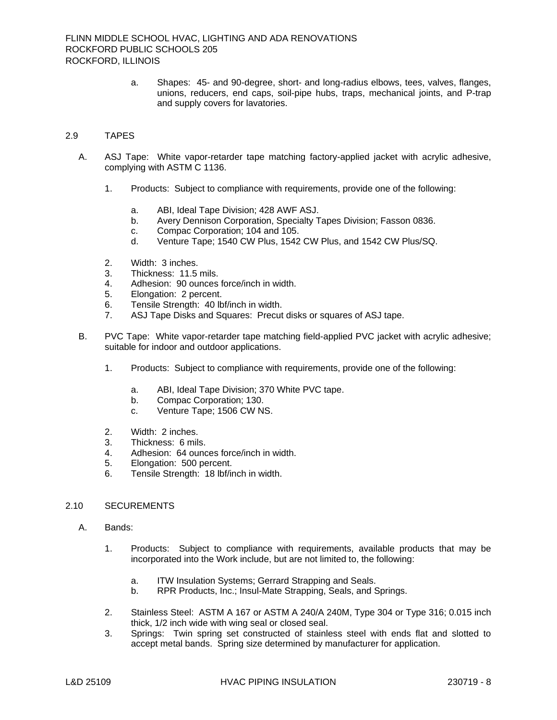a. Shapes: 45- and 90-degree, short- and long-radius elbows, tees, valves, flanges, unions, reducers, end caps, soil-pipe hubs, traps, mechanical joints, and P-trap and supply covers for lavatories.

## 2.9 TAPES

- A. ASJ Tape: White vapor-retarder tape matching factory-applied jacket with acrylic adhesive, complying with ASTM C 1136.
	- 1. Products: Subject to compliance with requirements, provide one of the following:
		- a. ABI, Ideal Tape Division; 428 AWF ASJ.
		- b. Avery Dennison Corporation, Specialty Tapes Division; Fasson 0836.
		- c. Compac Corporation; 104 and 105.
		- d. Venture Tape; 1540 CW Plus, 1542 CW Plus, and 1542 CW Plus/SQ.
	- 2. Width: 3 inches.
	- 3. Thickness: 11.5 mils.
	- 4. Adhesion: 90 ounces force/inch in width.
	- 5. Elongation: 2 percent.
	- 6. Tensile Strength: 40 lbf/inch in width.
	- 7. ASJ Tape Disks and Squares: Precut disks or squares of ASJ tape.
- B. PVC Tape: White vapor-retarder tape matching field-applied PVC jacket with acrylic adhesive; suitable for indoor and outdoor applications.
	- 1. Products: Subject to compliance with requirements, provide one of the following:
		- a. ABI, Ideal Tape Division; 370 White PVC tape.
		- b. Compac Corporation; 130.
		- c. Venture Tape; 1506 CW NS.
	- 2. Width: 2 inches.
	- 3. Thickness: 6 mils.
	- 4. Adhesion: 64 ounces force/inch in width.
	- 5. Elongation: 500 percent.
	- 6. Tensile Strength: 18 lbf/inch in width.

# 2.10 SECUREMENTS

- A. Bands:
	- 1. Products: Subject to compliance with requirements, available products that may be incorporated into the Work include, but are not limited to, the following:
		- a. ITW Insulation Systems; Gerrard Strapping and Seals.
		- b. RPR Products, Inc.; Insul-Mate Strapping, Seals, and Springs.
	- 2. Stainless Steel: ASTM A 167 or ASTM A 240/A 240M, Type 304 or Type 316; 0.015 inch thick, 1/2 inch wide with wing seal or closed seal.
	- 3. Springs: Twin spring set constructed of stainless steel with ends flat and slotted to accept metal bands. Spring size determined by manufacturer for application.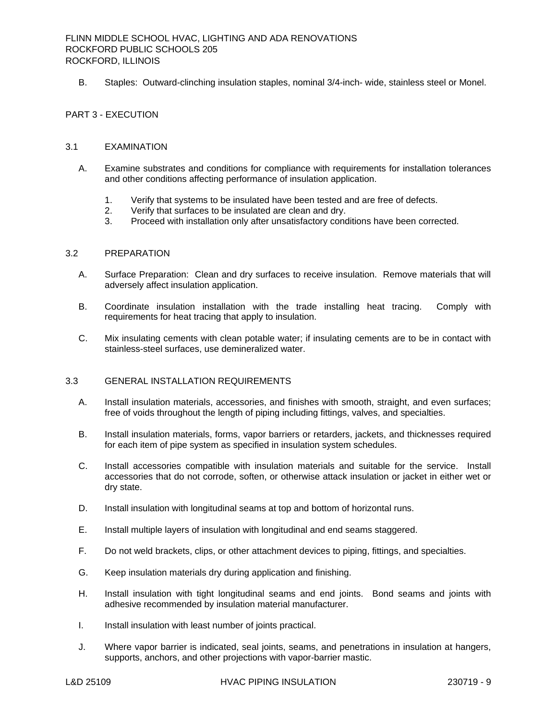B. Staples: Outward-clinching insulation staples, nominal 3/4-inch- wide, stainless steel or Monel.

## PART 3 - EXECUTION

### 3.1 EXAMINATION

- A. Examine substrates and conditions for compliance with requirements for installation tolerances and other conditions affecting performance of insulation application.
	- 1. Verify that systems to be insulated have been tested and are free of defects.
	- 2. Verify that surfaces to be insulated are clean and dry.
	- 3. Proceed with installation only after unsatisfactory conditions have been corrected.

#### 3.2 PREPARATION

- A. Surface Preparation: Clean and dry surfaces to receive insulation. Remove materials that will adversely affect insulation application.
- B. Coordinate insulation installation with the trade installing heat tracing. Comply with requirements for heat tracing that apply to insulation.
- C. Mix insulating cements with clean potable water; if insulating cements are to be in contact with stainless-steel surfaces, use demineralized water.

## 3.3 GENERAL INSTALLATION REQUIREMENTS

- A. Install insulation materials, accessories, and finishes with smooth, straight, and even surfaces; free of voids throughout the length of piping including fittings, valves, and specialties.
- B. Install insulation materials, forms, vapor barriers or retarders, jackets, and thicknesses required for each item of pipe system as specified in insulation system schedules.
- C. Install accessories compatible with insulation materials and suitable for the service. Install accessories that do not corrode, soften, or otherwise attack insulation or jacket in either wet or dry state.
- D. Install insulation with longitudinal seams at top and bottom of horizontal runs.
- E. Install multiple layers of insulation with longitudinal and end seams staggered.
- F. Do not weld brackets, clips, or other attachment devices to piping, fittings, and specialties.
- G. Keep insulation materials dry during application and finishing.
- H. Install insulation with tight longitudinal seams and end joints. Bond seams and joints with adhesive recommended by insulation material manufacturer.
- I. Install insulation with least number of joints practical.
- J. Where vapor barrier is indicated, seal joints, seams, and penetrations in insulation at hangers, supports, anchors, and other projections with vapor-barrier mastic.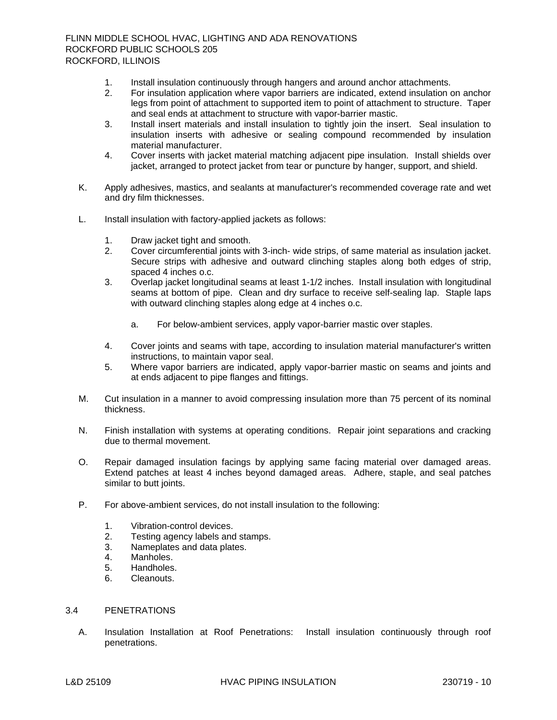- 1. Install insulation continuously through hangers and around anchor attachments.
- 2. For insulation application where vapor barriers are indicated, extend insulation on anchor legs from point of attachment to supported item to point of attachment to structure. Taper and seal ends at attachment to structure with vapor-barrier mastic.
- 3. Install insert materials and install insulation to tightly join the insert. Seal insulation to insulation inserts with adhesive or sealing compound recommended by insulation material manufacturer.
- 4. Cover inserts with jacket material matching adjacent pipe insulation. Install shields over jacket, arranged to protect jacket from tear or puncture by hanger, support, and shield.
- K. Apply adhesives, mastics, and sealants at manufacturer's recommended coverage rate and wet and dry film thicknesses.
- L. Install insulation with factory-applied jackets as follows:
	- 1. Draw jacket tight and smooth.
	- 2. Cover circumferential joints with 3-inch- wide strips, of same material as insulation jacket. Secure strips with adhesive and outward clinching staples along both edges of strip, spaced 4 inches o.c.
	- 3. Overlap jacket longitudinal seams at least 1-1/2 inches. Install insulation with longitudinal seams at bottom of pipe. Clean and dry surface to receive self-sealing lap. Staple laps with outward clinching staples along edge at 4 inches o.c.
		- a. For below-ambient services, apply vapor-barrier mastic over staples.
	- 4. Cover joints and seams with tape, according to insulation material manufacturer's written instructions, to maintain vapor seal.
	- 5. Where vapor barriers are indicated, apply vapor-barrier mastic on seams and joints and at ends adjacent to pipe flanges and fittings.
- M. Cut insulation in a manner to avoid compressing insulation more than 75 percent of its nominal thickness.
- N. Finish installation with systems at operating conditions. Repair joint separations and cracking due to thermal movement.
- O. Repair damaged insulation facings by applying same facing material over damaged areas. Extend patches at least 4 inches beyond damaged areas. Adhere, staple, and seal patches similar to butt joints.
- P. For above-ambient services, do not install insulation to the following:
	- 1. Vibration-control devices.
	- 2. Testing agency labels and stamps.
	- 3. Nameplates and data plates.
	- 4. Manholes.
	- 5. Handholes.
	- 6. Cleanouts.

# 3.4 PENETRATIONS

A. Insulation Installation at Roof Penetrations: Install insulation continuously through roof penetrations.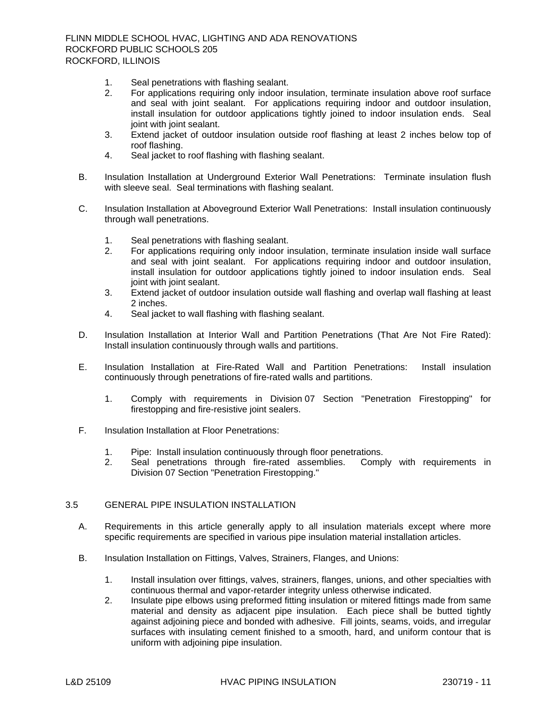- 1. Seal penetrations with flashing sealant.
- 2. For applications requiring only indoor insulation, terminate insulation above roof surface and seal with joint sealant. For applications requiring indoor and outdoor insulation, install insulation for outdoor applications tightly joined to indoor insulation ends. Seal joint with joint sealant.
- 3. Extend jacket of outdoor insulation outside roof flashing at least 2 inches below top of roof flashing.
- 4. Seal jacket to roof flashing with flashing sealant.
- B. Insulation Installation at Underground Exterior Wall Penetrations: Terminate insulation flush with sleeve seal. Seal terminations with flashing sealant.
- C. Insulation Installation at Aboveground Exterior Wall Penetrations: Install insulation continuously through wall penetrations.
	- 1. Seal penetrations with flashing sealant.
	- 2. For applications requiring only indoor insulation, terminate insulation inside wall surface and seal with joint sealant. For applications requiring indoor and outdoor insulation, install insulation for outdoor applications tightly joined to indoor insulation ends. Seal joint with joint sealant.
	- 3. Extend jacket of outdoor insulation outside wall flashing and overlap wall flashing at least 2 inches.
	- 4. Seal jacket to wall flashing with flashing sealant.
- D. Insulation Installation at Interior Wall and Partition Penetrations (That Are Not Fire Rated): Install insulation continuously through walls and partitions.
- E. Insulation Installation at Fire-Rated Wall and Partition Penetrations: Install insulation continuously through penetrations of fire-rated walls and partitions.
	- 1. Comply with requirements in Division 07 Section "Penetration Firestopping" for firestopping and fire-resistive joint sealers.
- F. Insulation Installation at Floor Penetrations:
	- 1. Pipe: Install insulation continuously through floor penetrations.
	- 2. Seal penetrations through fire-rated assemblies. Comply with requirements in Division 07 Section "Penetration Firestopping."

# 3.5 GENERAL PIPE INSULATION INSTALLATION

- A. Requirements in this article generally apply to all insulation materials except where more specific requirements are specified in various pipe insulation material installation articles.
- B. Insulation Installation on Fittings, Valves, Strainers, Flanges, and Unions:
	- 1. Install insulation over fittings, valves, strainers, flanges, unions, and other specialties with continuous thermal and vapor-retarder integrity unless otherwise indicated.
	- 2. Insulate pipe elbows using preformed fitting insulation or mitered fittings made from same material and density as adjacent pipe insulation. Each piece shall be butted tightly against adjoining piece and bonded with adhesive. Fill joints, seams, voids, and irregular surfaces with insulating cement finished to a smooth, hard, and uniform contour that is uniform with adjoining pipe insulation.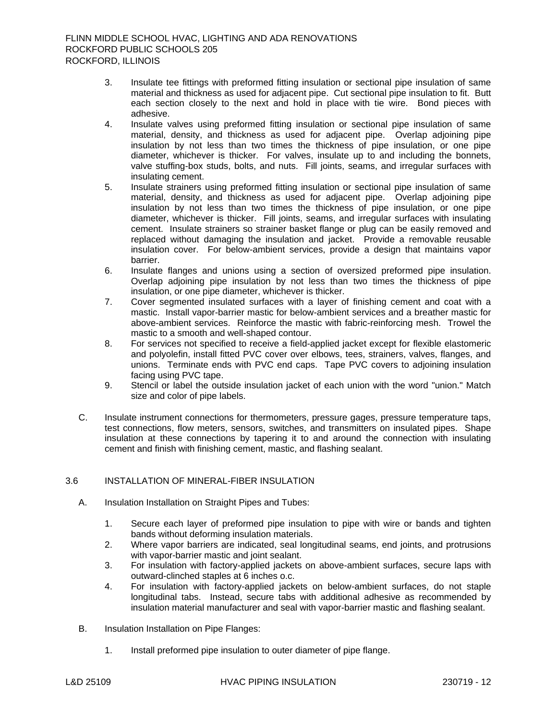- 3. Insulate tee fittings with preformed fitting insulation or sectional pipe insulation of same material and thickness as used for adjacent pipe. Cut sectional pipe insulation to fit. Butt each section closely to the next and hold in place with tie wire. Bond pieces with adhesive.
- 4. Insulate valves using preformed fitting insulation or sectional pipe insulation of same material, density, and thickness as used for adjacent pipe. Overlap adjoining pipe insulation by not less than two times the thickness of pipe insulation, or one pipe diameter, whichever is thicker. For valves, insulate up to and including the bonnets, valve stuffing-box studs, bolts, and nuts. Fill joints, seams, and irregular surfaces with insulating cement.
- 5. Insulate strainers using preformed fitting insulation or sectional pipe insulation of same material, density, and thickness as used for adjacent pipe. Overlap adjoining pipe insulation by not less than two times the thickness of pipe insulation, or one pipe diameter, whichever is thicker. Fill joints, seams, and irregular surfaces with insulating cement. Insulate strainers so strainer basket flange or plug can be easily removed and replaced without damaging the insulation and jacket. Provide a removable reusable insulation cover. For below-ambient services, provide a design that maintains vapor barrier.
- 6. Insulate flanges and unions using a section of oversized preformed pipe insulation. Overlap adjoining pipe insulation by not less than two times the thickness of pipe insulation, or one pipe diameter, whichever is thicker.
- 7. Cover segmented insulated surfaces with a layer of finishing cement and coat with a mastic. Install vapor-barrier mastic for below-ambient services and a breather mastic for above-ambient services. Reinforce the mastic with fabric-reinforcing mesh. Trowel the mastic to a smooth and well-shaped contour.
- 8. For services not specified to receive a field-applied jacket except for flexible elastomeric and polyolefin, install fitted PVC cover over elbows, tees, strainers, valves, flanges, and unions. Terminate ends with PVC end caps. Tape PVC covers to adjoining insulation facing using PVC tape.
- 9. Stencil or label the outside insulation jacket of each union with the word "union." Match size and color of pipe labels.
- C. Insulate instrument connections for thermometers, pressure gages, pressure temperature taps, test connections, flow meters, sensors, switches, and transmitters on insulated pipes. Shape insulation at these connections by tapering it to and around the connection with insulating cement and finish with finishing cement, mastic, and flashing sealant.

# 3.6 INSTALLATION OF MINERAL-FIBER INSULATION

- A. Insulation Installation on Straight Pipes and Tubes:
	- 1. Secure each layer of preformed pipe insulation to pipe with wire or bands and tighten bands without deforming insulation materials.
	- 2. Where vapor barriers are indicated, seal longitudinal seams, end joints, and protrusions with vapor-barrier mastic and joint sealant.
	- 3. For insulation with factory-applied jackets on above-ambient surfaces, secure laps with outward-clinched staples at 6 inches o.c.
	- 4. For insulation with factory-applied jackets on below-ambient surfaces, do not staple longitudinal tabs. Instead, secure tabs with additional adhesive as recommended by insulation material manufacturer and seal with vapor-barrier mastic and flashing sealant.
- B. Insulation Installation on Pipe Flanges:
	- 1. Install preformed pipe insulation to outer diameter of pipe flange.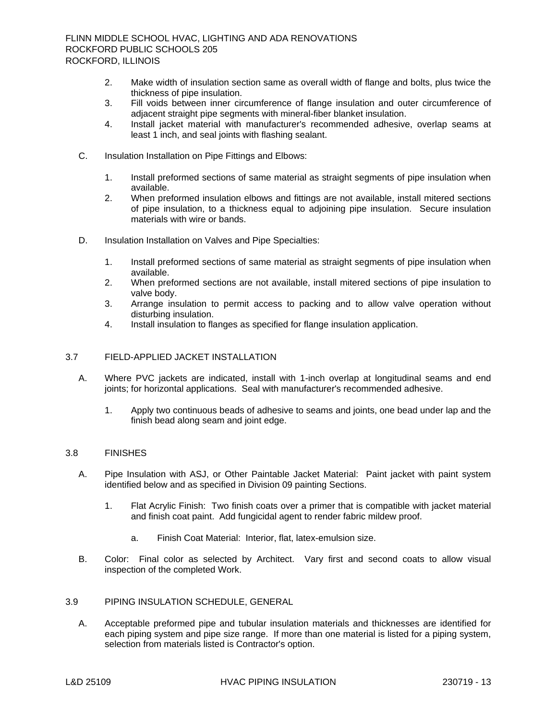- 2. Make width of insulation section same as overall width of flange and bolts, plus twice the thickness of pipe insulation.
- 3. Fill voids between inner circumference of flange insulation and outer circumference of adjacent straight pipe segments with mineral-fiber blanket insulation.
- 4. Install jacket material with manufacturer's recommended adhesive, overlap seams at least 1 inch, and seal joints with flashing sealant.
- C. Insulation Installation on Pipe Fittings and Elbows:
	- 1. Install preformed sections of same material as straight segments of pipe insulation when available.
	- 2. When preformed insulation elbows and fittings are not available, install mitered sections of pipe insulation, to a thickness equal to adjoining pipe insulation. Secure insulation materials with wire or bands.
- D. Insulation Installation on Valves and Pipe Specialties:
	- 1. Install preformed sections of same material as straight segments of pipe insulation when available.
	- 2. When preformed sections are not available, install mitered sections of pipe insulation to valve body.
	- 3. Arrange insulation to permit access to packing and to allow valve operation without disturbing insulation.
	- 4. Install insulation to flanges as specified for flange insulation application.

## 3.7 FIELD-APPLIED JACKET INSTALLATION

- A. Where PVC jackets are indicated, install with 1-inch overlap at longitudinal seams and end joints; for horizontal applications. Seal with manufacturer's recommended adhesive.
	- 1. Apply two continuous beads of adhesive to seams and joints, one bead under lap and the finish bead along seam and joint edge.

### 3.8 FINISHES

- A. Pipe Insulation with ASJ, or Other Paintable Jacket Material: Paint jacket with paint system identified below and as specified in Division 09 painting Sections.
	- 1. Flat Acrylic Finish: Two finish coats over a primer that is compatible with jacket material and finish coat paint. Add fungicidal agent to render fabric mildew proof.
		- a. Finish Coat Material: Interior, flat, latex-emulsion size.
- B. Color: Final color as selected by Architect. Vary first and second coats to allow visual inspection of the completed Work.

## 3.9 PIPING INSULATION SCHEDULE, GENERAL

A. Acceptable preformed pipe and tubular insulation materials and thicknesses are identified for each piping system and pipe size range. If more than one material is listed for a piping system, selection from materials listed is Contractor's option.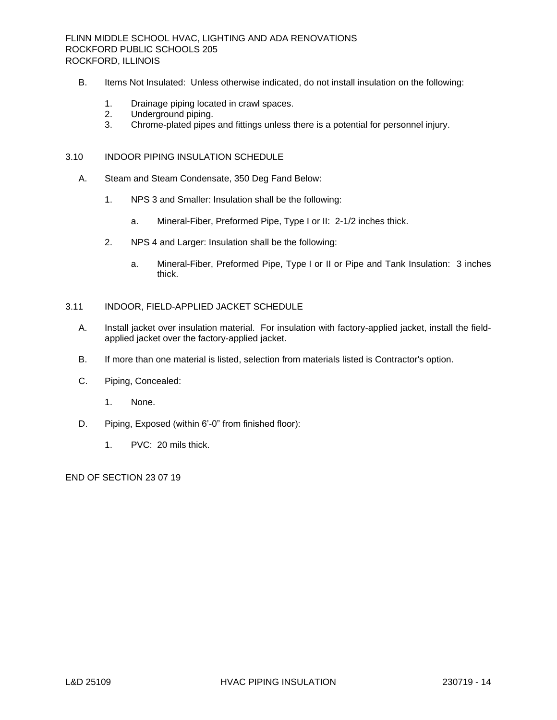- B. Items Not Insulated: Unless otherwise indicated, do not install insulation on the following:
	- 1. Drainage piping located in crawl spaces.
	- 2. Underground piping.
	- 3. Chrome-plated pipes and fittings unless there is a potential for personnel injury.

### 3.10 INDOOR PIPING INSULATION SCHEDULE

- A. Steam and Steam Condensate, 350 Deg Fand Below:
	- 1. NPS 3 and Smaller: Insulation shall be the following:
		- a. Mineral-Fiber, Preformed Pipe, Type I or II: 2-1/2 inches thick.
	- 2. NPS 4 and Larger: Insulation shall be the following:
		- a. Mineral-Fiber, Preformed Pipe, Type I or II or Pipe and Tank Insulation: 3 inches thick.

## 3.11 INDOOR, FIELD-APPLIED JACKET SCHEDULE

- A. Install jacket over insulation material. For insulation with factory-applied jacket, install the fieldapplied jacket over the factory-applied jacket.
- B. If more than one material is listed, selection from materials listed is Contractor's option.
- C. Piping, Concealed:
	- 1. None.
- D. Piping, Exposed (within 6'-0" from finished floor):
	- 1. PVC: 20 mils thick.

END OF SECTION 23 07 19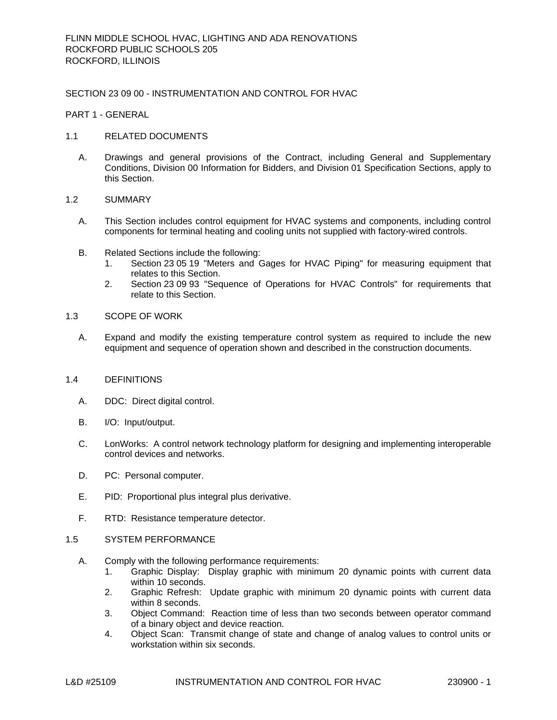### SECTION 23 09 00 - INSTRUMENTATION AND CONTROL FOR HVAC

PART 1 - GENERAL

### 1.1 RELATED DOCUMENTS

A. Drawings and general provisions of the Contract, including General and Supplementary Conditions, Division 00 Information for Bidders, and Division 01 Specification Sections, apply to this Section.

## 1.2 SUMMARY

- A. This Section includes control equipment for HVAC systems and components, including control components for terminal heating and cooling units not supplied with factory-wired controls.
- B. Related Sections include the following:
	- 1. Section 23 05 19 "Meters and Gages for HVAC Piping" for measuring equipment that relates to this Section.
	- 2. Section 23 09 93 "Sequence of Operations for HVAC Controls" for requirements that relate to this Section.

### 1.3 SCOPE OF WORK

A. Expand and modify the existing temperature control system as required to include the new equipment and sequence of operation shown and described in the construction documents.

#### 1.4 DEFINITIONS

- A. DDC: Direct digital control.
- B. I/O: Input/output.
- C. LonWorks: A control network technology platform for designing and implementing interoperable control devices and networks.
- D. PC: Personal computer.
- E. PID: Proportional plus integral plus derivative.
- F. RTD: Resistance temperature detector.

## 1.5 SYSTEM PERFORMANCE

- A. Comply with the following performance requirements:
	- 1. Graphic Display: Display graphic with minimum 20 dynamic points with current data within 10 seconds.
	- 2. Graphic Refresh: Update graphic with minimum 20 dynamic points with current data within 8 seconds.
	- 3. Object Command: Reaction time of less than two seconds between operator command of a binary object and device reaction.
	- 4. Object Scan: Transmit change of state and change of analog values to control units or workstation within six seconds.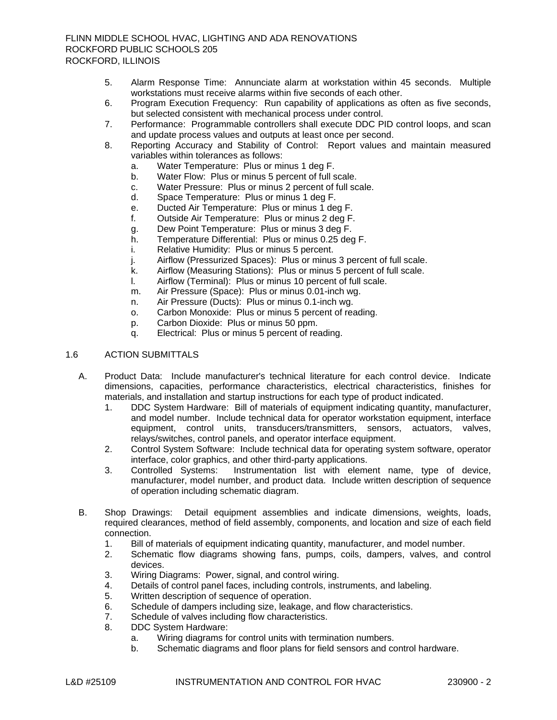- 5. Alarm Response Time: Annunciate alarm at workstation within 45 seconds. Multiple workstations must receive alarms within five seconds of each other.
- 6. Program Execution Frequency: Run capability of applications as often as five seconds, but selected consistent with mechanical process under control.
- 7. Performance: Programmable controllers shall execute DDC PID control loops, and scan and update process values and outputs at least once per second.
- 8. Reporting Accuracy and Stability of Control: Report values and maintain measured variables within tolerances as follows:
	- a. Water Temperature: Plus or minus 1 deg F.
	- b. Water Flow: Plus or minus 5 percent of full scale.
	- c. Water Pressure: Plus or minus 2 percent of full scale.
	- d. Space Temperature: Plus or minus 1 deg F.
	- e. Ducted Air Temperature: Plus or minus 1 deg F.
	- f. Outside Air Temperature: Plus or minus 2 deg F.
	- g. Dew Point Temperature: Plus or minus 3 deg F.
	- h. Temperature Differential: Plus or minus 0.25 deg F.
	- i. Relative Humidity: Plus or minus 5 percent.
	- j. Airflow (Pressurized Spaces): Plus or minus 3 percent of full scale.
	- k. Airflow (Measuring Stations): Plus or minus 5 percent of full scale.
	- l. Airflow (Terminal): Plus or minus 10 percent of full scale.
	- m. Air Pressure (Space): Plus or minus 0.01-inch wg.
	- n. Air Pressure (Ducts): Plus or minus 0.1-inch wg.
	- o. Carbon Monoxide: Plus or minus 5 percent of reading.
	- p. Carbon Dioxide: Plus or minus 50 ppm.
	- q. Electrical: Plus or minus 5 percent of reading.

## 1.6 ACTION SUBMITTALS

- A. Product Data: Include manufacturer's technical literature for each control device. Indicate dimensions, capacities, performance characteristics, electrical characteristics, finishes for materials, and installation and startup instructions for each type of product indicated.
	- 1. DDC System Hardware: Bill of materials of equipment indicating quantity, manufacturer, and model number. Include technical data for operator workstation equipment, interface equipment, control units, transducers/transmitters, sensors, actuators, valves, relays/switches, control panels, and operator interface equipment.
	- 2. Control System Software: Include technical data for operating system software, operator interface, color graphics, and other third-party applications.<br>Controlled Systems: Instrumentation list with eleme
	- 3. Controlled Systems: Instrumentation list with element name, type of device, manufacturer, model number, and product data. Include written description of sequence of operation including schematic diagram.
- B. Shop Drawings: Detail equipment assemblies and indicate dimensions, weights, loads, required clearances, method of field assembly, components, and location and size of each field connection.
	- 1. Bill of materials of equipment indicating quantity, manufacturer, and model number.
	- 2. Schematic flow diagrams showing fans, pumps, coils, dampers, valves, and control devices.
	- 3. Wiring Diagrams: Power, signal, and control wiring.
	- 4. Details of control panel faces, including controls, instruments, and labeling.
	- 5. Written description of sequence of operation.
	- 6. Schedule of dampers including size, leakage, and flow characteristics.
	- 7. Schedule of valves including flow characteristics.
	- 8. DDC System Hardware:
		- a. Wiring diagrams for control units with termination numbers.
		- b. Schematic diagrams and floor plans for field sensors and control hardware.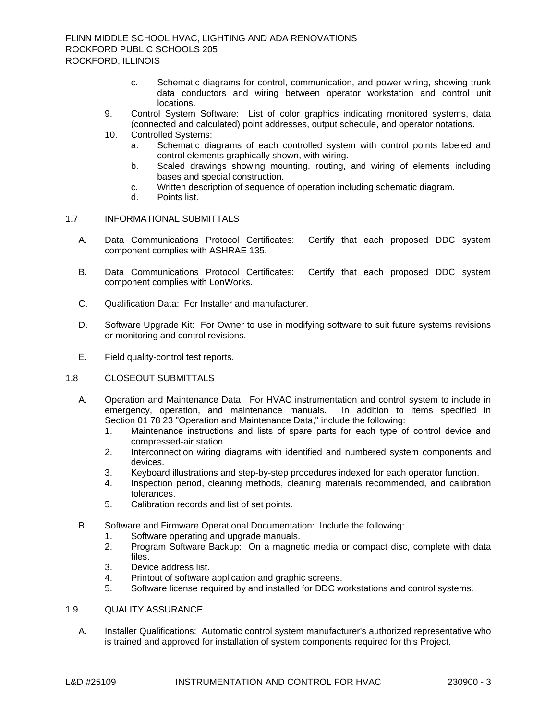- c. Schematic diagrams for control, communication, and power wiring, showing trunk data conductors and wiring between operator workstation and control unit locations.
- 9. Control System Software: List of color graphics indicating monitored systems, data (connected and calculated) point addresses, output schedule, and operator notations.
- 10. Controlled Systems:
	- a. Schematic diagrams of each controlled system with control points labeled and control elements graphically shown, with wiring.
	- b. Scaled drawings showing mounting, routing, and wiring of elements including bases and special construction.
	- c. Written description of sequence of operation including schematic diagram.
	- d. Points list.

### 1.7 INFORMATIONAL SUBMITTALS

- A. Data Communications Protocol Certificates: Certify that each proposed DDC system component complies with ASHRAE 135.
- B. Data Communications Protocol Certificates: Certify that each proposed DDC system component complies with LonWorks.
- C. Qualification Data: For Installer and manufacturer.
- D. Software Upgrade Kit: For Owner to use in modifying software to suit future systems revisions or monitoring and control revisions.
- E. Field quality-control test reports.
- 1.8 CLOSEOUT SUBMITTALS
	- A. Operation and Maintenance Data: For HVAC instrumentation and control system to include in emergency, operation, and maintenance manuals. In addition to items specified in emergency, operation, and maintenance manuals. Section 01 78 23 "Operation and Maintenance Data," include the following:
		- 1. Maintenance instructions and lists of spare parts for each type of control device and compressed-air station.
		- 2. Interconnection wiring diagrams with identified and numbered system components and devices.
		- 3. Keyboard illustrations and step-by-step procedures indexed for each operator function.
		- 4. Inspection period, cleaning methods, cleaning materials recommended, and calibration tolerances.
		- 5. Calibration records and list of set points.
	- B. Software and Firmware Operational Documentation: Include the following:
		- 1. Software operating and upgrade manuals.
		- 2. Program Software Backup: On a magnetic media or compact disc, complete with data files.
		- 3. Device address list.
		- 4. Printout of software application and graphic screens.
		- 5. Software license required by and installed for DDC workstations and control systems.

## 1.9 QUALITY ASSURANCE

A. Installer Qualifications: Automatic control system manufacturer's authorized representative who is trained and approved for installation of system components required for this Project.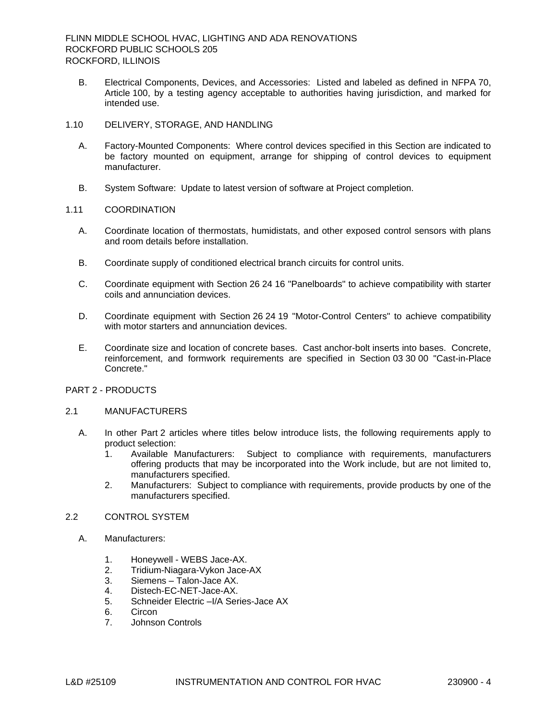B. Electrical Components, Devices, and Accessories: Listed and labeled as defined in NFPA 70, Article 100, by a testing agency acceptable to authorities having jurisdiction, and marked for intended use.

### 1.10 DELIVERY, STORAGE, AND HANDLING

- A. Factory-Mounted Components: Where control devices specified in this Section are indicated to be factory mounted on equipment, arrange for shipping of control devices to equipment manufacturer.
- B. System Software: Update to latest version of software at Project completion.

### 1.11 COORDINATION

- A. Coordinate location of thermostats, humidistats, and other exposed control sensors with plans and room details before installation.
- B. Coordinate supply of conditioned electrical branch circuits for control units.
- C. Coordinate equipment with Section 26 24 16 "Panelboards" to achieve compatibility with starter coils and annunciation devices.
- D. Coordinate equipment with Section 26 24 19 "Motor-Control Centers" to achieve compatibility with motor starters and annunciation devices.
- E. Coordinate size and location of concrete bases. Cast anchor-bolt inserts into bases. Concrete, reinforcement, and formwork requirements are specified in Section 03 30 00 "Cast-in-Place Concrete."

# PART 2 - PRODUCTS

### 2.1 MANUFACTURERS

- A. In other Part 2 articles where titles below introduce lists, the following requirements apply to product selection:
	- 1. Available Manufacturers: Subject to compliance with requirements, manufacturers offering products that may be incorporated into the Work include, but are not limited to, manufacturers specified.
	- 2. Manufacturers: Subject to compliance with requirements, provide products by one of the manufacturers specified.

# 2.2 CONTROL SYSTEM

- A. [Manufacturers:](http://www.specagent.com/LookUp/?ulid=3262&mf=04&src=wd)
	- 1. [Honeywell -](http://www.specagent.com/LookUp/?uid=123456824776&mf=04&src=wd) WEBS Jace-AX.<br>2. Tridium-Niagara-Vykon Jace-
	- 2. Tridium-Niagara-Vykon Jace-AX<br>3. Siemens Talon-Jace AX.
	- [Siemens –](http://www.specagent.com/LookUp/?uid=123456811862&mf=04&src=wd) Talon-Jace AX.
	- 4. Distech-EC-NET-Jace-AX.
	- 5. Schneider Electric –I/A Series-Jace AX
	- 6. Circon
	- 7. Johnson Controls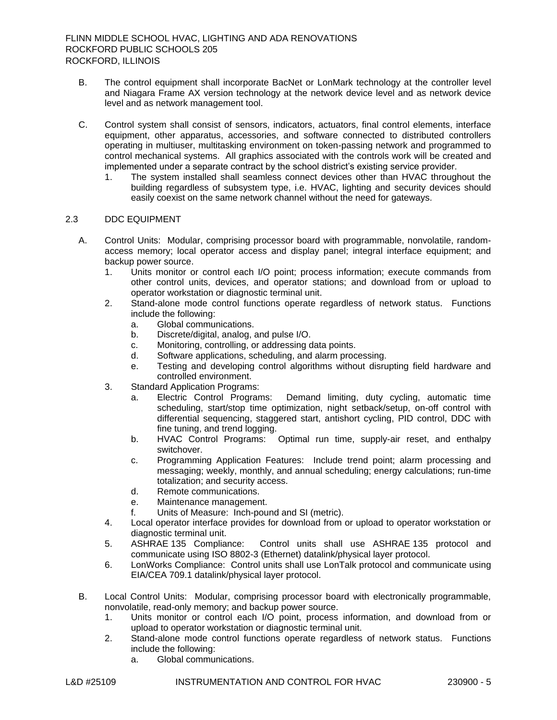- B. The control equipment shall incorporate BacNet or LonMark technology at the controller level and Niagara Frame AX version technology at the network device level and as network device level and as network management tool.
- C. Control system shall consist of sensors, indicators, actuators, final control elements, interface equipment, other apparatus, accessories, and software connected to distributed controllers operating in multiuser, multitasking environment on token-passing network and programmed to control mechanical systems. All graphics associated with the controls work will be created and implemented under a separate contract by the school district's existing service provider.
	- 1. The system installed shall seamless connect devices other than HVAC throughout the building regardless of subsystem type, i.e. HVAC, lighting and security devices should easily coexist on the same network channel without the need for gateways.

### 2.3 DDC EQUIPMENT

- A. Control Units: Modular, comprising processor board with programmable, nonvolatile, randomaccess memory; local operator access and display panel; integral interface equipment; and backup power source.
	- 1. Units monitor or control each I/O point; process information; execute commands from other control units, devices, and operator stations; and download from or upload to operator workstation or diagnostic terminal unit.
	- 2. Stand-alone mode control functions operate regardless of network status. Functions include the following:
		- a. Global communications.
		- b. Discrete/digital, analog, and pulse I/O.
		- c. Monitoring, controlling, or addressing data points.
		- d. Software applications, scheduling, and alarm processing.
		- e. Testing and developing control algorithms without disrupting field hardware and controlled environment.
	- 3. Standard Application Programs:
		- a. Electric Control Programs: Demand limiting, duty cycling, automatic time scheduling, start/stop time optimization, night setback/setup, on-off control with differential sequencing, staggered start, antishort cycling, PID control, DDC with fine tuning, and trend logging.
		- b. HVAC Control Programs: Optimal run time, supply-air reset, and enthalpy switchover.
		- c. Programming Application Features: Include trend point; alarm processing and messaging; weekly, monthly, and annual scheduling; energy calculations; run-time totalization; and security access.
		- d. Remote communications.
		- e. Maintenance management.
		- f. Units of Measure: Inch-pound and SI (metric).
	- 4. Local operator interface provides for download from or upload to operator workstation or diagnostic terminal unit.
	- 5. ASHRAE 135 Compliance: Control units shall use ASHRAE 135 protocol and communicate using ISO 8802-3 (Ethernet) datalink/physical layer protocol.
	- 6. LonWorks Compliance: Control units shall use LonTalk protocol and communicate using EIA/CEA 709.1 datalink/physical layer protocol.
- B. Local Control Units: Modular, comprising processor board with electronically programmable, nonvolatile, read-only memory; and backup power source.
	- 1. Units monitor or control each I/O point, process information, and download from or upload to operator workstation or diagnostic terminal unit.
	- 2. Stand-alone mode control functions operate regardless of network status. Functions include the following:
		- a. Global communications.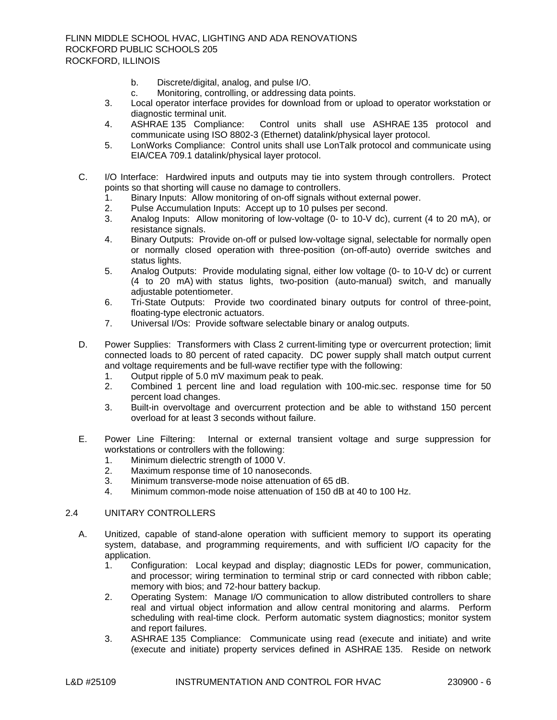- b. Discrete/digital, analog, and pulse I/O.
- c. Monitoring, controlling, or addressing data points.
- 3. Local operator interface provides for download from or upload to operator workstation or diagnostic terminal unit.
- 4. ASHRAE 135 Compliance: Control units shall use ASHRAE 135 protocol and communicate using ISO 8802-3 (Ethernet) datalink/physical layer protocol.
- 5. LonWorks Compliance: Control units shall use LonTalk protocol and communicate using EIA/CEA 709.1 datalink/physical layer protocol.
- C. I/O Interface: Hardwired inputs and outputs may tie into system through controllers. Protect points so that shorting will cause no damage to controllers.
	- 1. Binary Inputs: Allow monitoring of on-off signals without external power.
	- 2. Pulse Accumulation Inputs: Accept up to 10 pulses per second.
	- 3. Analog Inputs: Allow monitoring of low-voltage (0- to 10-V dc), current (4 to 20 mA), or resistance signals.
	- 4. Binary Outputs: Provide on-off or pulsed low-voltage signal, selectable for normally open or normally closed operation with three-position (on-off-auto) override switches and status lights.
	- 5. Analog Outputs: Provide modulating signal, either low voltage (0- to 10-V dc) or current (4 to 20 mA) with status lights, two-position (auto-manual) switch, and manually adjustable potentiometer.
	- 6. Tri-State Outputs: Provide two coordinated binary outputs for control of three-point, floating-type electronic actuators.
	- 7. Universal I/Os: Provide software selectable binary or analog outputs.
- D. Power Supplies: Transformers with Class 2 current-limiting type or overcurrent protection; limit connected loads to 80 percent of rated capacity. DC power supply shall match output current and voltage requirements and be full-wave rectifier type with the following:
	- 1. Output ripple of 5.0 mV maximum peak to peak.
	- 2. Combined 1 percent line and load regulation with 100-mic.sec. response time for 50 percent load changes.
	- 3. Built-in overvoltage and overcurrent protection and be able to withstand 150 percent overload for at least 3 seconds without failure.
- E. Power Line Filtering: Internal or external transient voltage and surge suppression for workstations or controllers with the following:
	- 1. Minimum dielectric strength of 1000 V.
	- 2. Maximum response time of 10 nanoseconds.
	- 3. Minimum transverse-mode noise attenuation of 65 dB.
	- 4. Minimum common-mode noise attenuation of 150 dB at 40 to 100 Hz.

# 2.4 UNITARY CONTROLLERS

- A. Unitized, capable of stand-alone operation with sufficient memory to support its operating system, database, and programming requirements, and with sufficient I/O capacity for the application.
	- 1. Configuration: Local keypad and display; diagnostic LEDs for power, communication, and processor; wiring termination to terminal strip or card connected with ribbon cable; memory with bios; and 72-hour battery backup.
	- 2. Operating System: Manage I/O communication to allow distributed controllers to share real and virtual object information and allow central monitoring and alarms. Perform scheduling with real-time clock. Perform automatic system diagnostics; monitor system and report failures.
	- 3. ASHRAE 135 Compliance: Communicate using read (execute and initiate) and write (execute and initiate) property services defined in ASHRAE 135. Reside on network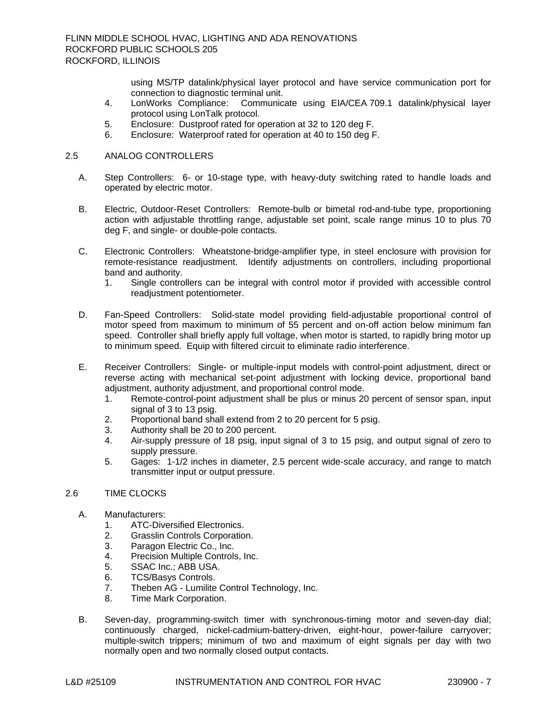using MS/TP datalink/physical layer protocol and have service communication port for connection to diagnostic terminal unit.

- 4. LonWorks Compliance: Communicate using EIA/CEA 709.1 datalink/physical layer protocol using LonTalk protocol.
- 5. Enclosure: Dustproof rated for operation at 32 to 120 deg F.
- 6. Enclosure: Waterproof rated for operation at 40 to 150 deg F.

### 2.5 ANALOG CONTROLLERS

- A. Step Controllers: 6- or 10-stage type, with heavy-duty switching rated to handle loads and operated by electric motor.
- B. Electric, Outdoor-Reset Controllers: Remote-bulb or bimetal rod-and-tube type, proportioning action with adjustable throttling range, adjustable set point, scale range minus 10 to plus 70 deg F, and single- or double-pole contacts.
- C. Electronic Controllers: Wheatstone-bridge-amplifier type, in steel enclosure with provision for remote-resistance readjustment. Identify adjustments on controllers, including proportional band and authority.
	- 1. Single controllers can be integral with control motor if provided with accessible control readjustment potentiometer.
- D. Fan-Speed Controllers: Solid-state model providing field-adjustable proportional control of motor speed from maximum to minimum of 55 percent and on-off action below minimum fan speed. Controller shall briefly apply full voltage, when motor is started, to rapidly bring motor up to minimum speed. Equip with filtered circuit to eliminate radio interference.
- E. Receiver Controllers: Single- or multiple-input models with control-point adjustment, direct or reverse acting with mechanical set-point adjustment with locking device, proportional band adjustment, authority adjustment, and proportional control mode.
	- 1. Remote-control-point adjustment shall be plus or minus 20 percent of sensor span, input signal of 3 to 13 psig.
	- 2. Proportional band shall extend from 2 to 20 percent for 5 psig.
	- 3. Authority shall be 20 to 200 percent.
	- 4. Air-supply pressure of 18 psig, input signal of 3 to 15 psig, and output signal of zero to supply pressure.
	- 5. Gages: 1-1/2 inches in diameter, 2.5 percent wide-scale accuracy, and range to match transmitter input or output pressure.

## 2.6 TIME CLOCKS

- A. [Manufacturers:](http://www.specagent.com/LookUp/?ulid=3263&mf=04&src=wd)
	- 1. [ATC-Diversified Electronics.](http://www.specagent.com/LookUp/?uid=123456811873&mf=04&src=wd)
	- 2. [Grasslin Controls Corporation.](http://www.specagent.com/LookUp/?uid=123456811874&mf=04&src=wd)
	- 3. [Paragon Electric Co., Inc.](http://www.specagent.com/LookUp/?uid=123456811875&mf=04&src=wd)
	- 4. [Precision Multiple Controls, Inc.](http://www.specagent.com/LookUp/?uid=123456811876&mf=04&src=wd)
	- 5. [SSAC Inc.; ABB USA.](http://www.specagent.com/LookUp/?uid=123456825992&mf=04&src=wd)
	- 6. [TCS/Basys Controls.](http://www.specagent.com/LookUp/?uid=123456811877&mf=04&src=wd)
	- 7. Theben AG [Lumilite Control Technology, Inc.](http://www.specagent.com/LookUp/?uid=123456811879&mf=04&src=wd)
	- 8. [Time Mark Corporation.](http://www.specagent.com/LookUp/?uid=123456811878&mf=04&src=wd)
- B. Seven-day, programming-switch timer with synchronous-timing motor and seven-day dial; continuously charged, nickel-cadmium-battery-driven, eight-hour, power-failure carryover; multiple-switch trippers; minimum of two and maximum of eight signals per day with two normally open and two normally closed output contacts.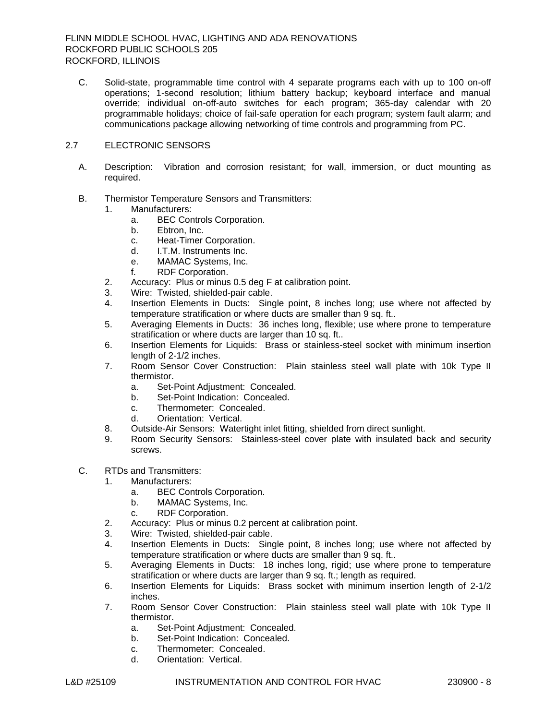C. Solid-state, programmable time control with 4 separate programs each with up to 100 on-off operations; 1-second resolution; lithium battery backup; keyboard interface and manual override; individual on-off-auto switches for each program; 365-day calendar with 20 programmable holidays; choice of fail-safe operation for each program; system fault alarm; and communications package allowing networking of time controls and programming from PC.

# 2.7 ELECTRONIC SENSORS

- A. Description: Vibration and corrosion resistant; for wall, immersion, or duct mounting as required.
- B. Thermistor Temperature Sensors and Transmitters:
	- 1. [Manufacturers:](http://www.specagent.com/LookUp/?ulid=3264&mf=04&src=wd)
		- a. [BEC Controls Corporation.](http://www.specagent.com/LookUp/?uid=123456811880&mf=04&src=wd)
		- b. [Ebtron, Inc.](http://www.specagent.com/LookUp/?uid=123456811881&mf=04&src=wd)
		- c. [Heat-Timer Corporation.](http://www.specagent.com/LookUp/?uid=123456811882&mf=04&src=wd)
		- d. [I.T.M. Instruments Inc.](http://www.specagent.com/LookUp/?uid=123456811883&mf=04&src=wd)
		- e. [MAMAC Systems, Inc.](http://www.specagent.com/LookUp/?uid=123456811884&mf=04&src=wd)
		- f. [RDF Corporation.](http://www.specagent.com/LookUp/?uid=123456811885&mf=04&src=wd)
	- 2. Accuracy: Plus or minus 0.5 deg F at calibration point.
	- 3. Wire: Twisted, shielded-pair cable.
	- 4. Insertion Elements in Ducts: Single point, 8 inches long; use where not affected by temperature stratification or where ducts are smaller than 9 sq. ft..
	- 5. Averaging Elements in Ducts: 36 inches long, flexible; use where prone to temperature stratification or where ducts are larger than 10 sq. ft..
	- 6. Insertion Elements for Liquids: Brass or stainless-steel socket with minimum insertion length of 2-1/2 inches.
	- 7. Room Sensor Cover Construction: Plain stainless steel wall plate with 10k Type II thermistor.
		- a. Set-Point Adjustment: Concealed.
		- b. Set-Point Indication: Concealed.
		- c. Thermometer: Concealed.
		- d. Orientation: Vertical.
	- 8. Outside-Air Sensors: Watertight inlet fitting, shielded from direct sunlight.
	- 9. Room Security Sensors: Stainless-steel cover plate with insulated back and security screws.
- C. RTDs and Transmitters:
	- 1. [Manufacturers:](http://www.specagent.com/LookUp/?ulid=3265&mf=04&src=wd)
		- a. [BEC Controls Corporation.](http://www.specagent.com/LookUp/?uid=123456811886&mf=04&src=wd)
		- b. [MAMAC Systems, Inc.](http://www.specagent.com/LookUp/?uid=123456811887&mf=04&src=wd)
		- c. [RDF Corporation.](http://www.specagent.com/LookUp/?uid=123456811888&mf=04&src=wd)
	- 2. Accuracy: Plus or minus 0.2 percent at calibration point.
	- 3. Wire: Twisted, shielded-pair cable.
	- 4. Insertion Elements in Ducts: Single point, 8 inches long; use where not affected by temperature stratification or where ducts are smaller than 9 sq. ft..
	- 5. Averaging Elements in Ducts: 18 inches long, rigid; use where prone to temperature stratification or where ducts are larger than 9 sq. ft.; length as required.
	- 6. Insertion Elements for Liquids: Brass socket with minimum insertion length of 2-1/2 inches.
	- 7. Room Sensor Cover Construction: Plain stainless steel wall plate with 10k Type II thermistor.
		- a. Set-Point Adjustment: Concealed.
		- b. Set-Point Indication: Concealed.
		- c. Thermometer: Concealed.
		- d. Orientation: Vertical.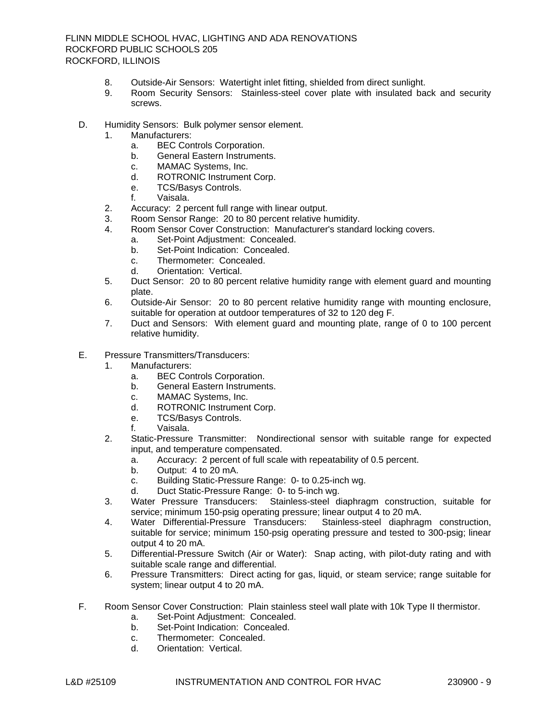- 8. Outside-Air Sensors: Watertight inlet fitting, shielded from direct sunlight.
- 9. Room Security Sensors: Stainless-steel cover plate with insulated back and security screws.
- D. Humidity Sensors: Bulk polymer sensor element.
	- 1. [Manufacturers:](http://www.specagent.com/LookUp/?ulid=3266&mf=04&src=wd)
		- a. [BEC Controls Corporation.](http://www.specagent.com/LookUp/?uid=123456811889&mf=04&src=wd)
		- b. [General Eastern Instruments.](http://www.specagent.com/LookUp/?uid=123456811890&mf=04&src=wd)
		- c. [MAMAC Systems, Inc.](http://www.specagent.com/LookUp/?uid=123456811891&mf=04&src=wd)
		- d. [ROTRONIC Instrument Corp.](http://www.specagent.com/LookUp/?uid=123456811892&mf=04&src=wd)
		- e. [TCS/Basys Controls.](http://www.specagent.com/LookUp/?uid=123456811893&mf=04&src=wd)
		- f. [Vaisala.](http://www.specagent.com/LookUp/?uid=123456811894&mf=04&src=wd)
	- 2. Accuracy: 2 percent full range with linear output.
	- 3. Room Sensor Range: 20 to 80 percent relative humidity.
	- 4. Room Sensor Cover Construction: Manufacturer's standard locking covers.
		- a. Set-Point Adjustment: Concealed.
		- b. Set-Point Indication: Concealed.
		- c. Thermometer: Concealed.
		- d. Orientation: Vertical.
	- 5. Duct Sensor: 20 to 80 percent relative humidity range with element guard and mounting plate.
	- 6. Outside-Air Sensor: 20 to 80 percent relative humidity range with mounting enclosure, suitable for operation at outdoor temperatures of 32 to 120 deg F.
	- 7. Duct and Sensors: With element guard and mounting plate, range of 0 to 100 percent relative humidity.
- E. Pressure Transmitters/Transducers:
	- 1. [Manufacturers:](http://www.specagent.com/LookUp/?ulid=3267&mf=04&src=wd)
		- a. [BEC Controls Corporation.](http://www.specagent.com/LookUp/?uid=123456811895&mf=04&src=wd)
		- b. [General Eastern Instruments.](http://www.specagent.com/LookUp/?uid=123456811896&mf=04&src=wd)
		- c. [MAMAC Systems, Inc.](http://www.specagent.com/LookUp/?uid=123456811897&mf=04&src=wd)
		- d. [ROTRONIC Instrument Corp.](http://www.specagent.com/LookUp/?uid=123456811898&mf=04&src=wd)
		- e. [TCS/Basys Controls.](http://www.specagent.com/LookUp/?uid=123456811899&mf=04&src=wd)
		- f. [Vaisala.](http://www.specagent.com/LookUp/?uid=123456811900&mf=04&src=wd)
	- 2. Static-Pressure Transmitter: Nondirectional sensor with suitable range for expected input, and temperature compensated.
		- a. Accuracy: 2 percent of full scale with repeatability of 0.5 percent.
		- b. Output: 4 to 20 mA.
		- c. Building Static-Pressure Range: 0- to 0.25-inch wg.
		- d. Duct Static-Pressure Range: 0- to 5-inch wg.
	- 3. Water Pressure Transducers: Stainless-steel diaphragm construction, suitable for service; minimum 150-psig operating pressure; linear output 4 to 20 mA.
	- 4. Water Differential-Pressure Transducers: Stainless-steel diaphragm construction, suitable for service; minimum 150-psig operating pressure and tested to 300-psig; linear output 4 to 20 mA.
	- 5. Differential-Pressure Switch (Air or Water): Snap acting, with pilot-duty rating and with suitable scale range and differential.
	- 6. Pressure Transmitters: Direct acting for gas, liquid, or steam service; range suitable for system; linear output 4 to 20 mA.
- F. Room Sensor Cover Construction: Plain stainless steel wall plate with 10k Type II thermistor.
	- a. Set-Point Adjustment: Concealed.
	- b. Set-Point Indication: Concealed.
	- c. Thermometer: Concealed.
	- d. Orientation: Vertical.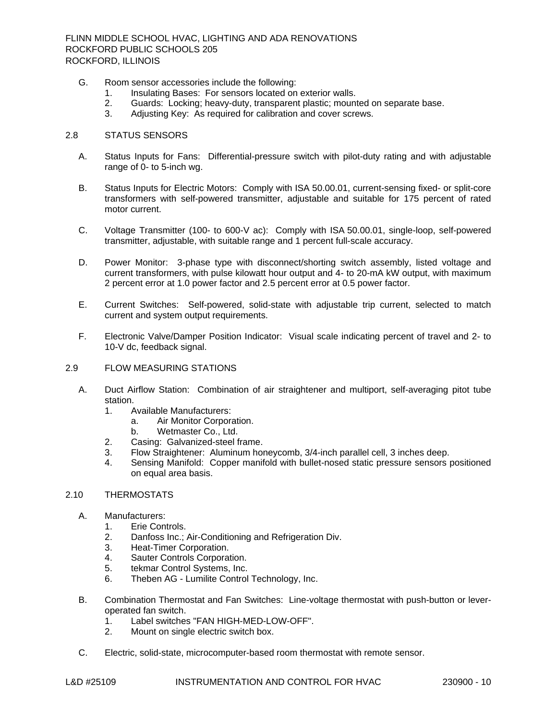- G. Room sensor accessories include the following:
	- 1. Insulating Bases: For sensors located on exterior walls.
	- 2. Guards: Locking; heavy-duty, transparent plastic; mounted on separate base.
	- 3. Adjusting Key: As required for calibration and cover screws.

### 2.8 STATUS SENSORS

- A. Status Inputs for Fans: Differential-pressure switch with pilot-duty rating and with adjustable range of 0- to 5-inch wg.
- B. Status Inputs for Electric Motors: Comply with ISA 50.00.01, current-sensing fixed- or split-core transformers with self-powered transmitter, adjustable and suitable for 175 percent of rated motor current.
- C. Voltage Transmitter (100- to 600-V ac): Comply with ISA 50.00.01, single-loop, self-powered transmitter, adjustable, with suitable range and 1 percent full-scale accuracy.
- D. Power Monitor: 3-phase type with disconnect/shorting switch assembly, listed voltage and current transformers, with pulse kilowatt hour output and 4- to 20-mA kW output, with maximum 2 percent error at 1.0 power factor and 2.5 percent error at 0.5 power factor.
- E. Current Switches: Self-powered, solid-state with adjustable trip current, selected to match current and system output requirements.
- F. Electronic Valve/Damper Position Indicator: Visual scale indicating percent of travel and 2- to 10-V dc, feedback signal.

#### 2.9 FLOW MEASURING STATIONS

- A. Duct Airflow Station: Combination of air straightener and multiport, self-averaging pitot tube station.
	- 1. Available [Manufacturers:](http://www.specagent.com/LookUp/?ulid=3271&mf=04&src=wd)
		- a. [Air Monitor Corporation.](http://www.specagent.com/LookUp/?uid=123456811920&mf=04&src=wd)
		- b. [Wetmaster Co., Ltd.](http://www.specagent.com/LookUp/?uid=123456811921&mf=04&src=wd)
	- 2. Casing: Galvanized-steel frame.
	- 3. Flow Straightener: Aluminum honeycomb, 3/4-inch parallel cell, 3 inches deep.
	- 4. Sensing Manifold: Copper manifold with bullet-nosed static pressure sensors positioned on equal area basis.

### 2.10 THERMOSTATS

- A. [Manufacturers:](http://www.specagent.com/LookUp/?ulid=3272&mf=04&src=wd)
	- 1. [Erie Controls.](http://www.specagent.com/LookUp/?uid=123456811922&mf=04&src=wd)
	- 2. [Danfoss Inc.; Air-Conditioning and Refrigeration Div.](http://www.specagent.com/LookUp/?uid=123456824797&mf=04&src=wd)
	- 3. [Heat-Timer Corporation.](http://www.specagent.com/LookUp/?uid=123456811923&mf=04&src=wd)<br>4. Sauter Controls Corpora
	- [Sauter Controls Corporation.](http://www.specagent.com/LookUp/?uid=123456811924&mf=04&src=wd)
	- 5. [tekmar Control Systems, Inc.](http://www.specagent.com/LookUp/?uid=123456811925&mf=04&src=wd)
	- 6. Theben AG [Lumilite Control Technology, Inc.](http://www.specagent.com/LookUp/?uid=123456811926&mf=04&src=wd)
- B. Combination Thermostat and Fan Switches: Line-voltage thermostat with push-button or leveroperated fan switch.
	- 1. Label switches "FAN HIGH-MED-LOW-OFF".
	- 2. Mount on single electric switch box.
- C. Electric, solid-state, microcomputer-based room thermostat with remote sensor.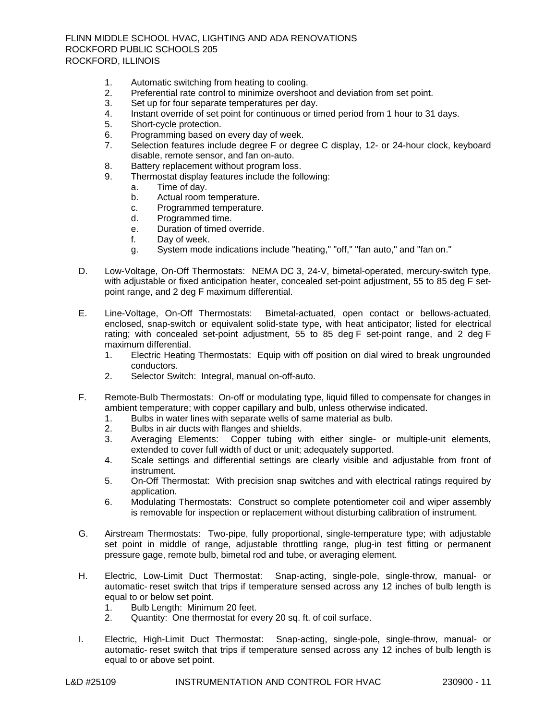- 1. Automatic switching from heating to cooling.
- 2. Preferential rate control to minimize overshoot and deviation from set point.
- 3. Set up for four separate temperatures per day.
- 4. Instant override of set point for continuous or timed period from 1 hour to 31 days.
- 5. Short-cycle protection.
- 6. Programming based on every day of week.
- 7. Selection features include degree F or degree C display, 12- or 24-hour clock, keyboard disable, remote sensor, and fan on-auto.
- 8. Battery replacement without program loss.
- 9. Thermostat display features include the following:
	- a. Time of day.
		- b. Actual room temperature.
		- c. Programmed temperature.
		- d. Programmed time.
		- e. Duration of timed override.
		- f. Day of week.
	- g. System mode indications include "heating," "off," "fan auto," and "fan on."
- D. Low-Voltage, On-Off Thermostats: NEMA DC 3, 24-V, bimetal-operated, mercury-switch type, with adjustable or fixed anticipation heater, concealed set-point adjustment, 55 to 85 deg F setpoint range, and 2 deg F maximum differential.
- E. Line-Voltage, On-Off Thermostats: Bimetal-actuated, open contact or bellows-actuated, enclosed, snap-switch or equivalent solid-state type, with heat anticipator; listed for electrical rating; with concealed set-point adjustment, 55 to 85 deg F set-point range, and 2 deg F maximum differential.
	- 1. Electric Heating Thermostats: Equip with off position on dial wired to break ungrounded conductors.
	- 2. Selector Switch: Integral, manual on-off-auto.
- F. Remote-Bulb Thermostats: On-off or modulating type, liquid filled to compensate for changes in ambient temperature; with copper capillary and bulb, unless otherwise indicated.
	- 1. Bulbs in water lines with separate wells of same material as bulb.
	- 2. Bulbs in air ducts with flanges and shields.
	- 3. Averaging Elements: Copper tubing with either single- or multiple-unit elements, extended to cover full width of duct or unit; adequately supported.
	- 4. Scale settings and differential settings are clearly visible and adjustable from front of instrument.
	- 5. On-Off Thermostat: With precision snap switches and with electrical ratings required by application.
	- 6. Modulating Thermostats: Construct so complete potentiometer coil and wiper assembly is removable for inspection or replacement without disturbing calibration of instrument.
- G. Airstream Thermostats: Two-pipe, fully proportional, single-temperature type; with adjustable set point in middle of range, adjustable throttling range, plug-in test fitting or permanent pressure gage, remote bulb, bimetal rod and tube, or averaging element.
- H. Electric, Low-Limit Duct Thermostat: Snap-acting, single-pole, single-throw, manual- or automatic- reset switch that trips if temperature sensed across any 12 inches of bulb length is equal to or below set point.<br>1. Bulb Lenath: Minimu
	- 1. Bulb Length: Minimum 20 feet.<br>2. Quantity: One thermostat for ev
	- Quantity: One thermostat for every 20 sq. ft. of coil surface.
- I. Electric, High-Limit Duct Thermostat: Snap-acting, single-pole, single-throw, manual- or automatic- reset switch that trips if temperature sensed across any 12 inches of bulb length is equal to or above set point.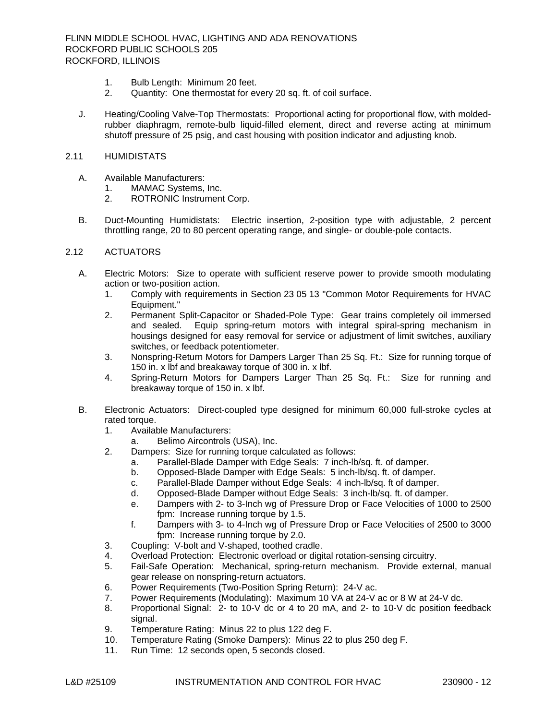- 1. Bulb Length: Minimum 20 feet.
- 2. Quantity: One thermostat for every 20 sq. ft. of coil surface.
- J. Heating/Cooling Valve-Top Thermostats: Proportional acting for proportional flow, with moldedrubber diaphragm, remote-bulb liquid-filled element, direct and reverse acting at minimum shutoff pressure of 25 psig, and cast housing with position indicator and adjusting knob.
- 2.11 HUMIDISTATS
	- A. Available [Manufacturers:](http://www.specagent.com/LookUp/?ulid=3273&mf=04&src=wd)
		- 1. [MAMAC Systems, Inc.](http://www.specagent.com/LookUp/?uid=123456811927&mf=04&src=wd)
		- 2. [ROTRONIC Instrument Corp.](http://www.specagent.com/LookUp/?uid=123456811928&mf=04&src=wd)
	- B. Duct-Mounting Humidistats: Electric insertion, 2-position type with adjustable, 2 percent throttling range, 20 to 80 percent operating range, and single- or double-pole contacts.

## 2.12 ACTUATORS

- A. Electric Motors: Size to operate with sufficient reserve power to provide smooth modulating action or two-position action.
	- 1. Comply with requirements in Section 23 05 13 "Common Motor Requirements for HVAC Equipment."
	- 2. Permanent Split-Capacitor or Shaded-Pole Type: Gear trains completely oil immersed and sealed. Equip spring-return motors with integral spiral-spring mechanism in housings designed for easy removal for service or adjustment of limit switches, auxiliary switches, or feedback potentiometer.
	- 3. Nonspring-Return Motors for Dampers Larger Than 25 Sq. Ft.: Size for running torque of 150 in. x lbf and breakaway torque of 300 in. x lbf.
	- 4. Spring-Return Motors for Dampers Larger Than 25 Sq. Ft.: Size for running and breakaway torque of 150 in. x lbf.
- B. Electronic Actuators: Direct-coupled type designed for minimum 60,000 full-stroke cycles at rated torque.
	- 1. Available [Manufacturers:](http://www.specagent.com/LookUp/?ulid=3274&mf=04&src=wd)
		- a. [Belimo Aircontrols \(USA\), Inc.](http://www.specagent.com/LookUp/?uid=123456811929&mf=04&src=wd)
	- 2. Dampers: Size for running torque calculated as follows:
		- a. Parallel-Blade Damper with Edge Seals: 7 inch-lb/sq. ft. of damper.
		- b. Opposed-Blade Damper with Edge Seals: 5 inch-lb/sq. ft. of damper.
		- c. Parallel-Blade Damper without Edge Seals: 4 inch-lb/sq. ft of damper.
		- d. Opposed-Blade Damper without Edge Seals: 3 inch-lb/sq. ft. of damper.
		- e. Dampers with 2- to 3-Inch wg of Pressure Drop or Face Velocities of 1000 to 2500 fpm: Increase running torque by 1.5.
		- f. Dampers with 3- to 4-Inch wg of Pressure Drop or Face Velocities of 2500 to 3000 fpm: Increase running torque by 2.0.
	- 3. Coupling: V-bolt and V-shaped, toothed cradle.
	- 4. Overload Protection: Electronic overload or digital rotation-sensing circuitry.
	- 5. Fail-Safe Operation: Mechanical, spring-return mechanism. Provide external, manual gear release on nonspring-return actuators.
	- 6. Power Requirements (Two-Position Spring Return): 24-V ac.
	- 7. Power Requirements (Modulating): Maximum 10 VA at 24-V ac or 8 W at 24-V dc.
	- 8. Proportional Signal: 2- to 10-V dc or 4 to 20 mA, and 2- to 10-V dc position feedback signal.
	- 9. Temperature Rating: Minus 22 to plus 122 deg F.
	- 10. Temperature Rating (Smoke Dampers): Minus 22 to plus 250 deg F.
	- 11. Run Time: 12 seconds open, 5 seconds closed.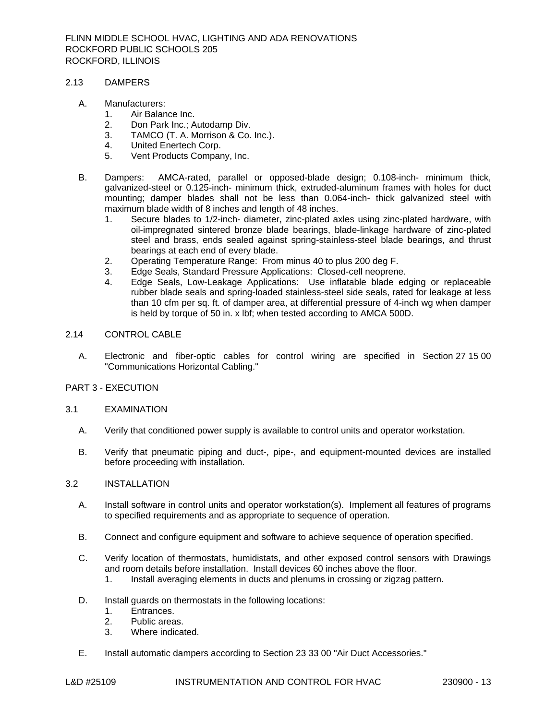#### 2.13 DAMPERS

### A. [Manufacturers:](http://www.specagent.com/LookUp/?ulid=3276&mf=04&src=wd)

- 1. [Air Balance Inc.](http://www.specagent.com/LookUp/?uid=123456811938&mf=04&src=wd)
- 
- 2. [Don Park Inc.; Autodamp Div.](http://www.specagent.com/LookUp/?uid=123456824805&mf=04&src=wd)<br>3. TAMCO (T. A. Morrison & Co. 3. [TAMCO \(T. A. Morrison & Co. Inc.\).](http://www.specagent.com/LookUp/?uid=123456811941&mf=04&src=wd)<br>4. United Enertech Corp.
- [United Enertech Corp.](http://www.specagent.com/LookUp/?uid=123456811939&mf=04&src=wd)
- 5. [Vent Products Company, Inc.](http://www.specagent.com/LookUp/?uid=123456811940&mf=04&src=wd)
- B. Dampers: AMCA-rated, parallel or opposed-blade design; 0.108-inch- minimum thick, galvanized-steel or 0.125-inch- minimum thick, extruded-aluminum frames with holes for duct mounting; damper blades shall not be less than 0.064-inch- thick galvanized steel with maximum blade width of 8 inches and length of 48 inches.
	- 1. Secure blades to 1/2-inch- diameter, zinc-plated axles using zinc-plated hardware, with oil-impregnated sintered bronze blade bearings, blade-linkage hardware of zinc-plated steel and brass, ends sealed against spring-stainless-steel blade bearings, and thrust bearings at each end of every blade.
	- 2. Operating Temperature Range: From minus 40 to plus 200 deg F.
	- 3. Edge Seals, Standard Pressure Applications: Closed-cell neoprene.
	- 4. Edge Seals, Low-Leakage Applications: Use inflatable blade edging or replaceable rubber blade seals and spring-loaded stainless-steel side seals, rated for leakage at less than 10 cfm per sq. ft. of damper area, at differential pressure of 4-inch wg when damper is held by torque of 50 in. x lbf; when tested according to AMCA 500D.

#### 2.14 CONTROL CABLE

A. Electronic and fiber-optic cables for control wiring are specified in Section 27 15 00 "Communications Horizontal Cabling."

## PART 3 - EXECUTION

#### 3.1 EXAMINATION

- A. Verify that conditioned power supply is available to control units and operator workstation.
- B. Verify that pneumatic piping and duct-, pipe-, and equipment-mounted devices are installed before proceeding with installation.

#### 3.2 INSTALLATION

- A. Install software in control units and operator workstation(s). Implement all features of programs to specified requirements and as appropriate to sequence of operation.
- B. Connect and configure equipment and software to achieve sequence of operation specified.
- C. Verify location of thermostats, humidistats, and other exposed control sensors with Drawings and room details before installation. Install devices 60 inches above the floor.
	- 1. Install averaging elements in ducts and plenums in crossing or zigzag pattern.
- D. Install guards on thermostats in the following locations:<br>1. Entrances.
	- Entrances.
	- 2. Public areas.
	- 3. Where indicated.
- E. Install automatic dampers according to Section 23 33 00 "Air Duct Accessories."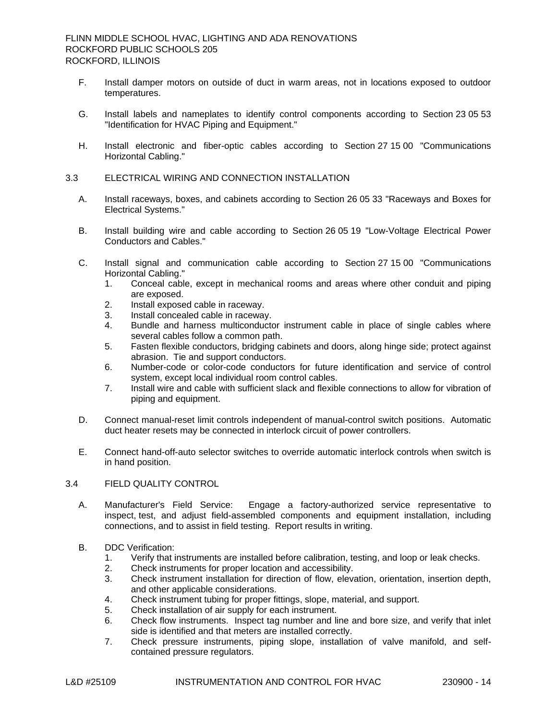- F. Install damper motors on outside of duct in warm areas, not in locations exposed to outdoor temperatures.
- G. Install labels and nameplates to identify control components according to Section 23 05 53 "Identification for HVAC Piping and Equipment."
- H. Install electronic and fiber-optic cables according to Section 27 15 00 "Communications Horizontal Cabling."
- 3.3 ELECTRICAL WIRING AND CONNECTION INSTALLATION
	- A. Install raceways, boxes, and cabinets according to Section 26 05 33 "Raceways and Boxes for Electrical Systems."
	- B. Install building wire and cable according to Section 26 05 19 "Low-Voltage Electrical Power Conductors and Cables."
	- C. Install signal and communication cable according to Section 27 15 00 "Communications Horizontal Cabling."
		- 1. Conceal cable, except in mechanical rooms and areas where other conduit and piping are exposed.
		- 2. Install exposed cable in raceway.
		- 3. Install concealed cable in raceway.
		- 4. Bundle and harness multiconductor instrument cable in place of single cables where several cables follow a common path.
		- 5. Fasten flexible conductors, bridging cabinets and doors, along hinge side; protect against abrasion. Tie and support conductors.
		- 6. Number-code or color-code conductors for future identification and service of control system, except local individual room control cables.
		- 7. Install wire and cable with sufficient slack and flexible connections to allow for vibration of piping and equipment.
	- D. Connect manual-reset limit controls independent of manual-control switch positions. Automatic duct heater resets may be connected in interlock circuit of power controllers.
	- E. Connect hand-off-auto selector switches to override automatic interlock controls when switch is in hand position.

# 3.4 FIELD QUALITY CONTROL

- A. Manufacturer's Field Service: Engage a factory-authorized service representative to inspect, test, and adjust field-assembled components and equipment installation, including connections, and to assist in field testing. Report results in writing.
- B. DDC Verification:
	- 1. Verify that instruments are installed before calibration, testing, and loop or leak checks.
	- 2. Check instruments for proper location and accessibility.
	- 3. Check instrument installation for direction of flow, elevation, orientation, insertion depth, and other applicable considerations.
	- 4. Check instrument tubing for proper fittings, slope, material, and support.
	- 5. Check installation of air supply for each instrument.
	- 6. Check flow instruments. Inspect tag number and line and bore size, and verify that inlet side is identified and that meters are installed correctly.
	- 7. Check pressure instruments, piping slope, installation of valve manifold, and selfcontained pressure regulators.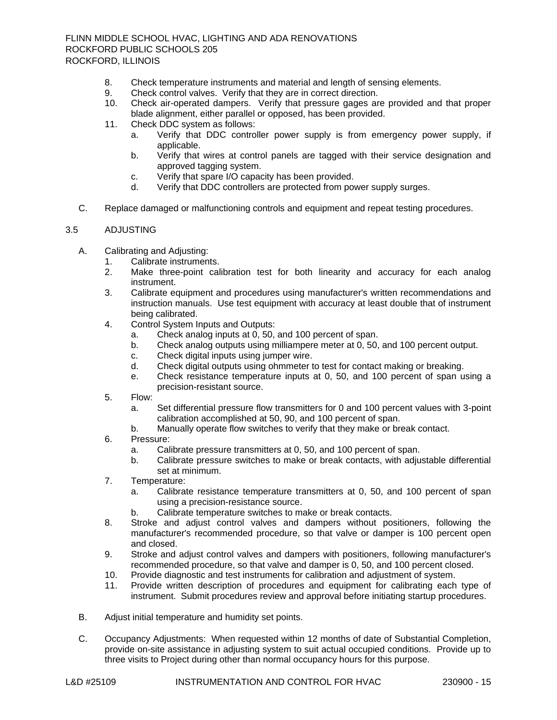- 8. Check temperature instruments and material and length of sensing elements.
- 9. Check control valves. Verify that they are in correct direction.
- 10. Check air-operated dampers. Verify that pressure gages are provided and that proper blade alignment, either parallel or opposed, has been provided.
- 11. Check DDC system as follows:
	- a. Verify that DDC controller power supply is from emergency power supply, if applicable.
	- b. Verify that wires at control panels are tagged with their service designation and approved tagging system.
	- c. Verify that spare I/O capacity has been provided.
	- d. Verify that DDC controllers are protected from power supply surges.
- C. Replace damaged or malfunctioning controls and equipment and repeat testing procedures.

## 3.5 ADJUSTING

- A. Calibrating and Adjusting:
	- 1. Calibrate instruments.
	- 2. Make three-point calibration test for both linearity and accuracy for each analog instrument.
	- 3. Calibrate equipment and procedures using manufacturer's written recommendations and instruction manuals. Use test equipment with accuracy at least double that of instrument being calibrated.
	- 4. Control System Inputs and Outputs:
		- a. Check analog inputs at 0, 50, and 100 percent of span.
		- b. Check analog outputs using milliampere meter at 0, 50, and 100 percent output.
		- c. Check digital inputs using jumper wire.
		- d. Check digital outputs using ohmmeter to test for contact making or breaking.
		- e. Check resistance temperature inputs at 0, 50, and 100 percent of span using a precision-resistant source.
	- 5. Flow:
		- a. Set differential pressure flow transmitters for 0 and 100 percent values with 3-point calibration accomplished at 50, 90, and 100 percent of span.
		- b. Manually operate flow switches to verify that they make or break contact.
	- 6. Pressure:
		- a. Calibrate pressure transmitters at 0, 50, and 100 percent of span.
		- b. Calibrate pressure switches to make or break contacts, with adjustable differential set at minimum.
	- 7. Temperature:
		- a. Calibrate resistance temperature transmitters at 0, 50, and 100 percent of span using a precision-resistance source.
		- b. Calibrate temperature switches to make or break contacts.
	- 8. Stroke and adjust control valves and dampers without positioners, following the manufacturer's recommended procedure, so that valve or damper is 100 percent open and closed.
	- 9. Stroke and adjust control valves and dampers with positioners, following manufacturer's recommended procedure, so that valve and damper is 0, 50, and 100 percent closed.
	- 10. Provide diagnostic and test instruments for calibration and adjustment of system.
	- 11. Provide written description of procedures and equipment for calibrating each type of instrument. Submit procedures review and approval before initiating startup procedures.
- B. Adjust initial temperature and humidity set points.
- C. Occupancy Adjustments: When requested within 12 months of date of Substantial Completion, provide on-site assistance in adjusting system to suit actual occupied conditions. Provide up to three visits to Project during other than normal occupancy hours for this purpose.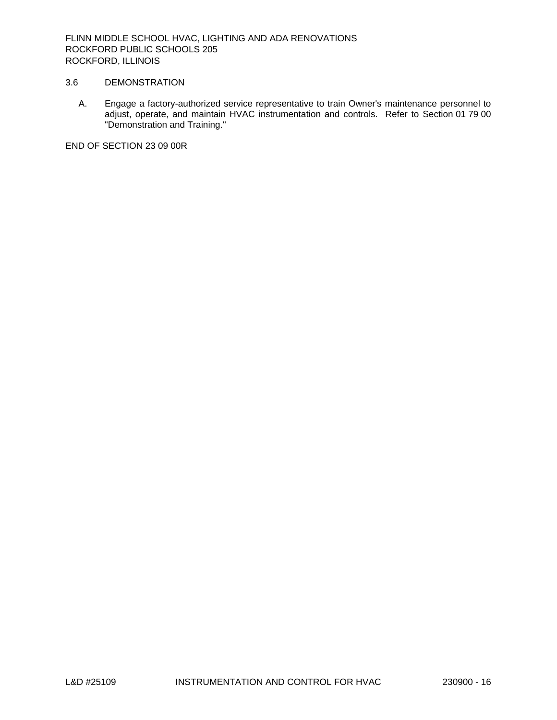## 3.6 DEMONSTRATION

A. Engage a factory-authorized service representative to train Owner's maintenance personnel to adjust, operate, and maintain HVAC instrumentation and controls. Refer to Section 01 79 00 "Demonstration and Training."

END OF SECTION 23 09 00R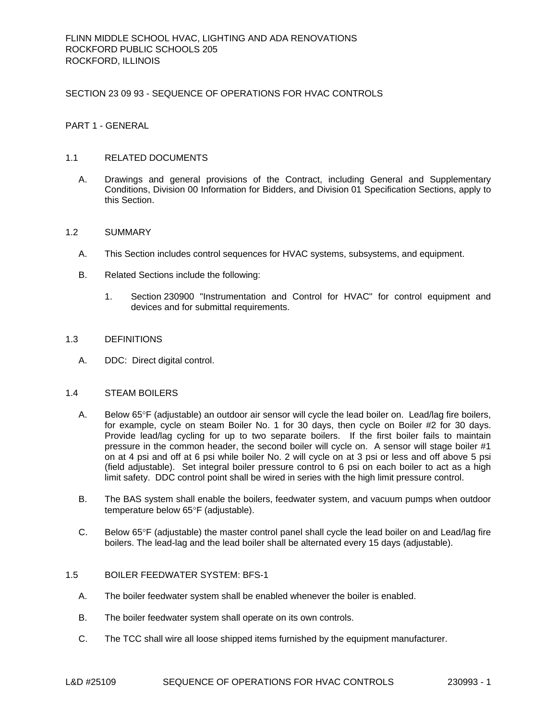SECTION 23 09 93 - SEQUENCE OF OPERATIONS FOR HVAC CONTROLS

PART 1 - GENERAL

### 1.1 RELATED DOCUMENTS

A. Drawings and general provisions of the Contract, including General and Supplementary Conditions, Division 00 Information for Bidders, and Division 01 Specification Sections, apply to this Section.

### 1.2 SUMMARY

- A. This Section includes control sequences for HVAC systems, subsystems, and equipment.
- B. Related Sections include the following:
	- 1. Section 230900 "Instrumentation and Control for HVAC" for control equipment and devices and for submittal requirements.

### 1.3 DEFINITIONS

A. DDC: Direct digital control.

### 1.4 STEAM BOILERS

- A. Below 65°F (adjustable) an outdoor air sensor will cycle the lead boiler on. Lead/lag fire boilers, for example, cycle on steam Boiler No. 1 for 30 days, then cycle on Boiler #2 for 30 days. Provide lead/lag cycling for up to two separate boilers. If the first boiler fails to maintain pressure in the common header, the second boiler will cycle on. A sensor will stage boiler #1 on at 4 psi and off at 6 psi while boiler No. 2 will cycle on at 3 psi or less and off above 5 psi (field adjustable). Set integral boiler pressure control to 6 psi on each boiler to act as a high limit safety. DDC control point shall be wired in series with the high limit pressure control.
- B. The BAS system shall enable the boilers, feedwater system, and vacuum pumps when outdoor temperature below 65°F (adjustable).
- C. Below 65°F (adjustable) the master control panel shall cycle the lead boiler on and Lead/lag fire boilers. The lead-lag and the lead boiler shall be alternated every 15 days (adjustable).

# 1.5 BOILER FEEDWATER SYSTEM: BFS-1

- A. The boiler feedwater system shall be enabled whenever the boiler is enabled.
- B. The boiler feedwater system shall operate on its own controls.
- C. The TCC shall wire all loose shipped items furnished by the equipment manufacturer.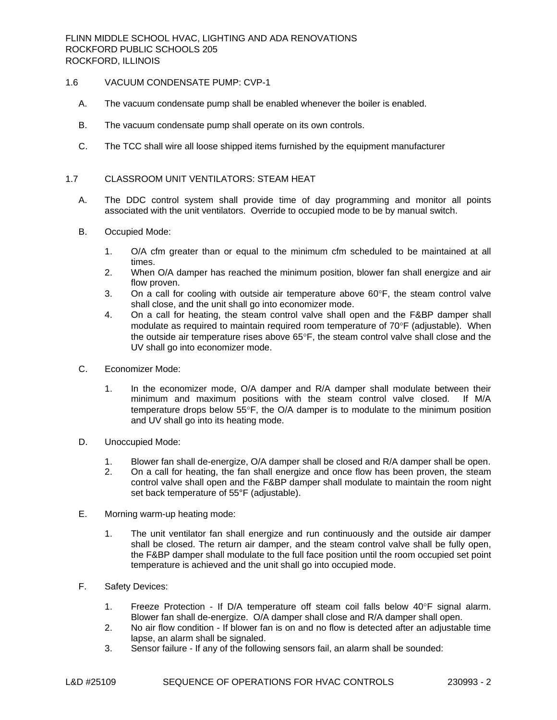### 1.6 VACUUM CONDENSATE PUMP: CVP-1

- A. The vacuum condensate pump shall be enabled whenever the boiler is enabled.
- B. The vacuum condensate pump shall operate on its own controls.
- C. The TCC shall wire all loose shipped items furnished by the equipment manufacturer

### 1.7 CLASSROOM UNIT VENTILATORS: STEAM HEAT

- A. The DDC control system shall provide time of day programming and monitor all points associated with the unit ventilators. Override to occupied mode to be by manual switch.
- B. Occupied Mode:
	- 1. O/A cfm greater than or equal to the minimum cfm scheduled to be maintained at all times.
	- 2. When O/A damper has reached the minimum position, blower fan shall energize and air flow proven.
	- 3. On a call for cooling with outside air temperature above  $60^{\circ}$ F, the steam control valve shall close, and the unit shall go into economizer mode.
	- 4. On a call for heating, the steam control valve shall open and the F&BP damper shall modulate as required to maintain required room temperature of  $70^{\circ}F$  (adjustable). When the outside air temperature rises above  $65^{\circ}$ F, the steam control valve shall close and the UV shall go into economizer mode.
- C. Economizer Mode:
	- 1. In the economizer mode, O/A damper and R/A damper shall modulate between their minimum and maximum positions with the steam control valve closed. If M/A temperature drops below  $55^{\circ}$ F, the O/A damper is to modulate to the minimum position and UV shall go into its heating mode.
- D. Unoccupied Mode:
	- 1. Blower fan shall de-energize, O/A damper shall be closed and R/A damper shall be open.
	- 2. On a call for heating, the fan shall energize and once flow has been proven, the steam control valve shall open and the F&BP damper shall modulate to maintain the room night set back temperature of 55°F (adjustable).
- E. Morning warm-up heating mode:
	- 1. The unit ventilator fan shall energize and run continuously and the outside air damper shall be closed. The return air damper, and the steam control valve shall be fully open, the F&BP damper shall modulate to the full face position until the room occupied set point temperature is achieved and the unit shall go into occupied mode.
- F. Safety Devices:
	- 1. Freeze Protection If D/A temperature off steam coil falls below  $40^{\circ}$ F signal alarm. Blower fan shall de-energize. O/A damper shall close and R/A damper shall open.
	- 2. No air flow condition If blower fan is on and no flow is detected after an adjustable time lapse, an alarm shall be signaled.
	- 3. Sensor failure If any of the following sensors fail, an alarm shall be sounded: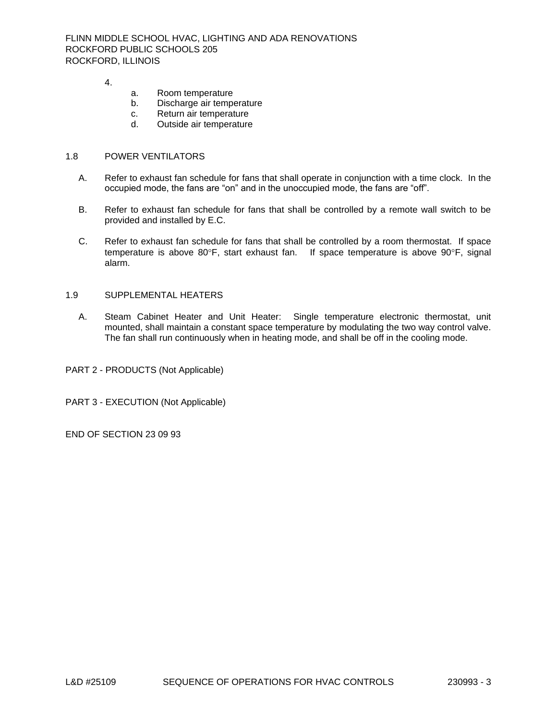4.

- a. Room temperature
- b. Discharge air temperature
- c. Return air temperature
- d. Outside air temperature

### 1.8 POWER VENTILATORS

- A. Refer to exhaust fan schedule for fans that shall operate in conjunction with a time clock. In the occupied mode, the fans are "on" and in the unoccupied mode, the fans are "off".
- B. Refer to exhaust fan schedule for fans that shall be controlled by a remote wall switch to be provided and installed by E.C.
- C. Refer to exhaust fan schedule for fans that shall be controlled by a room thermostat. If space temperature is above 80 $\degree$ F, start exhaust fan. If space temperature is above 90 $\degree$ F, signal alarm.

## 1.9 SUPPLEMENTAL HEATERS

A. Steam Cabinet Heater and Unit Heater: Single temperature electronic thermostat, unit mounted, shall maintain a constant space temperature by modulating the two way control valve. The fan shall run continuously when in heating mode, and shall be off in the cooling mode.

PART 2 - PRODUCTS (Not Applicable)

PART 3 - EXECUTION (Not Applicable)

END OF SECTION 23 09 93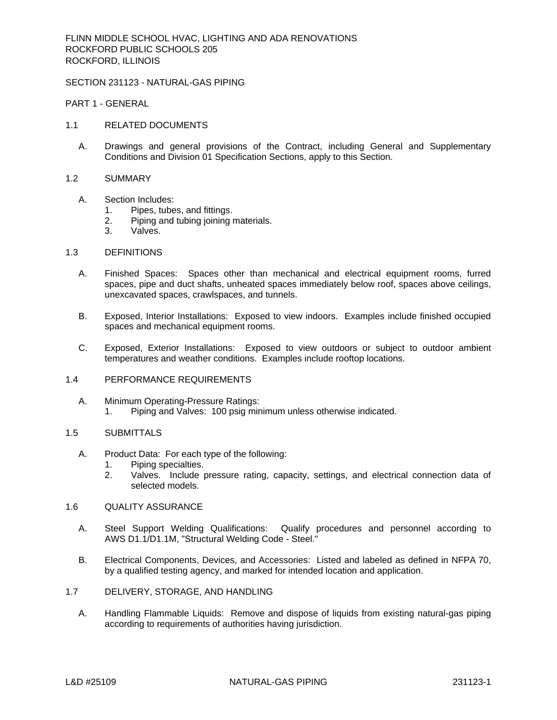#### SECTION 231123 - NATURAL-GAS PIPING

PART 1 - GENERAL

- 1.1 RELATED DOCUMENTS
	- A. Drawings and general provisions of the Contract, including General and Supplementary Conditions and Division 01 Specification Sections, apply to this Section.
- 1.2 SUMMARY
	- A. Section Includes:
		- 1. Pipes, tubes, and fittings.
		- 2. Piping and tubing joining materials.
		- 3. Valves.
- 1.3 DEFINITIONS
	- A. Finished Spaces: Spaces other than mechanical and electrical equipment rooms, furred spaces, pipe and duct shafts, unheated spaces immediately below roof, spaces above ceilings, unexcavated spaces, crawlspaces, and tunnels.
	- B. Exposed, Interior Installations: Exposed to view indoors. Examples include finished occupied spaces and mechanical equipment rooms.
	- C. Exposed, Exterior Installations: Exposed to view outdoors or subject to outdoor ambient temperatures and weather conditions. Examples include rooftop locations.
- 1.4 PERFORMANCE REQUIREMENTS
	- A. Minimum Operating-Pressure Ratings:
		- 1. Piping and Valves: 100 psig minimum unless otherwise indicated.

### 1.5 SUBMITTALS

- A. Product Data: For each type of the following:
	- 1. Piping specialties.
	- 2. Valves. Include pressure rating, capacity, settings, and electrical connection data of selected models.
- 1.6 QUALITY ASSURANCE
	- A. Steel Support Welding Qualifications: Qualify procedures and personnel according to AWS D1.1/D1.1M, "Structural Welding Code - Steel."
	- B. Electrical Components, Devices, and Accessories: Listed and labeled as defined in NFPA 70, by a qualified testing agency, and marked for intended location and application.
- 1.7 DELIVERY, STORAGE, AND HANDLING
	- A. Handling Flammable Liquids: Remove and dispose of liquids from existing natural-gas piping according to requirements of authorities having jurisdiction.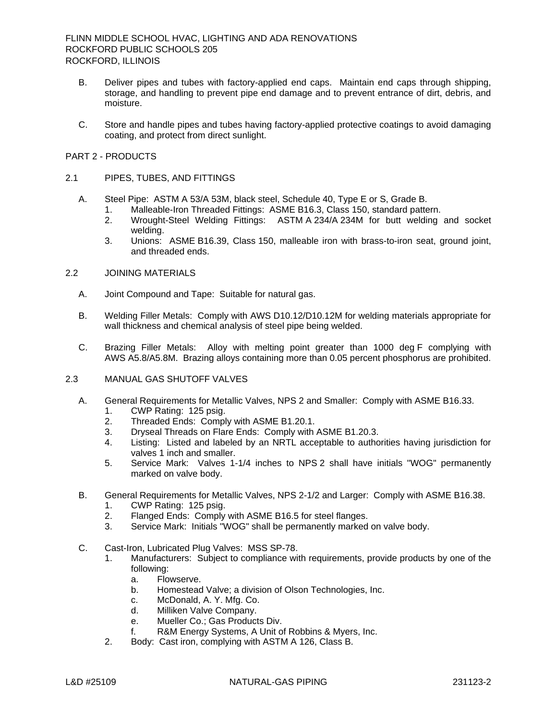- B. Deliver pipes and tubes with factory-applied end caps. Maintain end caps through shipping, storage, and handling to prevent pipe end damage and to prevent entrance of dirt, debris, and moisture.
- C. Store and handle pipes and tubes having factory-applied protective coatings to avoid damaging coating, and protect from direct sunlight.

### PART 2 - PRODUCTS

### 2.1 PIPES, TUBES, AND FITTINGS

- A. Steel Pipe: ASTM A 53/A 53M, black steel, Schedule 40, Type E or S, Grade B.
	- 1. Malleable-Iron Threaded Fittings: ASME B16.3, Class 150, standard pattern.
	- 2. Wrought-Steel Welding Fittings: ASTM A 234/A 234M for butt welding and socket welding.
	- 3. Unions: ASME B16.39, Class 150, malleable iron with brass-to-iron seat, ground joint, and threaded ends.

## 2.2 JOINING MATERIALS

- A. Joint Compound and Tape: Suitable for natural gas.
- B. Welding Filler Metals: Comply with AWS D10.12/D10.12M for welding materials appropriate for wall thickness and chemical analysis of steel pipe being welded.
- C. Brazing Filler Metals: Alloy with melting point greater than 1000 deg F complying with AWS A5.8/A5.8M. Brazing alloys containing more than 0.05 percent phosphorus are prohibited.
- 2.3 MANUAL GAS SHUTOFF VALVES
	- A. General Requirements for Metallic Valves, NPS 2 and Smaller: Comply with ASME B16.33.
		- 1. CWP Rating: 125 psig.
		- 2. Threaded Ends: Comply with ASME B1.20.1.
		- 3. Dryseal Threads on Flare Ends: Comply with ASME B1.20.3.
		- 4. Listing: Listed and labeled by an NRTL acceptable to authorities having jurisdiction for valves 1 inch and smaller.
		- 5. Service Mark: Valves 1-1/4 inches to NPS 2 shall have initials "WOG" permanently marked on valve body.
	- B. General Requirements for Metallic Valves, NPS 2-1/2 and Larger: Comply with ASME B16.38.
		- 1. CWP Rating: 125 psig.
		- 2. Flanged Ends: Comply with ASME B16.5 for steel flanges.
		- 3. Service Mark: Initials "WOG" shall be permanently marked on valve body.
	- C. Cast-Iron, Lubricated Plug Valves: MSS SP-78.
		- 1. Manufacturers: Subject to compliance with requirements, provide products by one of the following:
			- a. Flowserve.
			- b. Homestead Valve; a division of Olson Technologies, Inc.
			- c. McDonald, A. Y. Mfg. Co.
			- d. Milliken Valve Company.
			- e. Mueller Co.; Gas Products Div.
			- f. R&M Energy Systems, A Unit of Robbins & Myers, Inc.
		- 2. Body: Cast iron, complying with ASTM A 126, Class B.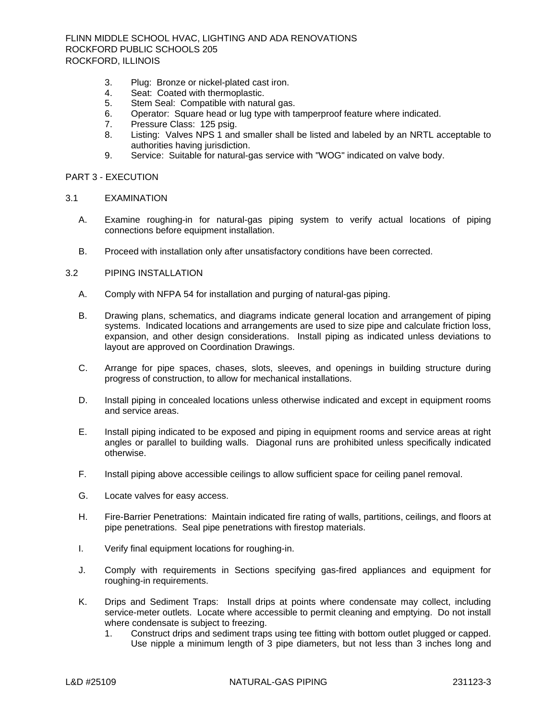- 3. Plug: Bronze or nickel-plated cast iron.
- 4. Seat: Coated with thermoplastic.
- 5. Stem Seal: Compatible with natural gas.
- 6. Operator: Square head or lug type with tamperproof feature where indicated.
- 7. Pressure Class: 125 psig.
- 8. Listing: Valves NPS 1 and smaller shall be listed and labeled by an NRTL acceptable to authorities having jurisdiction.
- 9. Service: Suitable for natural-gas service with "WOG" indicated on valve body.

### PART 3 - EXECUTION

#### 3.1 EXAMINATION

- A. Examine roughing-in for natural-gas piping system to verify actual locations of piping connections before equipment installation.
- B. Proceed with installation only after unsatisfactory conditions have been corrected.

## 3.2 PIPING INSTALLATION

- A. Comply with NFPA 54 for installation and purging of natural-gas piping.
- B. Drawing plans, schematics, and diagrams indicate general location and arrangement of piping systems. Indicated locations and arrangements are used to size pipe and calculate friction loss, expansion, and other design considerations. Install piping as indicated unless deviations to layout are approved on Coordination Drawings.
- C. Arrange for pipe spaces, chases, slots, sleeves, and openings in building structure during progress of construction, to allow for mechanical installations.
- D. Install piping in concealed locations unless otherwise indicated and except in equipment rooms and service areas.
- E. Install piping indicated to be exposed and piping in equipment rooms and service areas at right angles or parallel to building walls. Diagonal runs are prohibited unless specifically indicated otherwise.
- F. Install piping above accessible ceilings to allow sufficient space for ceiling panel removal.
- G. Locate valves for easy access.
- H. Fire-Barrier Penetrations: Maintain indicated fire rating of walls, partitions, ceilings, and floors at pipe penetrations. Seal pipe penetrations with firestop materials.
- I. Verify final equipment locations for roughing-in.
- J. Comply with requirements in Sections specifying gas-fired appliances and equipment for roughing-in requirements.
- K. Drips and Sediment Traps: Install drips at points where condensate may collect, including service-meter outlets. Locate where accessible to permit cleaning and emptying. Do not install where condensate is subject to freezing.
	- 1. Construct drips and sediment traps using tee fitting with bottom outlet plugged or capped. Use nipple a minimum length of 3 pipe diameters, but not less than 3 inches long and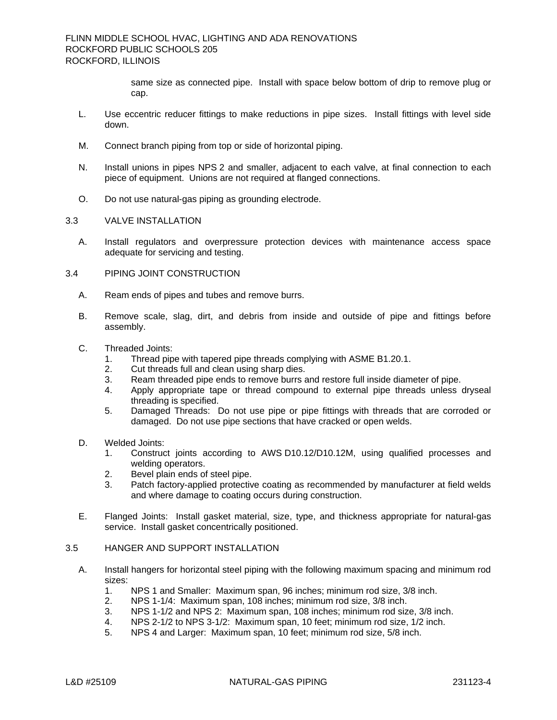same size as connected pipe. Install with space below bottom of drip to remove plug or cap.

- L. Use eccentric reducer fittings to make reductions in pipe sizes. Install fittings with level side down.
- M. Connect branch piping from top or side of horizontal piping.
- N. Install unions in pipes NPS 2 and smaller, adjacent to each valve, at final connection to each piece of equipment. Unions are not required at flanged connections.
- O. Do not use natural-gas piping as grounding electrode.
- 3.3 VALVE INSTALLATION
	- A. Install regulators and overpressure protection devices with maintenance access space adequate for servicing and testing.
- 3.4 PIPING JOINT CONSTRUCTION
	- A. Ream ends of pipes and tubes and remove burrs.
	- B. Remove scale, slag, dirt, and debris from inside and outside of pipe and fittings before assembly.
	- C. Threaded Joints:
		- 1. Thread pipe with tapered pipe threads complying with ASME B1.20.1.
		- 2. Cut threads full and clean using sharp dies.
		- 3. Ream threaded pipe ends to remove burrs and restore full inside diameter of pipe.
		- Apply appropriate tape or thread compound to external pipe threads unless dryseal threading is specified.
		- 5. Damaged Threads: Do not use pipe or pipe fittings with threads that are corroded or damaged. Do not use pipe sections that have cracked or open welds.
	- D. Welded Joints:
		- 1. Construct joints according to AWS D10.12/D10.12M, using qualified processes and welding operators.
		- 2. Bevel plain ends of steel pipe.
		- 3. Patch factory-applied protective coating as recommended by manufacturer at field welds and where damage to coating occurs during construction.
	- E. Flanged Joints: Install gasket material, size, type, and thickness appropriate for natural-gas service. Install gasket concentrically positioned.

#### 3.5 HANGER AND SUPPORT INSTALLATION

- A. Install hangers for horizontal steel piping with the following maximum spacing and minimum rod sizes:
	- 1. NPS 1 and Smaller: Maximum span, 96 inches; minimum rod size, 3/8 inch.
	- 2. NPS 1-1/4: Maximum span, 108 inches; minimum rod size, 3/8 inch.
	- 3. NPS 1-1/2 and NPS 2: Maximum span, 108 inches; minimum rod size, 3/8 inch.
	- 4. NPS 2-1/2 to NPS 3-1/2: Maximum span, 10 feet; minimum rod size, 1/2 inch.
	- 5. NPS 4 and Larger: Maximum span, 10 feet; minimum rod size, 5/8 inch.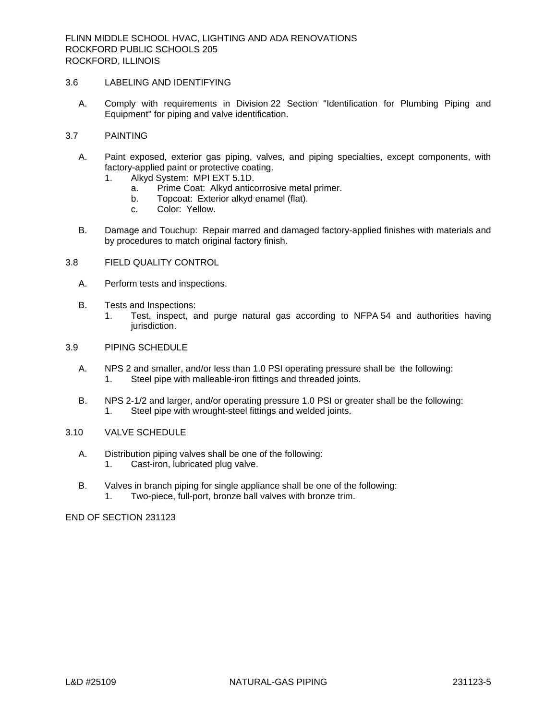## 3.6 LABELING AND IDENTIFYING

A. Comply with requirements in Division 22 Section "Identification for Plumbing Piping and Equipment" for piping and valve identification.

## 3.7 PAINTING

- A. Paint exposed, exterior gas piping, valves, and piping specialties, except components, with factory-applied paint or protective coating.
	- 1. Alkyd System: MPI EXT 5.1D.
		- a. Prime Coat: Alkyd anticorrosive metal primer.
		- b. Topcoat: Exterior alkyd enamel (flat).
		- c. Color: Yellow.
- B. Damage and Touchup: Repair marred and damaged factory-applied finishes with materials and by procedures to match original factory finish.

## 3.8 FIELD QUALITY CONTROL

- A. Perform tests and inspections.
- B. Tests and Inspections:
	- 1. Test, inspect, and purge natural gas according to NFPA 54 and authorities having jurisdiction.

### 3.9 PIPING SCHEDULE

- A. NPS 2 and smaller, and/or less than 1.0 PSI operating pressure shall be the following: 1. Steel pipe with malleable-iron fittings and threaded joints.
- B. NPS 2-1/2 and larger, and/or operating pressure 1.0 PSI or greater shall be the following: 1. Steel pipe with wrought-steel fittings and welded joints.

#### 3.10 VALVE SCHEDULE

- A. Distribution piping valves shall be one of the following: 1. Cast-iron, lubricated plug valve.
- B. Valves in branch piping for single appliance shall be one of the following: 1. Two-piece, full-port, bronze ball valves with bronze trim.

END OF SECTION 231123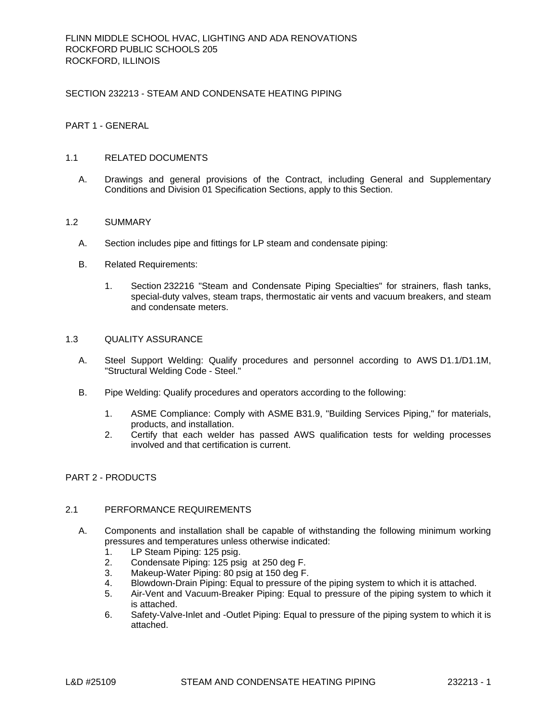### SECTION 232213 - STEAM AND CONDENSATE HEATING PIPING

## PART 1 - GENERAL

### 1.1 RELATED DOCUMENTS

A. Drawings and general provisions of the Contract, including General and Supplementary Conditions and Division 01 Specification Sections, apply to this Section.

### 1.2 SUMMARY

- A. Section includes pipe and fittings for LP steam and condensate piping:
- B. Related Requirements:
	- 1. Section 232216 "Steam and Condensate Piping Specialties" for strainers, flash tanks, special-duty valves, steam traps, thermostatic air vents and vacuum breakers, and steam and condensate meters.

#### 1.3 QUALITY ASSURANCE

- A. Steel Support Welding: Qualify procedures and personnel according to AWS D1.1/D1.1M, "Structural Welding Code - Steel."
- B. Pipe Welding: Qualify procedures and operators according to the following:
	- 1. ASME Compliance: Comply with ASME B31.9, "Building Services Piping," for materials, products, and installation.
	- 2. Certify that each welder has passed AWS qualification tests for welding processes involved and that certification is current.

### PART 2 - PRODUCTS

### 2.1 PERFORMANCE REQUIREMENTS

- A. Components and installation shall be capable of withstanding the following minimum working pressures and temperatures unless otherwise indicated:
	- 1. LP Steam Piping: 125 psig.
	- 2. Condensate Piping: 125 psig at 250 deg F.
	- 3. Makeup-Water Piping: 80 psig at 150 deg F.
	- 4. Blowdown-Drain Piping: Equal to pressure of the piping system to which it is attached.
	- 5. Air-Vent and Vacuum-Breaker Piping: Equal to pressure of the piping system to which it is attached.
	- 6. Safety-Valve-Inlet and -Outlet Piping: Equal to pressure of the piping system to which it is attached.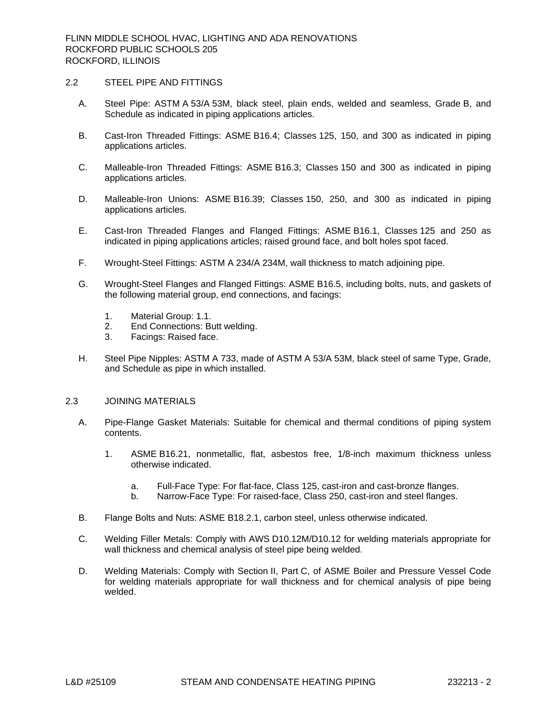#### 2.2 STEEL PIPE AND FITTINGS

- A. Steel Pipe: ASTM A 53/A 53M, black steel, plain ends, welded and seamless, Grade B, and Schedule as indicated in piping applications articles.
- B. Cast-Iron Threaded Fittings: ASME B16.4; Classes 125, 150, and 300 as indicated in piping applications articles.
- C. Malleable-Iron Threaded Fittings: ASME B16.3; Classes 150 and 300 as indicated in piping applications articles.
- D. Malleable-Iron Unions: ASME B16.39; Classes 150, 250, and 300 as indicated in piping applications articles.
- E. Cast-Iron Threaded Flanges and Flanged Fittings: ASME B16.1, Classes 125 and 250 as indicated in piping applications articles; raised ground face, and bolt holes spot faced.
- F. Wrought-Steel Fittings: ASTM A 234/A 234M, wall thickness to match adjoining pipe.
- G. Wrought-Steel Flanges and Flanged Fittings: ASME B16.5, including bolts, nuts, and gaskets of the following material group, end connections, and facings:
	- 1. Material Group: 1.1.
	- 2. End Connections: Butt welding.
	- 3. Facings: Raised face.
- H. Steel Pipe Nipples: ASTM A 733, made of ASTM A 53/A 53M, black steel of same Type, Grade, and Schedule as pipe in which installed.

#### 2.3 JOINING MATERIALS

- A. Pipe-Flange Gasket Materials: Suitable for chemical and thermal conditions of piping system contents.
	- 1. ASME B16.21, nonmetallic, flat, asbestos free, 1/8-inch maximum thickness unless otherwise indicated.
		- a. Full-Face Type: For flat-face, Class 125, cast-iron and cast-bronze flanges.
		- b. Narrow-Face Type: For raised-face, Class 250, cast-iron and steel flanges.
- B. Flange Bolts and Nuts: ASME B18.2.1, carbon steel, unless otherwise indicated.
- C. Welding Filler Metals: Comply with AWS D10.12M/D10.12 for welding materials appropriate for wall thickness and chemical analysis of steel pipe being welded.
- D. Welding Materials: Comply with Section II, Part C, of ASME Boiler and Pressure Vessel Code for welding materials appropriate for wall thickness and for chemical analysis of pipe being welded.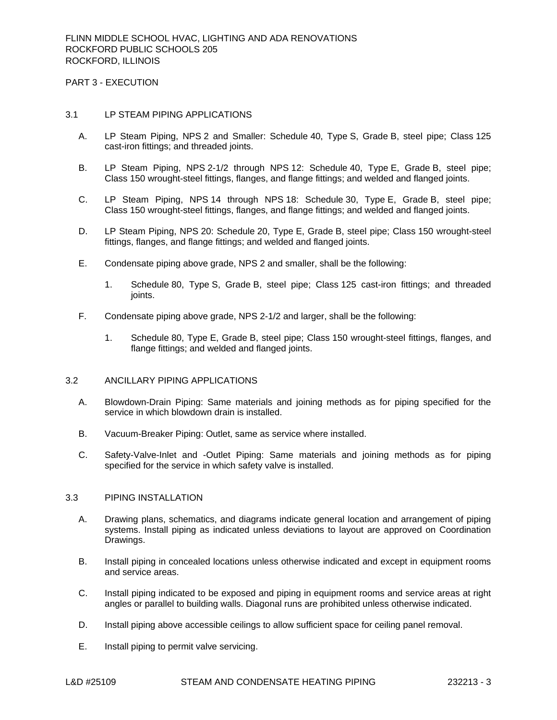PART 3 - EXECUTION

#### 3.1 LP STEAM PIPING APPLICATIONS

- A. LP Steam Piping, NPS 2 and Smaller: Schedule 40, Type S, Grade B, steel pipe; Class 125 cast-iron fittings; and threaded joints.
- B. LP Steam Piping, NPS 2-1/2 through NPS 12: Schedule 40, Type E, Grade B, steel pipe; Class 150 wrought-steel fittings, flanges, and flange fittings; and welded and flanged joints.
- C. LP Steam Piping, NPS 14 through NPS 18: Schedule 30, Type E, Grade B, steel pipe; Class 150 wrought-steel fittings, flanges, and flange fittings; and welded and flanged joints.
- D. LP Steam Piping, NPS 20: Schedule 20, Type E, Grade B, steel pipe; Class 150 wrought-steel fittings, flanges, and flange fittings; and welded and flanged joints.
- E. Condensate piping above grade, NPS 2 and smaller, shall be the following:
	- 1. Schedule 80, Type S, Grade B, steel pipe; Class 125 cast-iron fittings; and threaded joints.
- F. Condensate piping above grade, NPS 2-1/2 and larger, shall be the following:
	- 1. Schedule 80, Type E, Grade B, steel pipe; Class 150 wrought-steel fittings, flanges, and flange fittings; and welded and flanged joints.

### 3.2 ANCILLARY PIPING APPLICATIONS

- A. Blowdown-Drain Piping: Same materials and joining methods as for piping specified for the service in which blowdown drain is installed.
- B. Vacuum-Breaker Piping: Outlet, same as service where installed.
- C. Safety-Valve-Inlet and -Outlet Piping: Same materials and joining methods as for piping specified for the service in which safety valve is installed.

# 3.3 PIPING INSTALLATION

- A. Drawing plans, schematics, and diagrams indicate general location and arrangement of piping systems. Install piping as indicated unless deviations to layout are approved on Coordination Drawings.
- B. Install piping in concealed locations unless otherwise indicated and except in equipment rooms and service areas.
- C. Install piping indicated to be exposed and piping in equipment rooms and service areas at right angles or parallel to building walls. Diagonal runs are prohibited unless otherwise indicated.
- D. Install piping above accessible ceilings to allow sufficient space for ceiling panel removal.
- E. Install piping to permit valve servicing.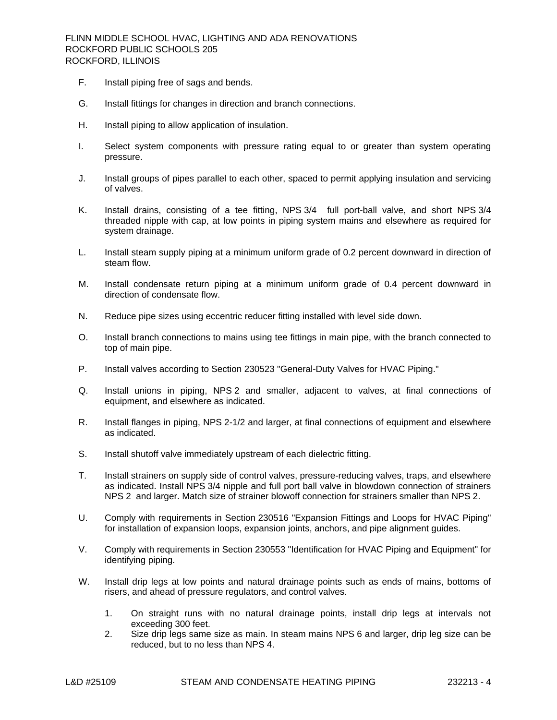- F. Install piping free of sags and bends.
- G. Install fittings for changes in direction and branch connections.
- H. Install piping to allow application of insulation.
- I. Select system components with pressure rating equal to or greater than system operating pressure.
- J. Install groups of pipes parallel to each other, spaced to permit applying insulation and servicing of valves.
- K. Install drains, consisting of a tee fitting, NPS 3/4 full port-ball valve, and short NPS 3/4 threaded nipple with cap, at low points in piping system mains and elsewhere as required for system drainage.
- L. Install steam supply piping at a minimum uniform grade of 0.2 percent downward in direction of steam flow.
- M. Install condensate return piping at a minimum uniform grade of 0.4 percent downward in direction of condensate flow.
- N. Reduce pipe sizes using eccentric reducer fitting installed with level side down.
- O. Install branch connections to mains using tee fittings in main pipe, with the branch connected to top of main pipe.
- P. Install valves according to Section 230523 "General-Duty Valves for HVAC Piping."
- Q. Install unions in piping, NPS 2 and smaller, adjacent to valves, at final connections of equipment, and elsewhere as indicated.
- R. Install flanges in piping, NPS 2-1/2 and larger, at final connections of equipment and elsewhere as indicated.
- S. Install shutoff valve immediately upstream of each dielectric fitting.
- T. Install strainers on supply side of control valves, pressure-reducing valves, traps, and elsewhere as indicated. Install NPS 3/4 nipple and full port ball valve in blowdown connection of strainers NPS 2 and larger. Match size of strainer blowoff connection for strainers smaller than NPS 2.
- U. Comply with requirements in Section 230516 "Expansion Fittings and Loops for HVAC Piping" for installation of expansion loops, expansion joints, anchors, and pipe alignment guides.
- V. Comply with requirements in Section 230553 "Identification for HVAC Piping and Equipment" for identifying piping.
- W. Install drip legs at low points and natural drainage points such as ends of mains, bottoms of risers, and ahead of pressure regulators, and control valves.
	- 1. On straight runs with no natural drainage points, install drip legs at intervals not exceeding 300 feet.
	- 2. Size drip legs same size as main. In steam mains NPS 6 and larger, drip leg size can be reduced, but to no less than NPS 4.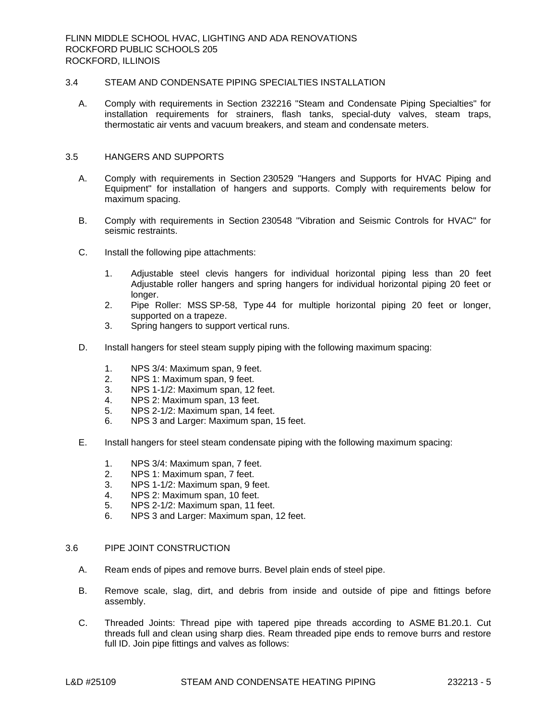# 3.4 STEAM AND CONDENSATE PIPING SPECIALTIES INSTALLATION

A. Comply with requirements in Section 232216 "Steam and Condensate Piping Specialties" for installation requirements for strainers, flash tanks, special-duty valves, steam traps, thermostatic air vents and vacuum breakers, and steam and condensate meters.

### 3.5 HANGERS AND SUPPORTS

- A. Comply with requirements in Section 230529 "Hangers and Supports for HVAC Piping and Equipment" for installation of hangers and supports. Comply with requirements below for maximum spacing.
- B. Comply with requirements in Section 230548 "Vibration and Seismic Controls for HVAC" for seismic restraints.
- C. Install the following pipe attachments:
	- 1. Adjustable steel clevis hangers for individual horizontal piping less than 20 feet Adjustable roller hangers and spring hangers for individual horizontal piping 20 feet or longer.
	- 2. Pipe Roller: MSS SP-58, Type 44 for multiple horizontal piping 20 feet or longer, supported on a trapeze.
	- 3. Spring hangers to support vertical runs.
- D. Install hangers for steel steam supply piping with the following maximum spacing:
	- 1. NPS 3/4: Maximum span, 9 feet.
	- 2. NPS 1: Maximum span, 9 feet.
	- 3. NPS 1-1/2: Maximum span, 12 feet.
	- 4. NPS 2: Maximum span, 13 feet.
	- 5. NPS 2-1/2: Maximum span, 14 feet.
	- 6. NPS 3 and Larger: Maximum span, 15 feet.
- E. Install hangers for steel steam condensate piping with the following maximum spacing:
	- 1. NPS 3/4: Maximum span, 7 feet.
	- 2. NPS 1: Maximum span, 7 feet.
	- 3. NPS 1-1/2: Maximum span, 9 feet.
	- 4. NPS 2: Maximum span, 10 feet.
	- 5. NPS 2-1/2: Maximum span, 11 feet.
	- 6. NPS 3 and Larger: Maximum span, 12 feet.

#### 3.6 PIPE JOINT CONSTRUCTION

- A. Ream ends of pipes and remove burrs. Bevel plain ends of steel pipe.
- B. Remove scale, slag, dirt, and debris from inside and outside of pipe and fittings before assembly.
- C. Threaded Joints: Thread pipe with tapered pipe threads according to ASME B1.20.1. Cut threads full and clean using sharp dies. Ream threaded pipe ends to remove burrs and restore full ID. Join pipe fittings and valves as follows: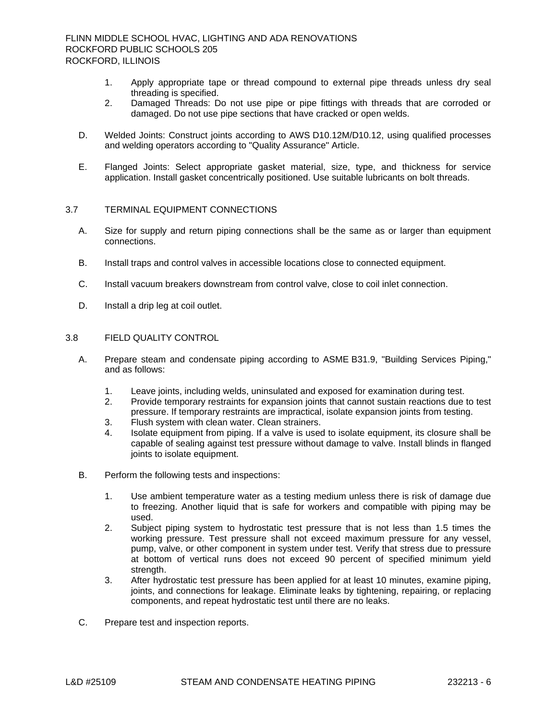- 1. Apply appropriate tape or thread compound to external pipe threads unless dry seal threading is specified.
- 2. Damaged Threads: Do not use pipe or pipe fittings with threads that are corroded or damaged. Do not use pipe sections that have cracked or open welds.
- D. Welded Joints: Construct joints according to AWS D10.12M/D10.12, using qualified processes and welding operators according to "Quality Assurance" Article.
- E. Flanged Joints: Select appropriate gasket material, size, type, and thickness for service application. Install gasket concentrically positioned. Use suitable lubricants on bolt threads.

# 3.7 TERMINAL EQUIPMENT CONNECTIONS

- A. Size for supply and return piping connections shall be the same as or larger than equipment connections.
- B. Install traps and control valves in accessible locations close to connected equipment.
- C. Install vacuum breakers downstream from control valve, close to coil inlet connection.
- D. Install a drip leg at coil outlet.

# 3.8 FIELD QUALITY CONTROL

- A. Prepare steam and condensate piping according to ASME B31.9, "Building Services Piping," and as follows:
	- 1. Leave joints, including welds, uninsulated and exposed for examination during test.
	- 2. Provide temporary restraints for expansion joints that cannot sustain reactions due to test pressure. If temporary restraints are impractical, isolate expansion joints from testing.
	- 3. Flush system with clean water. Clean strainers.
	- 4. Isolate equipment from piping. If a valve is used to isolate equipment, its closure shall be capable of sealing against test pressure without damage to valve. Install blinds in flanged joints to isolate equipment.
- B. Perform the following tests and inspections:
	- 1. Use ambient temperature water as a testing medium unless there is risk of damage due to freezing. Another liquid that is safe for workers and compatible with piping may be used.
	- 2. Subject piping system to hydrostatic test pressure that is not less than 1.5 times the working pressure. Test pressure shall not exceed maximum pressure for any vessel, pump, valve, or other component in system under test. Verify that stress due to pressure at bottom of vertical runs does not exceed 90 percent of specified minimum yield strength.
	- 3. After hydrostatic test pressure has been applied for at least 10 minutes, examine piping, joints, and connections for leakage. Eliminate leaks by tightening, repairing, or replacing components, and repeat hydrostatic test until there are no leaks.
- C. Prepare test and inspection reports.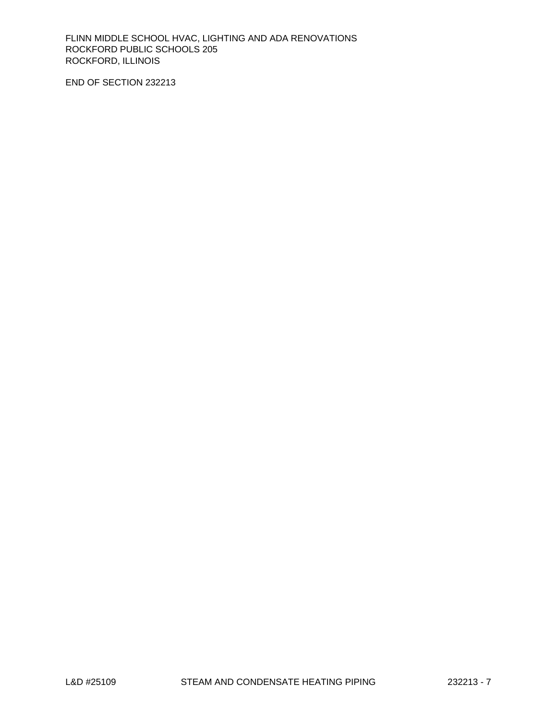END OF SECTION 232213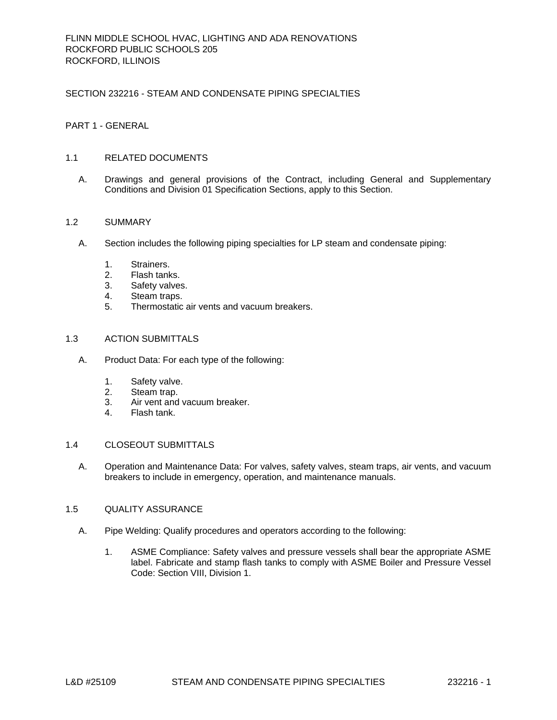# SECTION 232216 - STEAM AND CONDENSATE PIPING SPECIALTIES

# PART 1 - GENERAL

### 1.1 RELATED DOCUMENTS

A. Drawings and general provisions of the Contract, including General and Supplementary Conditions and Division 01 Specification Sections, apply to this Section.

# 1.2 SUMMARY

- A. Section includes the following piping specialties for LP steam and condensate piping:
	- 1. Strainers.
	- 2. Flash tanks.
	- 3. Safety valves.
	- 4. Steam traps.
	- 5. Thermostatic air vents and vacuum breakers.

#### 1.3 ACTION SUBMITTALS

- A. Product Data: For each type of the following:
	- 1. Safety valve.
	- 2. Steam trap.
	- 3. Air vent and vacuum breaker.
	- 4. Flash tank.

# 1.4 CLOSEOUT SUBMITTALS

A. Operation and Maintenance Data: For valves, safety valves, steam traps, air vents, and vacuum breakers to include in emergency, operation, and maintenance manuals.

#### 1.5 QUALITY ASSURANCE

- A. Pipe Welding: Qualify procedures and operators according to the following:
	- 1. ASME Compliance: Safety valves and pressure vessels shall bear the appropriate ASME label. Fabricate and stamp flash tanks to comply with ASME Boiler and Pressure Vessel Code: Section VIII, Division 1.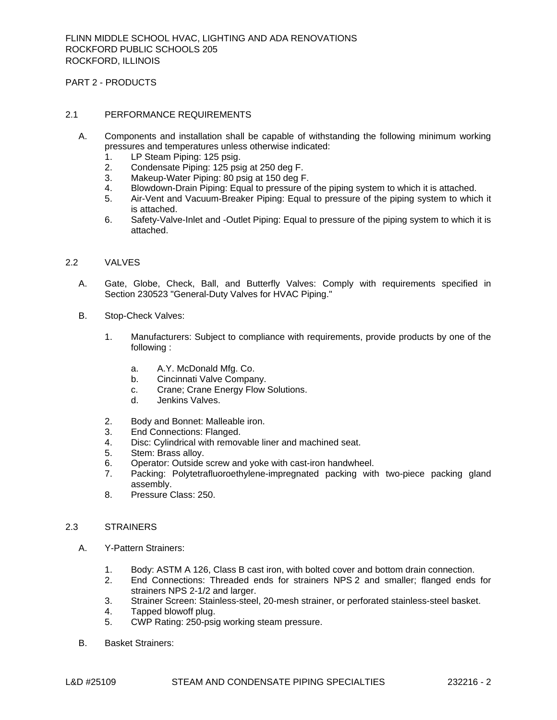PART 2 - PRODUCTS

### 2.1 PERFORMANCE REQUIREMENTS

- A. Components and installation shall be capable of withstanding the following minimum working pressures and temperatures unless otherwise indicated:
	- 1. LP Steam Piping: 125 psig.
	- 2. Condensate Piping: 125 psig at 250 deg F.
	- 3. Makeup-Water Piping: 80 psig at 150 deg F.
	- 4. Blowdown-Drain Piping: Equal to pressure of the piping system to which it is attached.
	- 5. Air-Vent and Vacuum-Breaker Piping: Equal to pressure of the piping system to which it is attached.
	- 6. Safety-Valve-Inlet and -Outlet Piping: Equal to pressure of the piping system to which it is attached.

### 2.2 VALVES

- A. Gate, Globe, Check, Ball, and Butterfly Valves: Comply with requirements specified in Section 230523 "General-Duty Valves for HVAC Piping."
- B. Stop-Check Valves:
	- 1. Manufacturers: Subject to compliance with requirements, provide products by one of the following :
		- a. [A.Y. McDonald Mfg. Co.](http://www.specagent.com/LookUp/?uid=123456895572&mf=&src=wd)
		- b. [Cincinnati Valve Company.](http://www.specagent.com/LookUp/?uid=123456895574&mf=&src=wd)
		- c. [Crane; Crane Energy Flow Solutions.](http://www.specagent.com/LookUp/?uid=123456895570&mf=&src=wd)
		- d. [Jenkins Valves.](http://www.specagent.com/LookUp/?uid=123456895573&mf=&src=wd)
	- 2. Body and Bonnet: Malleable iron.
	- 3. End Connections: Flanged.
	- 4. Disc: Cylindrical with removable liner and machined seat.
	- 5. Stem: Brass alloy.
	- 6. Operator: Outside screw and yoke with cast-iron handwheel.
	- 7. Packing: Polytetrafluoroethylene-impregnated packing with two-piece packing gland assembly.
	- 8. Pressure Class: 250.

### 2.3 STRAINERS

- A. Y-Pattern Strainers:
	- 1. Body: ASTM A 126, Class B cast iron, with bolted cover and bottom drain connection.<br>2. End Connections: Threaded ends for strainers NPS 2 and smaller: flanged ends
	- End Connections: Threaded ends for strainers NPS 2 and smaller; flanged ends for strainers NPS 2-1/2 and larger.
	- 3. Strainer Screen: Stainless-steel, 20-mesh strainer, or perforated stainless-steel basket.
	- 4. Tapped blowoff plug.
	- 5. CWP Rating: 250-psig working steam pressure.
- B. Basket Strainers: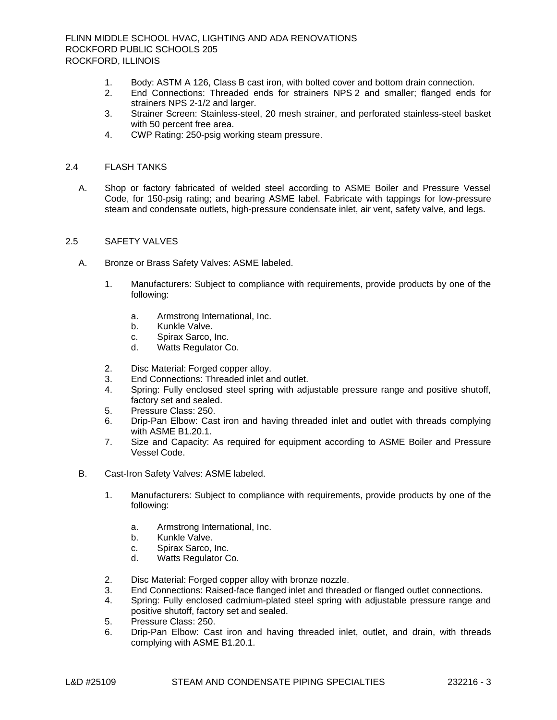- 1. Body: ASTM A 126, Class B cast iron, with bolted cover and bottom drain connection.
- 2. End Connections: Threaded ends for strainers NPS 2 and smaller; flanged ends for strainers NPS 2-1/2 and larger.
- 3. Strainer Screen: Stainless-steel, 20 mesh strainer, and perforated stainless-steel basket with 50 percent free area.
- 4. CWP Rating: 250-psig working steam pressure.

### 2.4 FLASH TANKS

A. Shop or factory fabricated of welded steel according to ASME Boiler and Pressure Vessel Code, for 150-psig rating; and bearing ASME label. Fabricate with tappings for low-pressure steam and condensate outlets, high-pressure condensate inlet, air vent, safety valve, and legs.

# 2.5 SAFETY VALVES

- A. Bronze or Brass Safety Valves: ASME labeled.
	- 1. Manufacturers: Subject to compliance with requirements, provide products by one of the following:
		- a. [Armstrong International, Inc.](http://www.specagent.com/LookUp/?uid=123456895575&mf=&src=wd)
		- b. [Kunkle](http://www.specagent.com/LookUp/?uid=123456895577&mf=&src=wd) Valve.
		- c. [Spirax Sarco, Inc.](http://www.specagent.com/LookUp/?uid=123456895576&mf=&src=wd)
		- d. [Watts Regulator Co.](http://www.specagent.com/LookUp/?uid=123456895578&mf=&src=wd)
	- 2. Disc Material: Forged copper alloy.
	- 3. End Connections: Threaded inlet and outlet.
	- 4. Spring: Fully enclosed steel spring with adjustable pressure range and positive shutoff, factory set and sealed.
	- 5. Pressure Class: 250.
	- 6. Drip-Pan Elbow: Cast iron and having threaded inlet and outlet with threads complying with ASME B1.20.1.
	- 7. Size and Capacity: As required for equipment according to ASME Boiler and Pressure Vessel Code.
- B. Cast-Iron Safety Valves: ASME labeled.
	- 1. Manufacturers: Subject to compliance with requirements, provide products by one of the following:
		- a. [Armstrong International, Inc.](http://www.specagent.com/LookUp/?uid=123456895592&mf=&src=wd)
		- b. [Kunkle Valve.](http://www.specagent.com/LookUp/?uid=123456895594&mf=&src=wd)
		- c. [Spirax Sarco, Inc.](http://www.specagent.com/LookUp/?uid=123456895593&mf=&src=wd)
		- d. [Watts Regulator Co.](http://www.specagent.com/LookUp/?uid=123456895595&mf=&src=wd)
	- 2. Disc Material: Forged copper alloy with bronze nozzle.
	- 3. End Connections: Raised-face flanged inlet and threaded or flanged outlet connections.
	- 4. Spring: Fully enclosed cadmium-plated steel spring with adjustable pressure range and positive shutoff, factory set and sealed.
	- 5. Pressure Class: 250.
	- 6. Drip-Pan Elbow: Cast iron and having threaded inlet, outlet, and drain, with threads complying with ASME B1.20.1.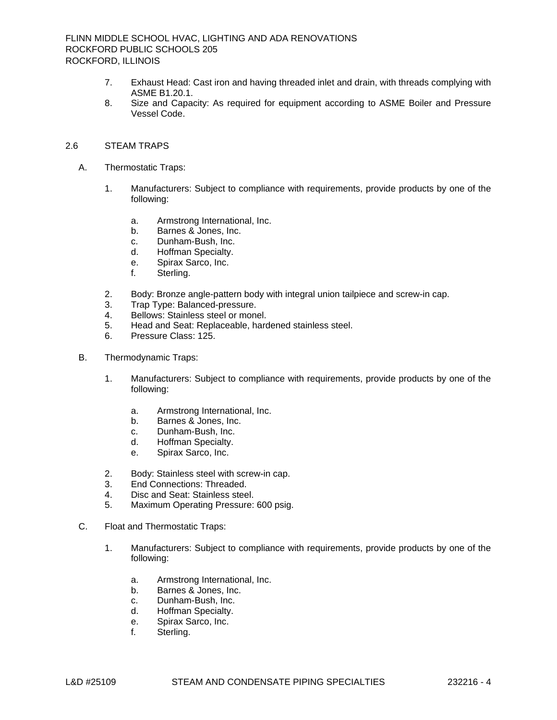- 7. Exhaust Head: Cast iron and having threaded inlet and drain, with threads complying with ASME B1.20.1.
- 8. Size and Capacity: As required for equipment according to ASME Boiler and Pressure Vessel Code.

# 2.6 STEAM TRAPS

- A. Thermostatic Traps:
	- 1. Manufacturers: Subject to compliance with requirements, provide products by one of the following:
		- a. [Armstrong International, Inc.](http://www.specagent.com/LookUp/?uid=123456895597&mf=&src=wd)
		- b. [Barnes & Jones, Inc.](http://www.specagent.com/LookUp/?uid=123456895598&mf=&src=wd)
		- c. [Dunham-Bush, Inc.](http://www.specagent.com/LookUp/?uid=123456895599&mf=&src=wd)
		- d. [Hoffman Specialty.](http://www.specagent.com/LookUp/?uid=123456895601&mf=&src=wd)
		- e. [Spirax Sarco, Inc.](http://www.specagent.com/LookUp/?uid=123456895600&mf=&src=wd)
		- f. [Sterling.](http://www.specagent.com/LookUp/?uid=123456895596&mf=&src=wd)
	- 2. Body: Bronze angle-pattern body with integral union tailpiece and screw-in cap.
	- 3. Trap Type: Balanced-pressure.
	- 4. Bellows: Stainless steel or monel.
	- 5. Head and Seat: Replaceable, hardened stainless steel.
	- 6. Pressure Class: 125.
- B. Thermodynamic Traps:
	- 1. Manufacturers: Subject to compliance with requirements, provide products by one of the following:
		- a. [Armstrong International, Inc.](http://www.specagent.com/LookUp/?uid=123456895614&mf=&src=wd)
		- b. [Barnes & Jones, Inc.](http://www.specagent.com/LookUp/?uid=123456895615&mf=&src=wd)
		- c. [Dunham-Bush, Inc.](http://www.specagent.com/LookUp/?uid=123456895616&mf=&src=wd)
		- d. [Hoffman Specialty.](http://www.specagent.com/LookUp/?uid=123456895618&mf=&src=wd)
		- e. [Spirax Sarco, Inc.](http://www.specagent.com/LookUp/?uid=123456895617&mf=&src=wd)
	- 2. Body: Stainless steel with screw-in cap.
	- 3. End Connections: Threaded.
	- 4. Disc and Seat: Stainless steel.
	- 5. Maximum Operating Pressure: 600 psig.
- C. Float and Thermostatic Traps:
	- 1. Manufacturers: Subject to compliance with requirements, provide products by one of the following:
		- a. [Armstrong International, Inc.](http://www.specagent.com/LookUp/?uid=123456895605&mf=&src=wd)
		- b. [Barnes & Jones, Inc.](http://www.specagent.com/LookUp/?uid=123456895606&mf=&src=wd)
		- c. [Dunham-Bush, Inc.](http://www.specagent.com/LookUp/?uid=123456895603&mf=&src=wd)
		- d. [Hoffman Specialty.](http://www.specagent.com/LookUp/?uid=123456895607&mf=&src=wd)
		- e. [Spirax Sarco, Inc.](http://www.specagent.com/LookUp/?uid=123456895604&mf=&src=wd)
		- f. [Sterling.](http://www.specagent.com/LookUp/?uid=123456895602&mf=&src=wd)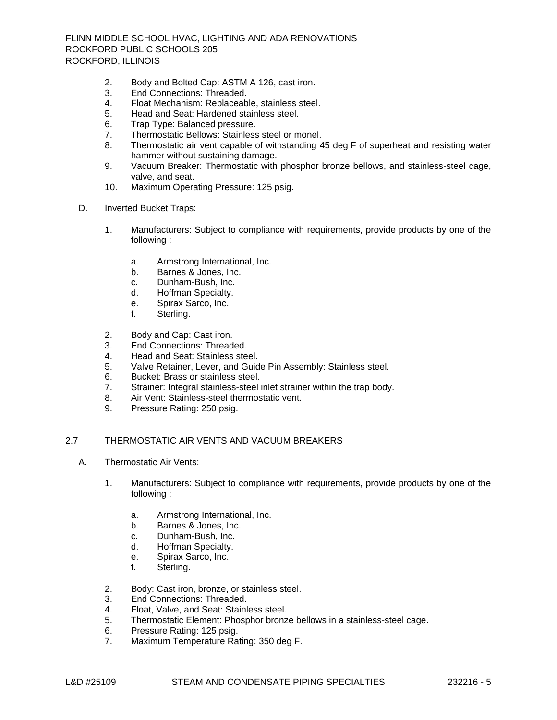- 2. Body and Bolted Cap: ASTM A 126, cast iron.
- 3. End Connections: Threaded.
- 4. Float Mechanism: Replaceable, stainless steel.
- 5. Head and Seat: Hardened stainless steel.
- 6. Trap Type: Balanced pressure.
- 7. Thermostatic Bellows: Stainless steel or monel.
- 8. Thermostatic air vent capable of withstanding 45 deg F of superheat and resisting water hammer without sustaining damage.
- 9. Vacuum Breaker: Thermostatic with phosphor bronze bellows, and stainless-steel cage, valve, and seat.
- 10. Maximum Operating Pressure: 125 psig.
- D. Inverted Bucket Traps:
	- 1. Manufacturers: Subject to compliance with requirements, provide products by one of the following :
		- a. [Armstrong International, Inc.](http://www.specagent.com/LookUp/?uid=123456895624&mf=&src=wd)
		- b. [Barnes & Jones, Inc.](http://www.specagent.com/LookUp/?uid=123456895625&mf=&src=wd)
		- c. [Dunham-Bush, Inc.](http://www.specagent.com/LookUp/?uid=123456895626&mf=&src=wd)
		- d. [Hoffman Specialty.](http://www.specagent.com/LookUp/?uid=123456895629&mf=&src=wd)
		- e. [Spirax Sarco, Inc.](http://www.specagent.com/LookUp/?uid=123456895627&mf=&src=wd)
		- f. [Sterling.](http://www.specagent.com/LookUp/?uid=123456895628&mf=&src=wd)
	- 2. Body and Cap: Cast iron.
	- 3. End Connections: Threaded.
	- 4. Head and Seat: Stainless steel.
	- 5. Valve Retainer, Lever, and Guide Pin Assembly: Stainless steel.
	- 6. Bucket: Brass or stainless steel.
	- 7. Strainer: Integral stainless-steel inlet strainer within the trap body.
	- 8. Air Vent: Stainless-steel thermostatic vent.
	- 9. Pressure Rating: 250 psig.

# 2.7 THERMOSTATIC AIR VENTS AND VACUUM BREAKERS

- A. Thermostatic Air Vents:
	- 1. Manufacturers: Subject to compliance with requirements, provide products by one of the following :
		- a. [Armstrong International, Inc.](http://www.specagent.com/LookUp/?uid=123456895608&mf=&src=wd)
		- b. [Barnes & Jones, Inc.](http://www.specagent.com/LookUp/?uid=123456895609&mf=&src=wd)
		- c. [Dunham-Bush, Inc.](http://www.specagent.com/LookUp/?uid=123456895610&mf=&src=wd)
		- d. [Hoffman Specialty.](http://www.specagent.com/LookUp/?uid=123456895613&mf=&src=wd)
		- e. [Spirax Sarco, Inc.](http://www.specagent.com/LookUp/?uid=123456895611&mf=&src=wd)
		- f. [Sterling.](http://www.specagent.com/LookUp/?uid=123456895612&mf=&src=wd)
	- 2. Body: Cast iron, bronze, or stainless steel.
	- 3. End Connections: Threaded.
	- 4. Float, Valve, and Seat: Stainless steel.
	- 5. Thermostatic Element: Phosphor bronze bellows in a stainless-steel cage.
	- 6. Pressure Rating: 125 psig.
	- 7. Maximum Temperature Rating: 350 deg F.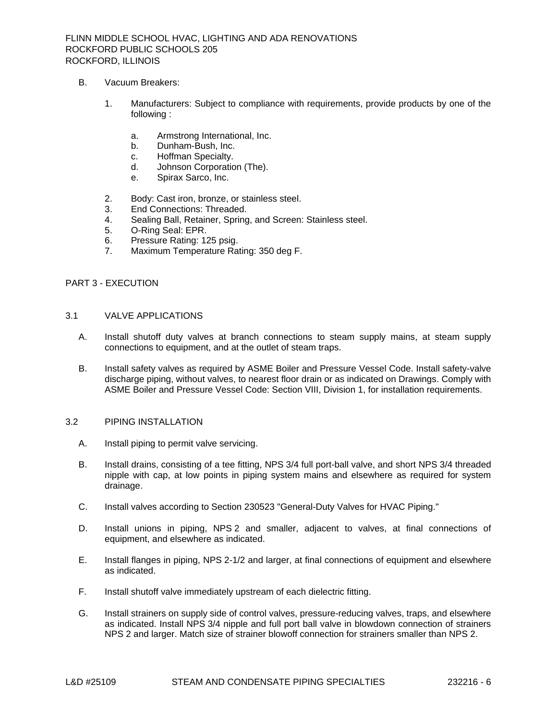- B. Vacuum Breakers:
	- 1. Manufacturers: Subject to compliance with requirements, provide products by one of the following :
		- a. [Armstrong International, Inc.](http://www.specagent.com/LookUp/?uid=123456895622&mf=&src=wd)
		- b. [Dunham-Bush, Inc.](http://www.specagent.com/LookUp/?uid=123456895619&mf=&src=wd)
		- c. [Hoffman Specialty.](http://www.specagent.com/LookUp/?uid=123456895623&mf=&src=wd)
		- d. [Johnson Corporation \(The\).](http://www.specagent.com/LookUp/?uid=123456895621&mf=&src=wd)
		- e. [Spirax Sarco, Inc.](http://www.specagent.com/LookUp/?uid=123456895620&mf=&src=wd)
	- 2. Body: Cast iron, bronze, or stainless steel.
	- 3. End Connections: Threaded.
	- 4. Sealing Ball, Retainer, Spring, and Screen: Stainless steel.
	- 5. O-Ring Seal: EPR.
	- 6. Pressure Rating: 125 psig.
	- 7. Maximum Temperature Rating: 350 deg F.

### PART 3 - EXECUTION

# 3.1 VALVE APPLICATIONS

- A. Install shutoff duty valves at branch connections to steam supply mains, at steam supply connections to equipment, and at the outlet of steam traps.
- B. Install safety valves as required by ASME Boiler and Pressure Vessel Code. Install safety-valve discharge piping, without valves, to nearest floor drain or as indicated on Drawings. Comply with ASME Boiler and Pressure Vessel Code: Section VIII, Division 1, for installation requirements.

# 3.2 PIPING INSTALLATION

- A. Install piping to permit valve servicing.
- B. Install drains, consisting of a tee fitting, NPS 3/4 full port-ball valve, and short NPS 3/4 threaded nipple with cap, at low points in piping system mains and elsewhere as required for system drainage.
- C. Install valves according to Section 230523 "General-Duty Valves for HVAC Piping."
- D. Install unions in piping, NPS 2 and smaller, adjacent to valves, at final connections of equipment, and elsewhere as indicated.
- E. Install flanges in piping, NPS 2-1/2 and larger, at final connections of equipment and elsewhere as indicated.
- F. Install shutoff valve immediately upstream of each dielectric fitting.
- G. Install strainers on supply side of control valves, pressure-reducing valves, traps, and elsewhere as indicated. Install NPS 3/4 nipple and full port ball valve in blowdown connection of strainers NPS 2 and larger. Match size of strainer blowoff connection for strainers smaller than NPS 2.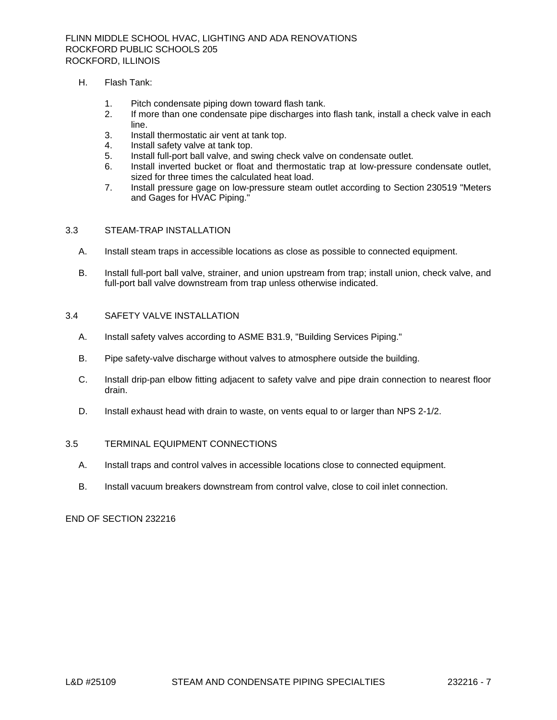# H. Flash Tank:

- 1. Pitch condensate piping down toward flash tank.
- 2. If more than one condensate pipe discharges into flash tank, install a check valve in each line.
- 3. Install thermostatic air vent at tank top.
- 4. Install safety valve at tank top.
- 5. Install full-port ball valve, and swing check valve on condensate outlet.
- 6. Install inverted bucket or float and thermostatic trap at low-pressure condensate outlet, sized for three times the calculated heat load.
- 7. Install pressure gage on low-pressure steam outlet according to Section 230519 "Meters and Gages for HVAC Piping."

# 3.3 STEAM-TRAP INSTALLATION

- A. Install steam traps in accessible locations as close as possible to connected equipment.
- B. Install full-port ball valve, strainer, and union upstream from trap; install union, check valve, and full-port ball valve downstream from trap unless otherwise indicated.

# 3.4 SAFETY VALVE INSTALLATION

- A. Install safety valves according to ASME B31.9, "Building Services Piping."
- B. Pipe safety-valve discharge without valves to atmosphere outside the building.
- C. Install drip-pan elbow fitting adjacent to safety valve and pipe drain connection to nearest floor drain.
- D. Install exhaust head with drain to waste, on vents equal to or larger than NPS 2-1/2.

# 3.5 TERMINAL EQUIPMENT CONNECTIONS

- A. Install traps and control valves in accessible locations close to connected equipment.
- B. Install vacuum breakers downstream from control valve, close to coil inlet connection.

END OF SECTION 232216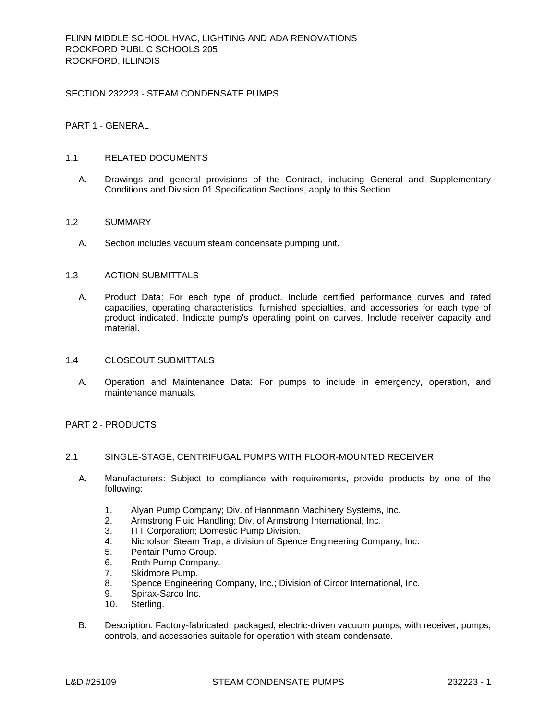# SECTION 232223 - STEAM CONDENSATE PUMPS

# PART 1 - GENERAL

# 1.1 RELATED DOCUMENTS

A. Drawings and general provisions of the Contract, including General and Supplementary Conditions and Division 01 Specification Sections, apply to this Section.

### 1.2 SUMMARY

A. Section includes vacuum steam condensate pumping unit.

# 1.3 ACTION SUBMITTALS

A. Product Data: For each type of product. Include certified performance curves and rated capacities, operating characteristics, furnished specialties, and accessories for each type of product indicated. Indicate pump's operating point on curves. Include receiver capacity and material.

# 1.4 CLOSEOUT SUBMITTALS

A. Operation and Maintenance Data: For pumps to include in emergency, operation, and maintenance manuals.

# PART 2 - PRODUCTS

# 2.1 SINGLE-STAGE, CENTRIFUGAL PUMPS WITH FLOOR-MOUNTED RECEIVER

- A. Manufacturers: Subject to compliance with requirements, provide products by one of the following:
	- 1. [Alyan Pump Company; Div. of Hannmann Machinery Systems, Inc.](http://www.specagent.com/LookUp/?uid=123456823936&mf=04&src=wd)
	- 2. [Armstrong Fluid Handling; Div. of Armstrong International, Inc.](http://www.specagent.com/LookUp/?uid=123456823938&mf=04&src=wd)
	- 3. [ITT Corporation; Domestic Pump Division.](http://www.specagent.com/LookUp/?uid=123456823939&mf=04&src=wd)
	- 4. [Nicholson Steam Trap; a division of Spence Engineering Company, Inc.](http://www.specagent.com/LookUp/?uid=123456823941&mf=04&src=wd)
	- 5. [Pentair Pump Group.](http://www.specagent.com/LookUp/?uid=123456826003&mf=04&src=wd)
	- 6. [Roth Pump Company.](http://www.specagent.com/LookUp/?uid=123456812554&mf=04&src=wd)
	- 7. [Skidmore Pump.](http://www.specagent.com/LookUp/?uid=123456812555&mf=04&src=wd)
	- 8. [Spence Engineering Company, Inc.; Division of Circor International, Inc.](http://www.specagent.com/LookUp/?uid=123456823945&mf=04&src=wd)
	- 9. [Spirax-Sarco Inc.](http://www.specagent.com/LookUp/?uid=123456812556&mf=04&src=wd)
	- 10. [Sterling.](http://www.specagent.com/LookUp/?uid=123456812557&mf=04&src=wd)
- B. Description: Factory-fabricated, packaged, electric-driven vacuum pumps; with receiver, pumps, controls, and accessories suitable for operation with steam condensate.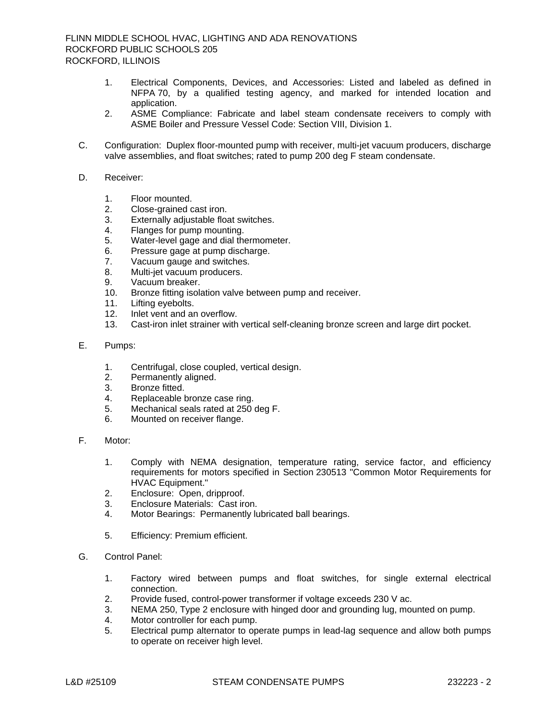- 1. Electrical Components, Devices, and Accessories: Listed and labeled as defined in NFPA 70, by a qualified testing agency, and marked for intended location and application.
- 2. ASME Compliance: Fabricate and label steam condensate receivers to comply with ASME Boiler and Pressure Vessel Code: Section VIII, Division 1.
- C. Configuration: Duplex floor-mounted pump with receiver, multi-jet vacuum producers, discharge valve assemblies, and float switches; rated to pump 200 deg F steam condensate.
- D. Receiver:
	- 1. Floor mounted.
	- 2. Close-grained cast iron.
	- 3. Externally adjustable float switches.
	- 4. Flanges for pump mounting.
	- 5. Water-level gage and dial thermometer.
	- 6. Pressure gage at pump discharge.
	- 7. Vacuum gauge and switches.
	- 8. Multi-jet vacuum producers.
	- 9. Vacuum breaker.<br>10. Bronze fitting isola
	- Bronze fitting isolation valve between pump and receiver.
	- 11. Lifting eyebolts.
	- 12. Inlet vent and an overflow.
	- 13. Cast-iron inlet strainer with vertical self-cleaning bronze screen and large dirt pocket.
- E. Pumps:
	- 1. Centrifugal, close coupled, vertical design.
	- 2. Permanently aligned.
	- 3. Bronze fitted.
	- 4. Replaceable bronze case ring.
	- 5. Mechanical seals rated at 250 deg F.
	- 6. Mounted on receiver flange.
- F. Motor:
	- 1. Comply with NEMA designation, temperature rating, service factor, and efficiency requirements for motors specified in Section 230513 "Common Motor Requirements for HVAC Equipment."
	- 2. Enclosure: Open, dripproof.
	- 3. Enclosure Materials: Cast iron.
	- 4. Motor Bearings: Permanently lubricated ball bearings.
	- 5. Efficiency: Premium efficient.
- G. Control Panel:
	- 1. Factory wired between pumps and float switches, for single external electrical connection.
	- 2. Provide fused, control-power transformer if voltage exceeds 230 V ac.
	- 3. NEMA 250, Type 2 enclosure with hinged door and grounding lug, mounted on pump.
	- 4. Motor controller for each pump.
	- 5. Electrical pump alternator to operate pumps in lead-lag sequence and allow both pumps to operate on receiver high level.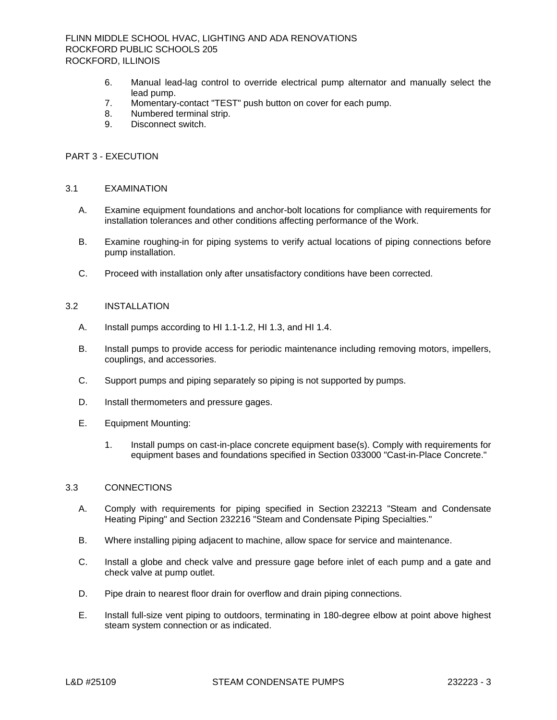- 6. Manual lead-lag control to override electrical pump alternator and manually select the lead pump.
- 7. Momentary-contact "TEST" push button on cover for each pump.
- 8. Numbered terminal strip.
- 9. Disconnect switch.

### PART 3 - EXECUTION

#### 3.1 EXAMINATION

- A. Examine equipment foundations and anchor-bolt locations for compliance with requirements for installation tolerances and other conditions affecting performance of the Work.
- B. Examine roughing-in for piping systems to verify actual locations of piping connections before pump installation.
- C. Proceed with installation only after unsatisfactory conditions have been corrected.

# 3.2 INSTALLATION

- A. Install pumps according to HI 1.1-1.2, HI 1.3, and HI 1.4.
- B. Install pumps to provide access for periodic maintenance including removing motors, impellers, couplings, and accessories.
- C. Support pumps and piping separately so piping is not supported by pumps.
- D. Install thermometers and pressure gages.
- E. Equipment Mounting:
	- 1. Install pumps on cast-in-place concrete equipment base(s). Comply with requirements for equipment bases and foundations specified in Section 033000 "Cast-in-Place Concrete."

### 3.3 CONNECTIONS

- A. Comply with requirements for piping specified in Section 232213 "Steam and Condensate Heating Piping" and Section 232216 "Steam and Condensate Piping Specialties."
- B. Where installing piping adjacent to machine, allow space for service and maintenance.
- C. Install a globe and check valve and pressure gage before inlet of each pump and a gate and check valve at pump outlet.
- D. Pipe drain to nearest floor drain for overflow and drain piping connections.
- E. Install full-size vent piping to outdoors, terminating in 180-degree elbow at point above highest steam system connection or as indicated.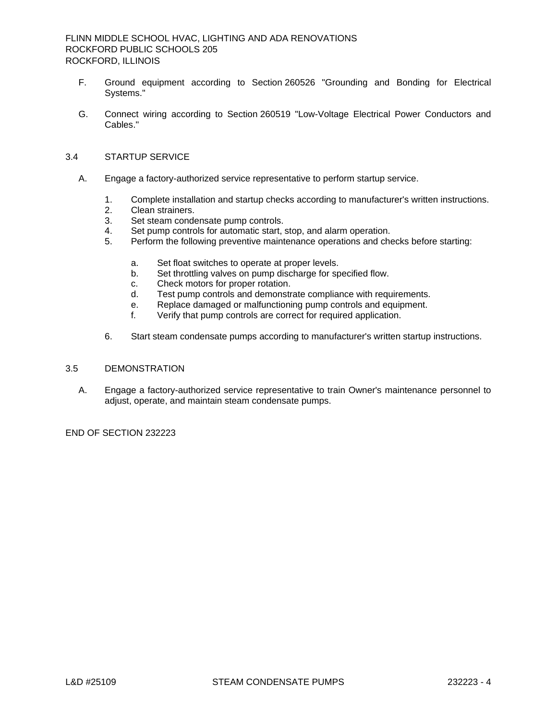- F. Ground equipment according to Section 260526 "Grounding and Bonding for Electrical Systems."
- G. Connect wiring according to Section 260519 "Low-Voltage Electrical Power Conductors and Cables."

# 3.4 STARTUP SERVICE

- A. Engage a factory-authorized service representative to perform startup service.
	- 1. Complete installation and startup checks according to manufacturer's written instructions.
	- 2. Clean strainers.<br>3. Set steam conde
	- Set steam condensate pump controls.
	- 4. Set pump controls for automatic start, stop, and alarm operation.
	- 5. Perform the following preventive maintenance operations and checks before starting:
		- a. Set float switches to operate at proper levels.
		- b. Set throttling valves on pump discharge for specified flow.
		- c. Check motors for proper rotation.
		- d. Test pump controls and demonstrate compliance with requirements.
		- e. Replace damaged or malfunctioning pump controls and equipment.
		- f. Verify that pump controls are correct for required application.
	- 6. Start steam condensate pumps according to manufacturer's written startup instructions.

# 3.5 DEMONSTRATION

A. Engage a factory-authorized service representative to train Owner's maintenance personnel to adjust, operate, and maintain steam condensate pumps.

END OF SECTION 232223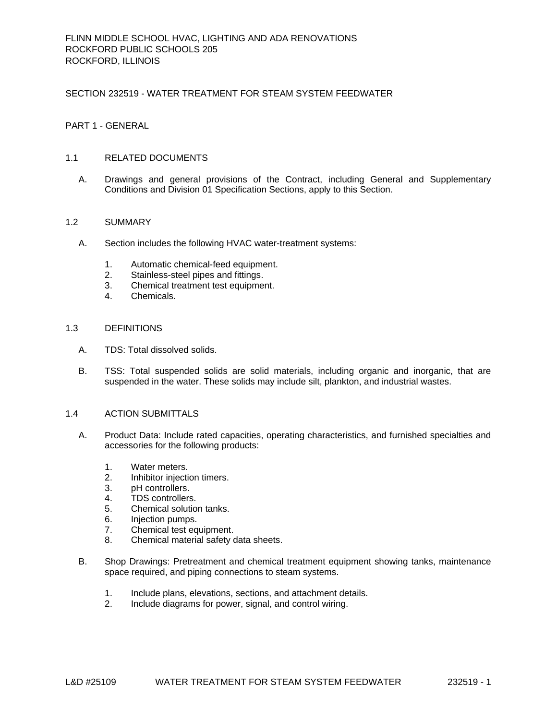### SECTION 232519 - WATER TREATMENT FOR STEAM SYSTEM FEEDWATER

# PART 1 - GENERAL

### 1.1 RELATED DOCUMENTS

A. Drawings and general provisions of the Contract, including General and Supplementary Conditions and Division 01 Specification Sections, apply to this Section.

# 1.2 SUMMARY

- A. Section includes the following HVAC water-treatment systems:
	- 1. Automatic chemical-feed equipment.
	- 2. Stainless-steel pipes and fittings.
	- 3. Chemical treatment test equipment.
	- 4. Chemicals.

#### 1.3 DEFINITIONS

- A. TDS: Total dissolved solids.
- B. TSS: Total suspended solids are solid materials, including organic and inorganic, that are suspended in the water. These solids may include silt, plankton, and industrial wastes.

#### 1.4 ACTION SUBMITTALS

- A. Product Data: Include rated capacities, operating characteristics, and furnished specialties and accessories for the following products:
	- 1. Water meters.
	- 2. Inhibitor injection timers.
	- 3. pH controllers.
	- 4. TDS controllers.
	- 5. Chemical solution tanks.
	- 6. Injection pumps.
	- 7. Chemical test equipment.
	- 8. Chemical material safety data sheets.
- B. Shop Drawings: Pretreatment and chemical treatment equipment showing tanks, maintenance space required, and piping connections to steam systems.
	- 1. Include plans, elevations, sections, and attachment details.
	- 2. Include diagrams for power, signal, and control wiring.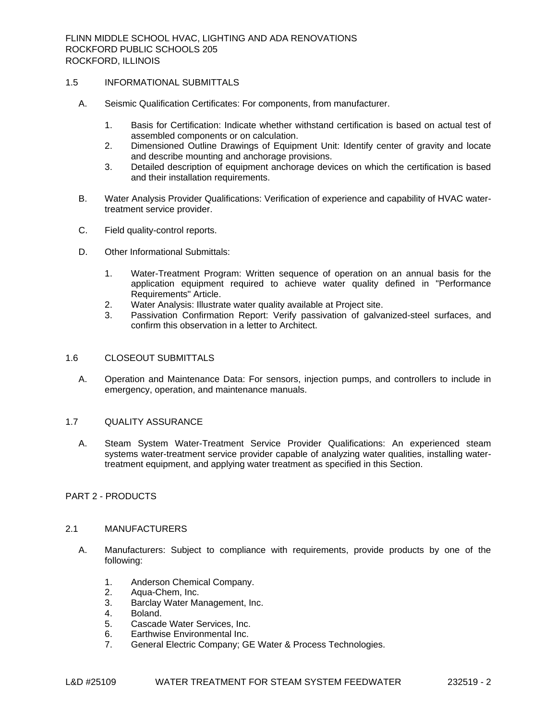# 1.5 INFORMATIONAL SUBMITTALS

- A. Seismic Qualification Certificates: For components, from manufacturer.
	- 1. Basis for Certification: Indicate whether withstand certification is based on actual test of assembled components or on calculation.
	- 2. Dimensioned Outline Drawings of Equipment Unit: Identify center of gravity and locate and describe mounting and anchorage provisions.
	- 3. Detailed description of equipment anchorage devices on which the certification is based and their installation requirements.
- B. Water Analysis Provider Qualifications: Verification of experience and capability of HVAC watertreatment service provider.
- C. Field quality-control reports.
- D. Other Informational Submittals:
	- 1. Water-Treatment Program: Written sequence of operation on an annual basis for the application equipment required to achieve water quality defined in "Performance Requirements" Article.
	- 2. Water Analysis: Illustrate water quality available at Project site.
	- 3. Passivation Confirmation Report: Verify passivation of galvanized-steel surfaces, and confirm this observation in a letter to Architect.

# 1.6 CLOSEOUT SUBMITTALS

A. Operation and Maintenance Data: For sensors, injection pumps, and controllers to include in emergency, operation, and maintenance manuals.

# 1.7 QUALITY ASSURANCE

A. Steam System Water-Treatment Service Provider Qualifications: An experienced steam systems water-treatment service provider capable of analyzing water qualities, installing watertreatment equipment, and applying water treatment as specified in this Section.

# PART 2 - PRODUCTS

#### 2.1 MANUFACTURERS

- A. Manufacturers: Subject to compliance with requirements, provide products by one of the following:
	- 1. [Anderson Chemical Company.](http://www.specagent.com/LookUp/?uid=123456894889&mf=&src=wd)
	- 2. [Aqua-Chem, Inc.](http://www.specagent.com/LookUp/?uid=123456894890&mf=&src=wd)
	- 3. [Barclay Water Management, Inc.](http://www.specagent.com/LookUp/?uid=123456894891&mf=&src=wd)
	- 4. [Boland.](http://www.specagent.com/LookUp/?uid=123456894892&mf=&src=wd)
	- 5. [Cascade Water Services, Inc.](http://www.specagent.com/LookUp/?uid=123456894893&mf=&src=wd)
	- 6. [Earthwise Environmental Inc.](http://www.specagent.com/LookUp/?uid=123456894894&mf=&src=wd)
	- 7. [General Electric Company; GE Water & Process Technologies.](http://www.specagent.com/LookUp/?uid=123456894895&mf=&src=wd)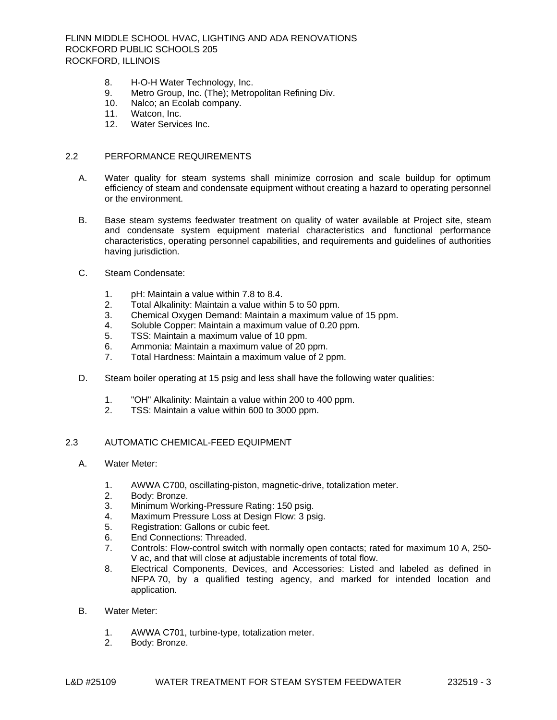- 8. [H-O-H Water Technology, Inc.](http://www.specagent.com/LookUp/?uid=123456894896&mf=&src=wd)<br>9. Metro Group, Inc. (The); Metro
- [Metro Group, Inc. \(The\); Metropolitan Refining Div.](http://www.specagent.com/LookUp/?uid=123456894897&mf=&src=wd)
- 10. [Nalco; an Ecolab company.](http://www.specagent.com/LookUp/?uid=123456894898&mf=&src=wd)
- 11. [Watcon, Inc.](http://www.specagent.com/LookUp/?uid=123456894899&mf=&src=wd)<br>12. Water Servic
- [Water Services Inc.](http://www.specagent.com/LookUp/?uid=123456894900&mf=&src=wd)

# 2.2 PERFORMANCE REQUIREMENTS

- A. Water quality for steam systems shall minimize corrosion and scale buildup for optimum efficiency of steam and condensate equipment without creating a hazard to operating personnel or the environment.
- B. Base steam systems feedwater treatment on quality of water available at Project site, steam and condensate system equipment material characteristics and functional performance characteristics, operating personnel capabilities, and requirements and guidelines of authorities having jurisdiction.
- C. Steam Condensate:
	- 1. pH: Maintain a value within 7.8 to 8.4.
	- 2. Total Alkalinity: Maintain a value within 5 to 50 ppm.
	- 3. Chemical Oxygen Demand: Maintain a maximum value of 15 ppm.
	- 4. Soluble Copper: Maintain a maximum value of 0.20 ppm.
	- 5. TSS: Maintain a maximum value of 10 ppm.
	- 6. Ammonia: Maintain a maximum value of 20 ppm.
	- 7. Total Hardness: Maintain a maximum value of 2 ppm.
- D. Steam boiler operating at 15 psig and less shall have the following water qualities:
	- 1. "OH" Alkalinity: Maintain a value within 200 to 400 ppm.
	- 2. TSS: Maintain a value within 600 to 3000 ppm.

# 2.3 AUTOMATIC CHEMICAL-FEED EQUIPMENT

- A. Water Meter:
	- 1. AWWA C700, oscillating-piston, magnetic-drive, totalization meter.
	- 2. Body: Bronze.
	- 3. Minimum Working-Pressure Rating: 150 psig.
	- 4. Maximum Pressure Loss at Design Flow: 3 psig.
	- 5. Registration: Gallons or cubic feet.
	- 6. End Connections: Threaded.
	- 7. Controls: Flow-control switch with normally open contacts; rated for maximum 10 A, 250- V ac, and that will close at adjustable increments of total flow.
	- 8. Electrical Components, Devices, and Accessories: Listed and labeled as defined in NFPA 70, by a qualified testing agency, and marked for intended location and application.
- B. Water Meter:
	- 1. AWWA C701, turbine-type, totalization meter.
	- 2. Body: Bronze.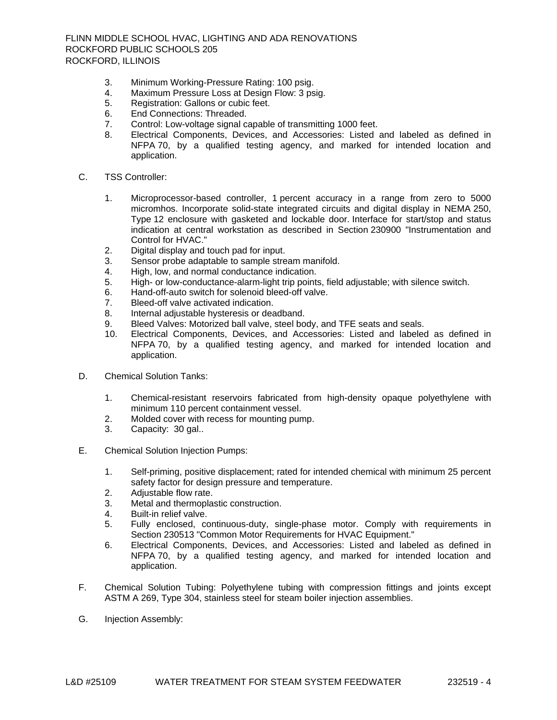- 3. Minimum Working-Pressure Rating: 100 psig.
- 4. Maximum Pressure Loss at Design Flow: 3 psig.
- 5. Registration: Gallons or cubic feet.
- 6. End Connections: Threaded.
- 7. Control: Low-voltage signal capable of transmitting 1000 feet.
- 8. Electrical Components, Devices, and Accessories: Listed and labeled as defined in NFPA 70, by a qualified testing agency, and marked for intended location and application.
- C. TSS Controller:
	- 1. Microprocessor-based controller, 1 percent accuracy in a range from zero to 5000 micromhos. Incorporate solid-state integrated circuits and digital display in NEMA 250, Type 12 enclosure with gasketed and lockable door. Interface for start/stop and status indication at central workstation as described in Section 230900 "Instrumentation and Control for HVAC."
	- 2. Digital display and touch pad for input.
	- 3. Sensor probe adaptable to sample stream manifold.
	- 4. High, low, and normal conductance indication.
	- 5. High- or low-conductance-alarm-light trip points, field adjustable; with silence switch.
	- 6. Hand-off-auto switch for solenoid bleed-off valve.
	- 7. Bleed-off valve activated indication.
	- 8. Internal adjustable hysteresis or deadband.
	- 9. Bleed Valves: Motorized ball valve, steel body, and TFE seats and seals.
	- 10. Electrical Components, Devices, and Accessories: Listed and labeled as defined in NFPA 70, by a qualified testing agency, and marked for intended location and application.
- D. Chemical Solution Tanks:
	- 1. Chemical-resistant reservoirs fabricated from high-density opaque polyethylene with minimum 110 percent containment vessel.
	- 2. Molded cover with recess for mounting pump.
	- 3. Capacity: 30 gal..
- E. Chemical Solution Injection Pumps:
	- 1. Self-priming, positive displacement; rated for intended chemical with minimum 25 percent safety factor for design pressure and temperature.
	- 2. Adjustable flow rate.
	- 3. Metal and thermoplastic construction.
	- 4. Built-in relief valve.
	- 5. Fully enclosed, continuous-duty, single-phase motor. Comply with requirements in Section 230513 "Common Motor Requirements for HVAC Equipment."
	- 6. Electrical Components, Devices, and Accessories: Listed and labeled as defined in NFPA 70, by a qualified testing agency, and marked for intended location and application.
- F. Chemical Solution Tubing: Polyethylene tubing with compression fittings and joints except ASTM A 269, Type 304, stainless steel for steam boiler injection assemblies.
- G. Injection Assembly: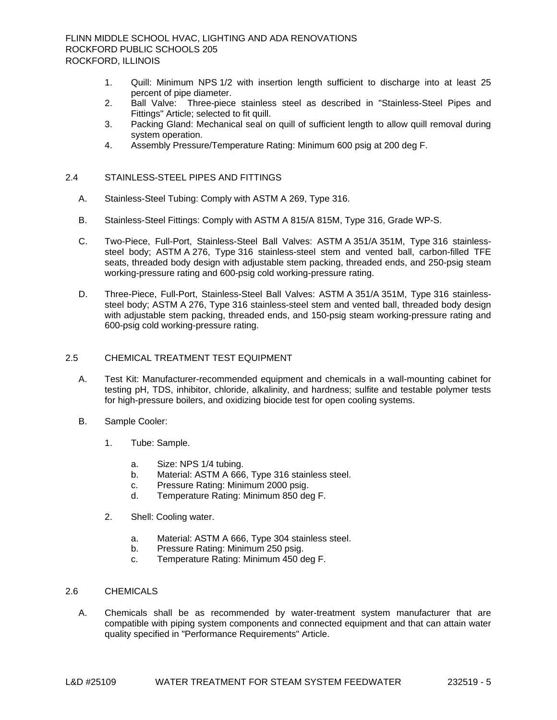- 1. Quill: Minimum NPS 1/2 with insertion length sufficient to discharge into at least 25 percent of pipe diameter.
- 2. Ball Valve: Three-piece stainless steel as described in "Stainless-Steel Pipes and Fittings" Article; selected to fit quill.
- 3. Packing Gland: Mechanical seal on quill of sufficient length to allow quill removal during system operation.
- 4. Assembly Pressure/Temperature Rating: Minimum 600 psig at 200 deg F.

# 2.4 STAINLESS-STEEL PIPES AND FITTINGS

- A. Stainless-Steel Tubing: Comply with ASTM A 269, Type 316.
- B. Stainless-Steel Fittings: Comply with ASTM A 815/A 815M, Type 316, Grade WP-S.
- C. Two-Piece, Full-Port, Stainless-Steel Ball Valves: ASTM A 351/A 351M, Type 316 stainlesssteel body; ASTM A 276, Type 316 stainless-steel stem and vented ball, carbon-filled TFE seats, threaded body design with adjustable stem packing, threaded ends, and 250-psig steam working-pressure rating and 600-psig cold working-pressure rating.
- D. Three-Piece, Full-Port, Stainless-Steel Ball Valves: ASTM A 351/A 351M, Type 316 stainlesssteel body; ASTM A 276, Type 316 stainless-steel stem and vented ball, threaded body design with adjustable stem packing, threaded ends, and 150-psig steam working-pressure rating and 600-psig cold working-pressure rating.

# 2.5 CHEMICAL TREATMENT TEST EQUIPMENT

- A. Test Kit: Manufacturer-recommended equipment and chemicals in a wall-mounting cabinet for testing pH, TDS, inhibitor, chloride, alkalinity, and hardness; sulfite and testable polymer tests for high-pressure boilers, and oxidizing biocide test for open cooling systems.
- B. Sample Cooler:
	- 1. Tube: Sample.
		- a. Size: NPS 1/4 tubing.
		- b. Material: ASTM A 666, Type 316 stainless steel.
		- c. Pressure Rating: Minimum 2000 psig.
		- d. Temperature Rating: Minimum 850 deg F.
	- 2. Shell: Cooling water.
		- a. Material: ASTM A 666, Type 304 stainless steel.
		- b. Pressure Rating: Minimum 250 psig.
		- c. Temperature Rating: Minimum 450 deg F.

# 2.6 CHEMICALS

A. Chemicals shall be as recommended by water-treatment system manufacturer that are compatible with piping system components and connected equipment and that can attain water quality specified in "Performance Requirements" Article.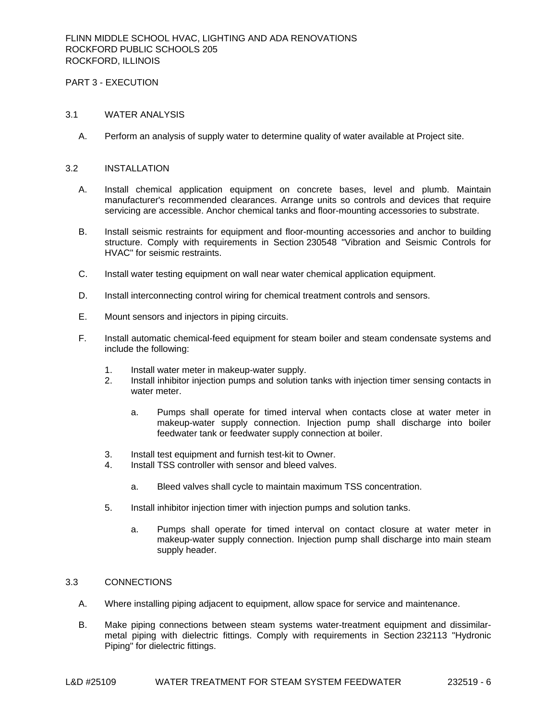# PART 3 - EXECUTION

#### 3.1 WATER ANALYSIS

A. Perform an analysis of supply water to determine quality of water available at Project site.

#### 3.2 INSTALLATION

- A. Install chemical application equipment on concrete bases, level and plumb. Maintain manufacturer's recommended clearances. Arrange units so controls and devices that require servicing are accessible. Anchor chemical tanks and floor-mounting accessories to substrate.
- B. Install seismic restraints for equipment and floor-mounting accessories and anchor to building structure. Comply with requirements in Section 230548 "Vibration and Seismic Controls for HVAC" for seismic restraints.
- C. Install water testing equipment on wall near water chemical application equipment.
- D. Install interconnecting control wiring for chemical treatment controls and sensors.
- E. Mount sensors and injectors in piping circuits.
- F. Install automatic chemical-feed equipment for steam boiler and steam condensate systems and include the following:
	- 1. Install water meter in makeup-water supply.
	- 2. Install inhibitor injection pumps and solution tanks with injection timer sensing contacts in water meter.
		- a. Pumps shall operate for timed interval when contacts close at water meter in makeup-water supply connection. Injection pump shall discharge into boiler feedwater tank or feedwater supply connection at boiler.
	- 3. Install test equipment and furnish test-kit to Owner.
	- 4. Install TSS controller with sensor and bleed valves.
		- a. Bleed valves shall cycle to maintain maximum TSS concentration.
	- 5. Install inhibitor injection timer with injection pumps and solution tanks.
		- a. Pumps shall operate for timed interval on contact closure at water meter in makeup-water supply connection. Injection pump shall discharge into main steam supply header.

# 3.3 CONNECTIONS

- A. Where installing piping adjacent to equipment, allow space for service and maintenance.
- B. Make piping connections between steam systems water-treatment equipment and dissimilarmetal piping with dielectric fittings. Comply with requirements in Section 232113 "Hydronic Piping" for dielectric fittings.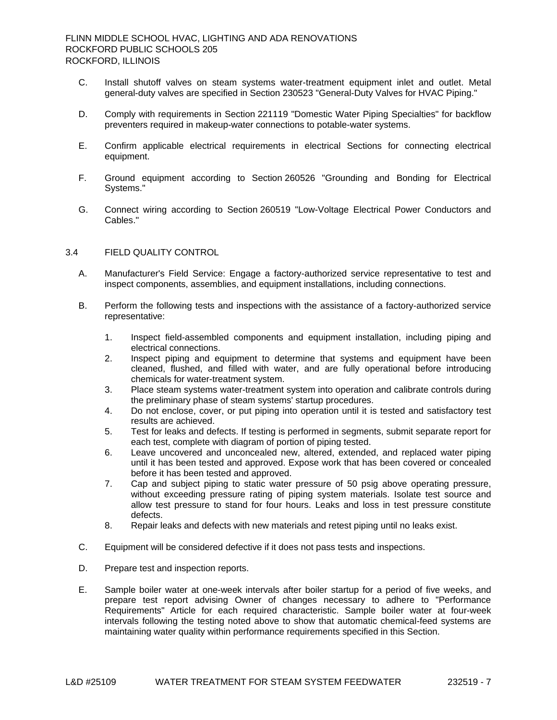- C. Install shutoff valves on steam systems water-treatment equipment inlet and outlet. Metal general-duty valves are specified in Section 230523 "General-Duty Valves for HVAC Piping."
- D. Comply with requirements in Section 221119 "Domestic Water Piping Specialties" for backflow preventers required in makeup-water connections to potable-water systems.
- E. Confirm applicable electrical requirements in electrical Sections for connecting electrical equipment.
- F. Ground equipment according to Section 260526 "Grounding and Bonding for Electrical Systems."
- G. Connect wiring according to Section 260519 "Low-Voltage Electrical Power Conductors and Cables."

### 3.4 FIELD QUALITY CONTROL

- A. Manufacturer's Field Service: Engage a factory-authorized service representative to test and inspect components, assemblies, and equipment installations, including connections.
- B. Perform the following tests and inspections with the assistance of a factory-authorized service representative:
	- 1. Inspect field-assembled components and equipment installation, including piping and electrical connections.
	- 2. Inspect piping and equipment to determine that systems and equipment have been cleaned, flushed, and filled with water, and are fully operational before introducing chemicals for water-treatment system.
	- 3. Place steam systems water-treatment system into operation and calibrate controls during the preliminary phase of steam systems' startup procedures.
	- 4. Do not enclose, cover, or put piping into operation until it is tested and satisfactory test results are achieved.
	- 5. Test for leaks and defects. If testing is performed in segments, submit separate report for each test, complete with diagram of portion of piping tested.
	- 6. Leave uncovered and unconcealed new, altered, extended, and replaced water piping until it has been tested and approved. Expose work that has been covered or concealed before it has been tested and approved.
	- 7. Cap and subject piping to static water pressure of 50 psig above operating pressure, without exceeding pressure rating of piping system materials. Isolate test source and allow test pressure to stand for four hours. Leaks and loss in test pressure constitute defects.
	- 8. Repair leaks and defects with new materials and retest piping until no leaks exist.
- C. Equipment will be considered defective if it does not pass tests and inspections.
- D. Prepare test and inspection reports.
- E. Sample boiler water at one-week intervals after boiler startup for a period of five weeks, and prepare test report advising Owner of changes necessary to adhere to "Performance Requirements" Article for each required characteristic. Sample boiler water at four-week intervals following the testing noted above to show that automatic chemical-feed systems are maintaining water quality within performance requirements specified in this Section.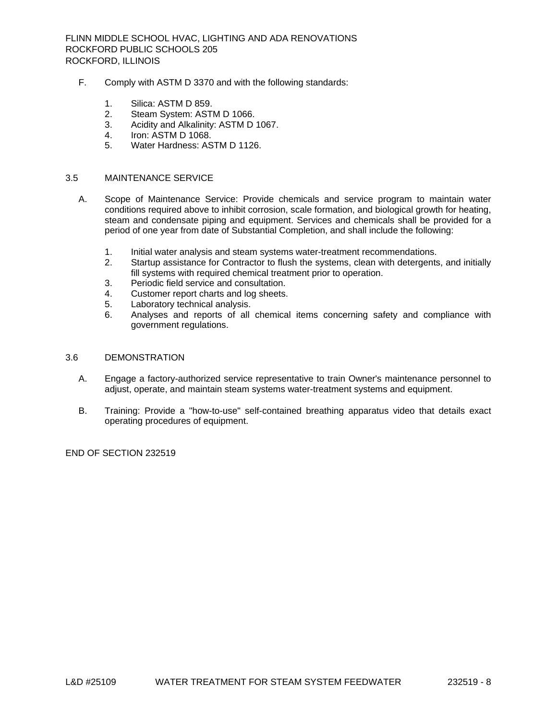- F. Comply with ASTM D 3370 and with the following standards:
	- 1. Silica: ASTM D 859.
	- 2. Steam System: ASTM D 1066.
	- 3. Acidity and Alkalinity: ASTM D 1067.
	- 4. Iron: ASTM D 1068.
	- 5. Water Hardness: ASTM D 1126.

#### 3.5 MAINTENANCE SERVICE

- A. Scope of Maintenance Service: Provide chemicals and service program to maintain water conditions required above to inhibit corrosion, scale formation, and biological growth for heating, steam and condensate piping and equipment. Services and chemicals shall be provided for a period of one year from date of Substantial Completion, and shall include the following:
	- 1. Initial water analysis and steam systems water-treatment recommendations.
	- 2. Startup assistance for Contractor to flush the systems, clean with detergents, and initially fill systems with required chemical treatment prior to operation.
	- 3. Periodic field service and consultation.
	- 4. Customer report charts and log sheets.
	- 5. Laboratory technical analysis.
	- 6. Analyses and reports of all chemical items concerning safety and compliance with government regulations.
- 3.6 DEMONSTRATION
	- A. Engage a factory-authorized service representative to train Owner's maintenance personnel to adjust, operate, and maintain steam systems water-treatment systems and equipment.
	- B. Training: Provide a "how-to-use" self-contained breathing apparatus video that details exact operating procedures of equipment.

END OF SECTION 232519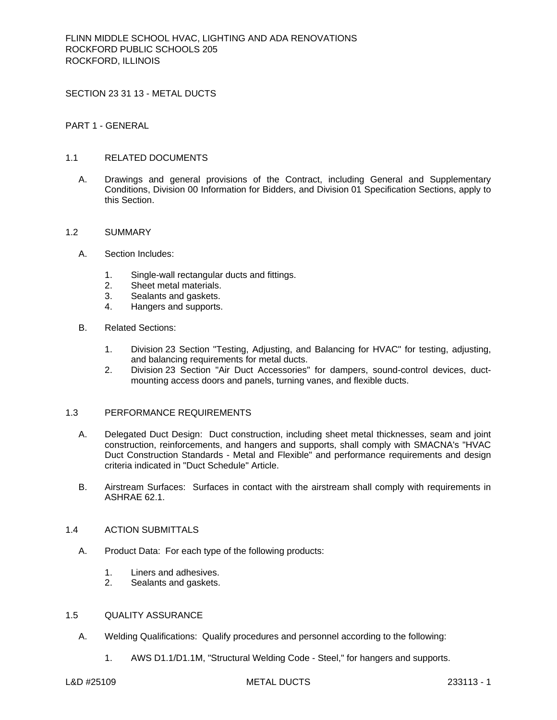SECTION 23 31 13 - METAL DUCTS

PART 1 - GENERAL

# 1.1 RELATED DOCUMENTS

A. Drawings and general provisions of the Contract, including General and Supplementary Conditions, Division 00 Information for Bidders, and Division 01 Specification Sections, apply to this Section.

#### 1.2 SUMMARY

- A. Section Includes:
	- 1. Single-wall rectangular ducts and fittings.
	- 2. Sheet metal materials.
	- 3. Sealants and gaskets.
	- 4. Hangers and supports.
- B. Related Sections:
	- 1. Division 23 Section "Testing, Adjusting, and Balancing for HVAC" for testing, adjusting, and balancing requirements for metal ducts.
	- 2. Division 23 Section "Air Duct Accessories" for dampers, sound-control devices, ductmounting access doors and panels, turning vanes, and flexible ducts.

### 1.3 PERFORMANCE REQUIREMENTS

- A. Delegated Duct Design: Duct construction, including sheet metal thicknesses, seam and joint construction, reinforcements, and hangers and supports, shall comply with SMACNA's "HVAC Duct Construction Standards - Metal and Flexible" and performance requirements and design criteria indicated in "Duct Schedule" Article.
- B. Airstream Surfaces: Surfaces in contact with the airstream shall comply with requirements in ASHRAE 62.1.

#### 1.4 ACTION SUBMITTALS

- A. Product Data: For each type of the following products:
	- 1. Liners and adhesives.
	- 2. Sealants and gaskets.

# 1.5 QUALITY ASSURANCE

- A. Welding Qualifications: Qualify procedures and personnel according to the following:
	- 1. AWS D1.1/D1.1M, "Structural Welding Code Steel," for hangers and supports.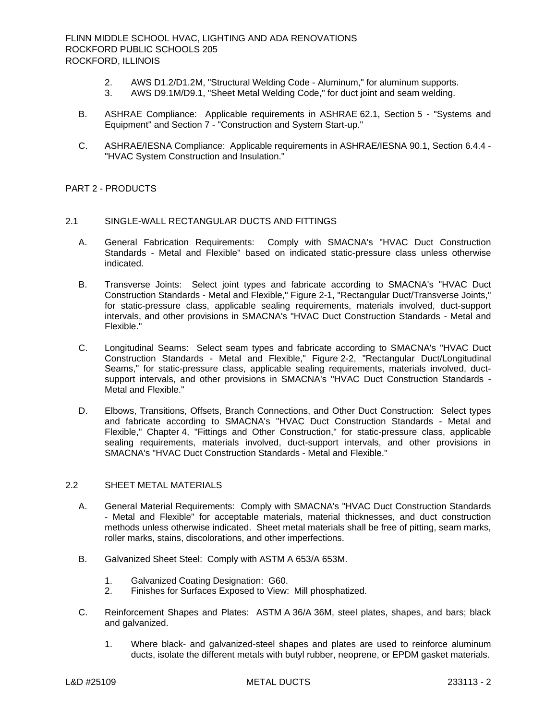- 2. AWS D1.2/D1.2M, "Structural Welding Code Aluminum," for aluminum supports.
- 3. AWS D9.1M/D9.1, "Sheet Metal Welding Code," for duct joint and seam welding.
- B. ASHRAE Compliance: Applicable requirements in ASHRAE 62.1, Section 5 "Systems and Equipment" and Section 7 - "Construction and System Start-up."
- C. ASHRAE/IESNA Compliance: Applicable requirements in ASHRAE/IESNA 90.1, Section 6.4.4 "HVAC System Construction and Insulation."

# PART 2 - PRODUCTS

# 2.1 SINGLE-WALL RECTANGULAR DUCTS AND FITTINGS

- A. General Fabrication Requirements: Comply with SMACNA's "HVAC Duct Construction Standards - Metal and Flexible" based on indicated static-pressure class unless otherwise indicated.
- B. Transverse Joints: Select joint types and fabricate according to SMACNA's "HVAC Duct Construction Standards - Metal and Flexible," Figure 2-1, "Rectangular Duct/Transverse Joints," for static-pressure class, applicable sealing requirements, materials involved, duct-support intervals, and other provisions in SMACNA's "HVAC Duct Construction Standards - Metal and Flexible."
- C. Longitudinal Seams: Select seam types and fabricate according to SMACNA's "HVAC Duct Construction Standards - Metal and Flexible," Figure 2-2, "Rectangular Duct/Longitudinal Seams," for static-pressure class, applicable sealing requirements, materials involved, ductsupport intervals, and other provisions in SMACNA's "HVAC Duct Construction Standards - Metal and Flexible."
- D. Elbows, Transitions, Offsets, Branch Connections, and Other Duct Construction: Select types and fabricate according to SMACNA's "HVAC Duct Construction Standards - Metal and Flexible," Chapter 4, "Fittings and Other Construction," for static-pressure class, applicable sealing requirements, materials involved, duct-support intervals, and other provisions in SMACNA's "HVAC Duct Construction Standards - Metal and Flexible."

# 2.2 SHEET METAL MATERIALS

- A. General Material Requirements: Comply with SMACNA's "HVAC Duct Construction Standards - Metal and Flexible" for acceptable materials, material thicknesses, and duct construction methods unless otherwise indicated. Sheet metal materials shall be free of pitting, seam marks, roller marks, stains, discolorations, and other imperfections.
- B. Galvanized Sheet Steel: Comply with ASTM A 653/A 653M.
	- 1. Galvanized Coating Designation: G60.
	- 2. Finishes for Surfaces Exposed to View: Mill phosphatized.
- C. Reinforcement Shapes and Plates: ASTM A 36/A 36M, steel plates, shapes, and bars; black and galvanized.
	- 1. Where black- and galvanized-steel shapes and plates are used to reinforce aluminum ducts, isolate the different metals with butyl rubber, neoprene, or EPDM gasket materials.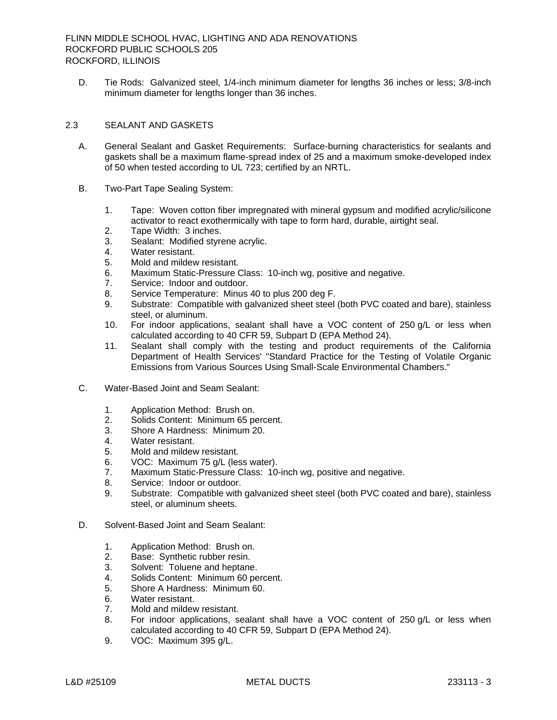D. Tie Rods: Galvanized steel, 1/4-inch minimum diameter for lengths 36 inches or less; 3/8-inch minimum diameter for lengths longer than 36 inches.

# 2.3 SEALANT AND GASKETS

- A. General Sealant and Gasket Requirements: Surface-burning characteristics for sealants and gaskets shall be a maximum flame-spread index of 25 and a maximum smoke-developed index of 50 when tested according to UL 723; certified by an NRTL.
- B. Two-Part Tape Sealing System:
	- 1. Tape: Woven cotton fiber impregnated with mineral gypsum and modified acrylic/silicone activator to react exothermically with tape to form hard, durable, airtight seal.
	- 2. Tape Width: 3 inches.
	- 3. Sealant: Modified styrene acrylic.
	- 4. Water resistant.
	- 5. Mold and mildew resistant.
	- 6. Maximum Static-Pressure Class: 10-inch wg, positive and negative.
	- 7. Service: Indoor and outdoor.
	- 8. Service Temperature: Minus 40 to plus 200 deg F.
	- 9. Substrate: Compatible with galvanized sheet steel (both PVC coated and bare), stainless steel, or aluminum.
	- 10. For indoor applications, sealant shall have a VOC content of 250 g/L or less when calculated according to 40 CFR 59, Subpart D (EPA Method 24).
	- 11. Sealant shall comply with the testing and product requirements of the California Department of Health Services' "Standard Practice for the Testing of Volatile Organic Emissions from Various Sources Using Small-Scale Environmental Chambers."
- C. Water-Based Joint and Seam Sealant:
	- 1. Application Method: Brush on.
	- 2. Solids Content: Minimum 65 percent.
	- 3. Shore A Hardness: Minimum 20.
	- 4. Water resistant.
	- 5. Mold and mildew resistant.
	- 6. VOC: Maximum 75 g/L (less water).
	- 7. Maximum Static-Pressure Class: 10-inch wg, positive and negative.
	- 8. Service: Indoor or outdoor.
	- 9. Substrate: Compatible with galvanized sheet steel (both PVC coated and bare), stainless steel, or aluminum sheets.
- D. Solvent-Based Joint and Seam Sealant:
	- 1. Application Method: Brush on.
	- 2. Base: Synthetic rubber resin.
	- 3. Solvent: Toluene and heptane.
	- 4. Solids Content: Minimum 60 percent.
	- 5. Shore A Hardness: Minimum 60.
	- 6. Water resistant.
	- 7. Mold and mildew resistant.
	- 8. For indoor applications, sealant shall have a VOC content of 250 g/L or less when calculated according to 40 CFR 59, Subpart D (EPA Method 24).
	- 9. VOC: Maximum 395 g/L.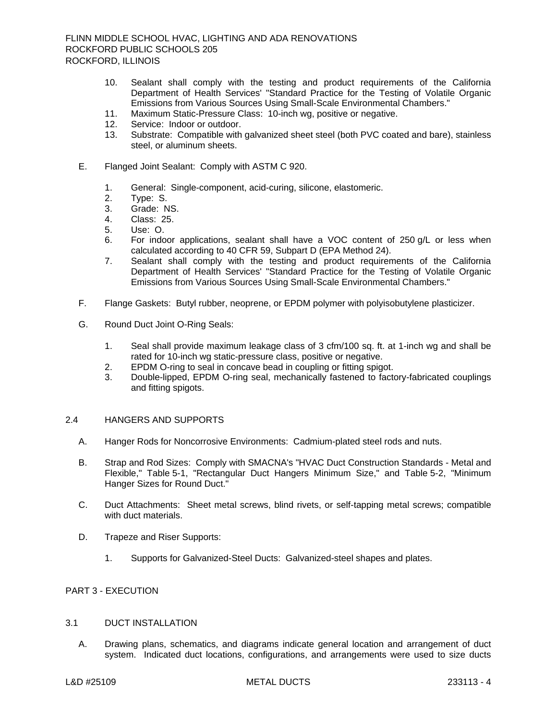- 10. Sealant shall comply with the testing and product requirements of the California Department of Health Services' "Standard Practice for the Testing of Volatile Organic Emissions from Various Sources Using Small-Scale Environmental Chambers."
- 11. Maximum Static-Pressure Class: 10-inch wg, positive or negative.
- 12. Service: Indoor or outdoor.
- 13. Substrate: Compatible with galvanized sheet steel (both PVC coated and bare), stainless steel, or aluminum sheets.
- E. Flanged Joint Sealant: Comply with ASTM C 920.
	- 1. General: Single-component, acid-curing, silicone, elastomeric.
	- 2. Type: S.
	- 3. Grade: NS.
	- 4. Class: 25.
	- 5. Use: O.
	- 6. For indoor applications, sealant shall have a VOC content of 250 g/L or less when calculated according to 40 CFR 59, Subpart D (EPA Method 24).
	- 7. Sealant shall comply with the testing and product requirements of the California Department of Health Services' "Standard Practice for the Testing of Volatile Organic Emissions from Various Sources Using Small-Scale Environmental Chambers."
- F. Flange Gaskets: Butyl rubber, neoprene, or EPDM polymer with polyisobutylene plasticizer.
- G. Round Duct Joint O-Ring Seals:
	- 1. Seal shall provide maximum leakage class of 3 cfm/100 sq. ft. at 1-inch wg and shall be rated for 10-inch wg static-pressure class, positive or negative.
	- 2. EPDM O-ring to seal in concave bead in coupling or fitting spigot.
	- 3. Double-lipped, EPDM O-ring seal, mechanically fastened to factory-fabricated couplings and fitting spigots.

# 2.4 HANGERS AND SUPPORTS

- A. Hanger Rods for Noncorrosive Environments: Cadmium-plated steel rods and nuts.
- B. Strap and Rod Sizes: Comply with SMACNA's "HVAC Duct Construction Standards Metal and Flexible," Table 5-1, "Rectangular Duct Hangers Minimum Size," and Table 5-2, "Minimum Hanger Sizes for Round Duct."
- C. Duct Attachments: Sheet metal screws, blind rivets, or self-tapping metal screws; compatible with duct materials.
- D. Trapeze and Riser Supports:
	- 1. Supports for Galvanized-Steel Ducts: Galvanized-steel shapes and plates.

# PART 3 - EXECUTION

# 3.1 DUCT INSTALLATION

A. Drawing plans, schematics, and diagrams indicate general location and arrangement of duct system. Indicated duct locations, configurations, and arrangements were used to size ducts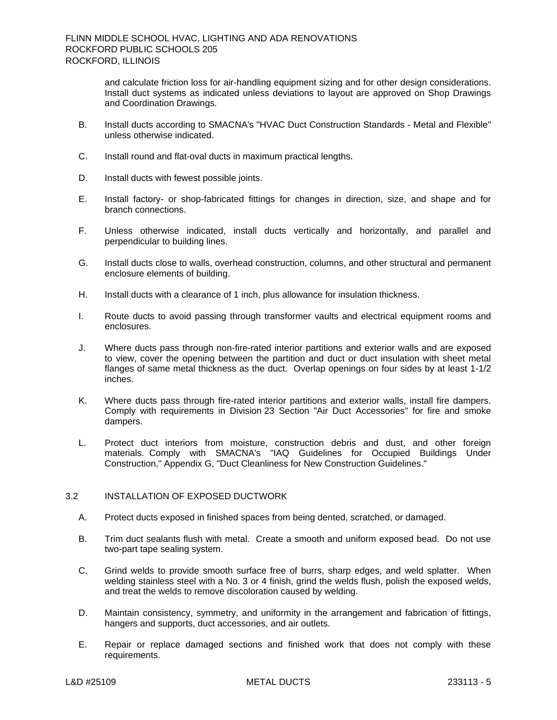and calculate friction loss for air-handling equipment sizing and for other design considerations. Install duct systems as indicated unless deviations to layout are approved on Shop Drawings and Coordination Drawings.

- B. Install ducts according to SMACNA's "HVAC Duct Construction Standards Metal and Flexible" unless otherwise indicated.
- C. Install round and flat-oval ducts in maximum practical lengths.
- D. Install ducts with fewest possible joints.
- E. Install factory- or shop-fabricated fittings for changes in direction, size, and shape and for branch connections.
- F. Unless otherwise indicated, install ducts vertically and horizontally, and parallel and perpendicular to building lines.
- G. Install ducts close to walls, overhead construction, columns, and other structural and permanent enclosure elements of building.
- H. Install ducts with a clearance of 1 inch, plus allowance for insulation thickness.
- I. Route ducts to avoid passing through transformer vaults and electrical equipment rooms and enclosures.
- J. Where ducts pass through non-fire-rated interior partitions and exterior walls and are exposed to view, cover the opening between the partition and duct or duct insulation with sheet metal flanges of same metal thickness as the duct. Overlap openings on four sides by at least 1-1/2 inches.
- K. Where ducts pass through fire-rated interior partitions and exterior walls, install fire dampers. Comply with requirements in Division 23 Section "Air Duct Accessories" for fire and smoke dampers.
- L. Protect duct interiors from moisture, construction debris and dust, and other foreign materials. Comply with SMACNA's "IAQ Guidelines for Occupied Buildings Under Construction," Appendix G, "Duct Cleanliness for New Construction Guidelines."

# 3.2 INSTALLATION OF EXPOSED DUCTWORK

- A. Protect ducts exposed in finished spaces from being dented, scratched, or damaged.
- B. Trim duct sealants flush with metal. Create a smooth and uniform exposed bead. Do not use two-part tape sealing system.
- C. Grind welds to provide smooth surface free of burrs, sharp edges, and weld splatter. When welding stainless steel with a No. 3 or 4 finish, grind the welds flush, polish the exposed welds, and treat the welds to remove discoloration caused by welding.
- D. Maintain consistency, symmetry, and uniformity in the arrangement and fabrication of fittings, hangers and supports, duct accessories, and air outlets.
- E. Repair or replace damaged sections and finished work that does not comply with these requirements.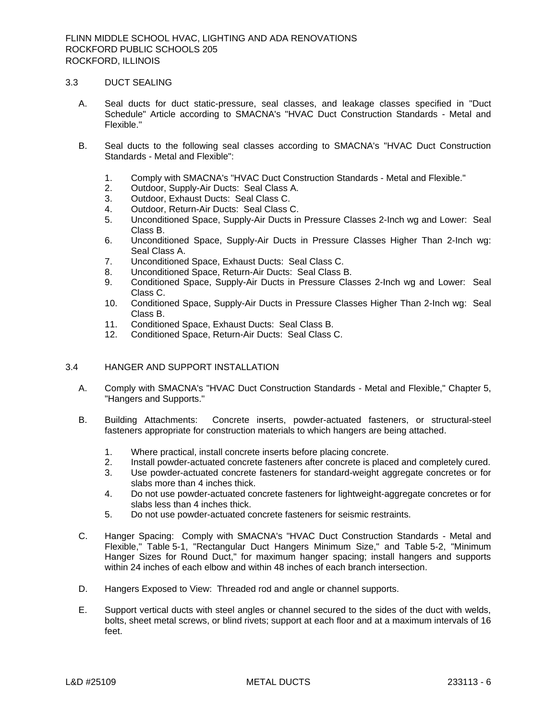#### 3.3 DUCT SEALING

- A. Seal ducts for duct static-pressure, seal classes, and leakage classes specified in "Duct Schedule" Article according to SMACNA's "HVAC Duct Construction Standards - Metal and Flexible."
- B. Seal ducts to the following seal classes according to SMACNA's "HVAC Duct Construction Standards - Metal and Flexible":
	- 1. Comply with SMACNA's "HVAC Duct Construction Standards Metal and Flexible."
	- 2. Outdoor, Supply-Air Ducts: Seal Class A.
	- 3. Outdoor, Exhaust Ducts: Seal Class C.
	- 4. Outdoor, Return-Air Ducts: Seal Class C.
	- 5. Unconditioned Space, Supply-Air Ducts in Pressure Classes 2-Inch wg and Lower: Seal Class B.
	- 6. Unconditioned Space, Supply-Air Ducts in Pressure Classes Higher Than 2-Inch wg: Seal Class A.
	- 7. Unconditioned Space, Exhaust Ducts: Seal Class C.
	- 8. Unconditioned Space, Return-Air Ducts: Seal Class B.
	- 9. Conditioned Space, Supply-Air Ducts in Pressure Classes 2-Inch wg and Lower: Seal Class C.
	- 10. Conditioned Space, Supply-Air Ducts in Pressure Classes Higher Than 2-Inch wg: Seal Class B.
	- 11. Conditioned Space, Exhaust Ducts: Seal Class B.
	- 12. Conditioned Space, Return-Air Ducts: Seal Class C.

# 3.4 HANGER AND SUPPORT INSTALLATION

- A. Comply with SMACNA's "HVAC Duct Construction Standards Metal and Flexible," Chapter 5, "Hangers and Supports."
- B. Building Attachments: Concrete inserts, powder-actuated fasteners, or structural-steel fasteners appropriate for construction materials to which hangers are being attached.
	- 1. Where practical, install concrete inserts before placing concrete.
	- 2. Install powder-actuated concrete fasteners after concrete is placed and completely cured.
	- 3. Use powder-actuated concrete fasteners for standard-weight aggregate concretes or for slabs more than 4 inches thick.
	- 4. Do not use powder-actuated concrete fasteners for lightweight-aggregate concretes or for slabs less than 4 inches thick.
	- 5. Do not use powder-actuated concrete fasteners for seismic restraints.
- C. Hanger Spacing: Comply with SMACNA's "HVAC Duct Construction Standards Metal and Flexible," Table 5-1, "Rectangular Duct Hangers Minimum Size," and Table 5-2, "Minimum Hanger Sizes for Round Duct," for maximum hanger spacing; install hangers and supports within 24 inches of each elbow and within 48 inches of each branch intersection.
- D. Hangers Exposed to View: Threaded rod and angle or channel supports.
- E. Support vertical ducts with steel angles or channel secured to the sides of the duct with welds, bolts, sheet metal screws, or blind rivets; support at each floor and at a maximum intervals of 16 feet.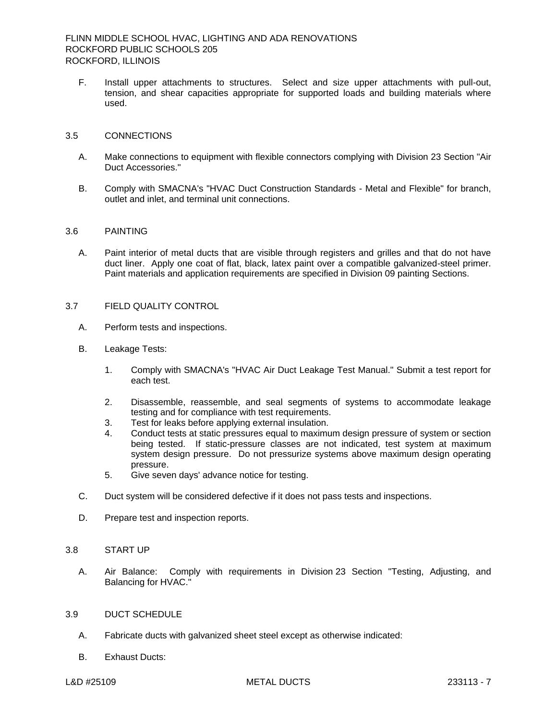F. Install upper attachments to structures. Select and size upper attachments with pull-out, tension, and shear capacities appropriate for supported loads and building materials where used.

### 3.5 CONNECTIONS

- A. Make connections to equipment with flexible connectors complying with Division 23 Section "Air Duct Accessories."
- B. Comply with SMACNA's "HVAC Duct Construction Standards Metal and Flexible" for branch, outlet and inlet, and terminal unit connections.

### 3.6 PAINTING

A. Paint interior of metal ducts that are visible through registers and grilles and that do not have duct liner. Apply one coat of flat, black, latex paint over a compatible galvanized-steel primer. Paint materials and application requirements are specified in Division 09 painting Sections.

# 3.7 FIELD QUALITY CONTROL

- A. Perform tests and inspections.
- B. Leakage Tests:
	- 1. Comply with SMACNA's "HVAC Air Duct Leakage Test Manual." Submit a test report for each test.
	- 2. Disassemble, reassemble, and seal segments of systems to accommodate leakage testing and for compliance with test requirements.
	- 3. Test for leaks before applying external insulation.
	- 4. Conduct tests at static pressures equal to maximum design pressure of system or section being tested. If static-pressure classes are not indicated, test system at maximum system design pressure. Do not pressurize systems above maximum design operating pressure.
	- 5. Give seven days' advance notice for testing.
- C. Duct system will be considered defective if it does not pass tests and inspections.
- D. Prepare test and inspection reports.

### 3.8 START UP

A. Air Balance: Comply with requirements in Division 23 Section "Testing, Adjusting, and Balancing for HVAC."

#### 3.9 DUCT SCHEDULE

- A. Fabricate ducts with galvanized sheet steel except as otherwise indicated:
- B. Exhaust Ducts: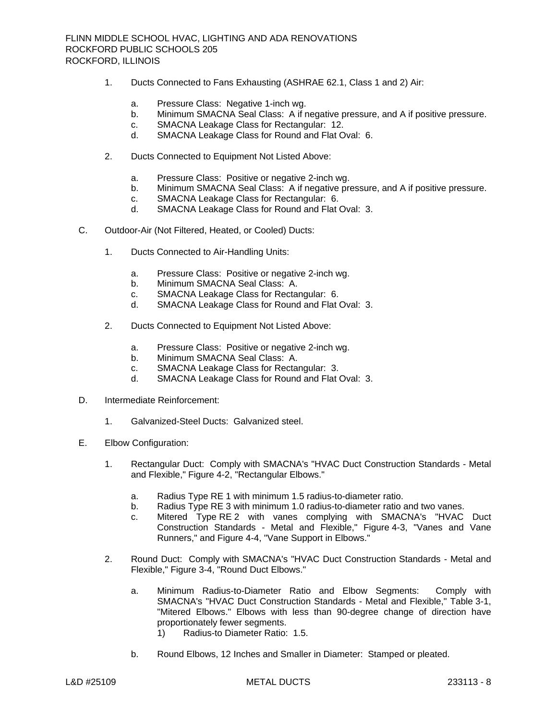- 1. Ducts Connected to Fans Exhausting (ASHRAE 62.1, Class 1 and 2) Air:
	- a. Pressure Class: Negative 1-inch wg.
	- b. Minimum SMACNA Seal Class: A if negative pressure, and A if positive pressure.
	- c. SMACNA Leakage Class for Rectangular: 12.
	- d. SMACNA Leakage Class for Round and Flat Oval: 6.
- 2. Ducts Connected to Equipment Not Listed Above:
	- a. Pressure Class: Positive or negative 2-inch wg.
	- b. Minimum SMACNA Seal Class: A if negative pressure, and A if positive pressure.
	- c. SMACNA Leakage Class for Rectangular: 6.
	- d. SMACNA Leakage Class for Round and Flat Oval: 3.
- C. Outdoor-Air (Not Filtered, Heated, or Cooled) Ducts:
	- 1. Ducts Connected to Air-Handling Units:
		- a. Pressure Class: Positive or negative 2-inch wg.
		- b. Minimum SMACNA Seal Class: A.
		- c. SMACNA Leakage Class for Rectangular: 6.
		- d. SMACNA Leakage Class for Round and Flat Oval: 3.
	- 2. Ducts Connected to Equipment Not Listed Above:
		- a. Pressure Class: Positive or negative 2-inch wg.
		- b. Minimum SMACNA Seal Class: A.
		- c. SMACNA Leakage Class for Rectangular: 3.
		- d. SMACNA Leakage Class for Round and Flat Oval: 3.
- D. Intermediate Reinforcement:
	- 1. Galvanized-Steel Ducts: Galvanized steel.
- E. Elbow Configuration:
	- 1. Rectangular Duct: Comply with SMACNA's "HVAC Duct Construction Standards Metal and Flexible," Figure 4-2, "Rectangular Elbows."
		- a. Radius Type RE 1 with minimum 1.5 radius-to-diameter ratio.
		- b. Radius Type RE 3 with minimum 1.0 radius-to-diameter ratio and two vanes.
		- c. Mitered Type RE 2 with vanes complying with SMACNA's "HVAC Duct Construction Standards - Metal and Flexible," Figure 4-3, "Vanes and Vane Runners," and Figure 4-4, "Vane Support in Elbows."
	- 2. Round Duct: Comply with SMACNA's "HVAC Duct Construction Standards Metal and Flexible," Figure 3-4, "Round Duct Elbows."
		- a. Minimum Radius-to-Diameter Ratio and Elbow Segments: Comply with SMACNA's "HVAC Duct Construction Standards - Metal and Flexible," Table 3-1, "Mitered Elbows." Elbows with less than 90-degree change of direction have proportionately fewer segments.
			- 1) Radius-to Diameter Ratio: 1.5.
		- b. Round Elbows, 12 Inches and Smaller in Diameter: Stamped or pleated.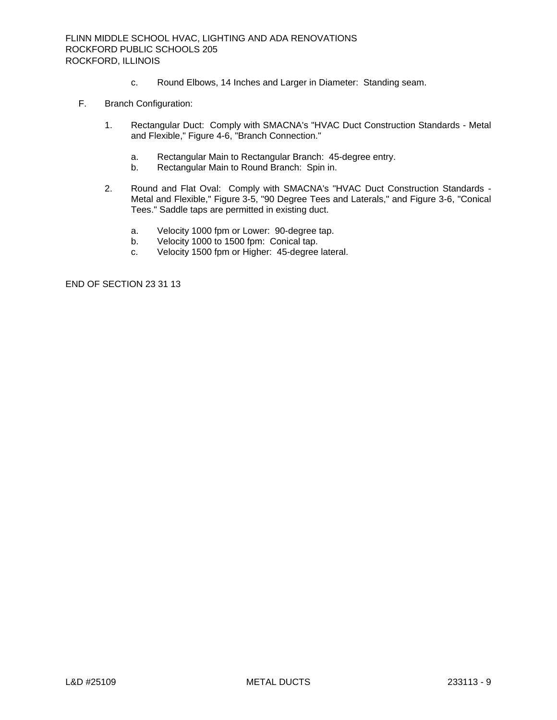- c. Round Elbows, 14 Inches and Larger in Diameter: Standing seam.
- F. Branch Configuration:
	- 1. Rectangular Duct: Comply with SMACNA's "HVAC Duct Construction Standards Metal and Flexible," Figure 4-6, "Branch Connection."
		- a. Rectangular Main to Rectangular Branch: 45-degree entry.
		- b. Rectangular Main to Round Branch: Spin in.
	- 2. Round and Flat Oval: Comply with SMACNA's "HVAC Duct Construction Standards Metal and Flexible," Figure 3-5, "90 Degree Tees and Laterals," and Figure 3-6, "Conical Tees." Saddle taps are permitted in existing duct.
		- a. Velocity 1000 fpm or Lower: 90-degree tap.
		- b. Velocity 1000 to 1500 fpm: Conical tap.
		- c. Velocity 1500 fpm or Higher: 45-degree lateral.

END OF SECTION 23 31 13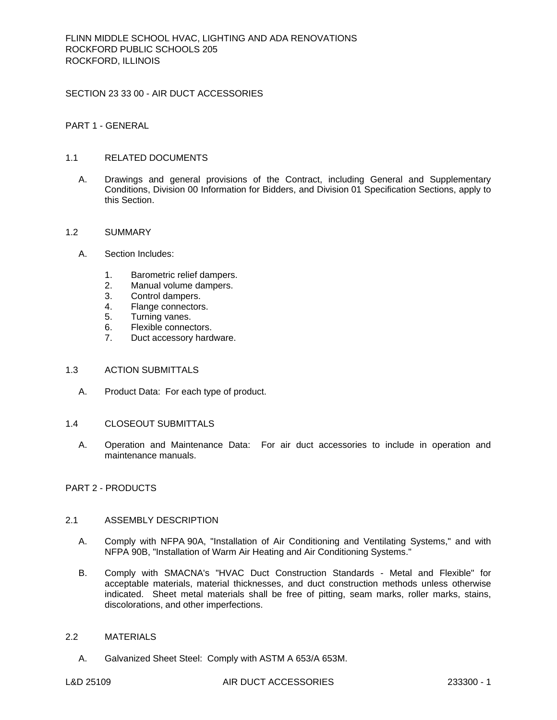SECTION 23 33 00 - AIR DUCT ACCESSORIES

PART 1 - GENERAL

# 1.1 RELATED DOCUMENTS

A. Drawings and general provisions of the Contract, including General and Supplementary Conditions, Division 00 Information for Bidders, and Division 01 Specification Sections, apply to this Section.

#### 1.2 SUMMARY

- A. Section Includes:
	- 1. Barometric relief dampers.
	- 2. Manual volume dampers.
	- 3. Control dampers.
	- 4. Flange connectors.
	- 5. Turning vanes.
	- 6. Flexible connectors.
	- 7. Duct accessory hardware.

### 1.3 ACTION SUBMITTALS

- A. Product Data: For each type of product.
- 1.4 CLOSEOUT SUBMITTALS
	- A. Operation and Maintenance Data: For air duct accessories to include in operation and maintenance manuals.

# PART 2 - PRODUCTS

### 2.1 ASSEMBLY DESCRIPTION

- A. Comply with NFPA 90A, "Installation of Air Conditioning and Ventilating Systems," and with NFPA 90B, "Installation of Warm Air Heating and Air Conditioning Systems."
- B. Comply with SMACNA's "HVAC Duct Construction Standards Metal and Flexible" for acceptable materials, material thicknesses, and duct construction methods unless otherwise indicated. Sheet metal materials shall be free of pitting, seam marks, roller marks, stains, discolorations, and other imperfections.

# 2.2 MATERIALS

A. Galvanized Sheet Steel: Comply with ASTM A 653/A 653M.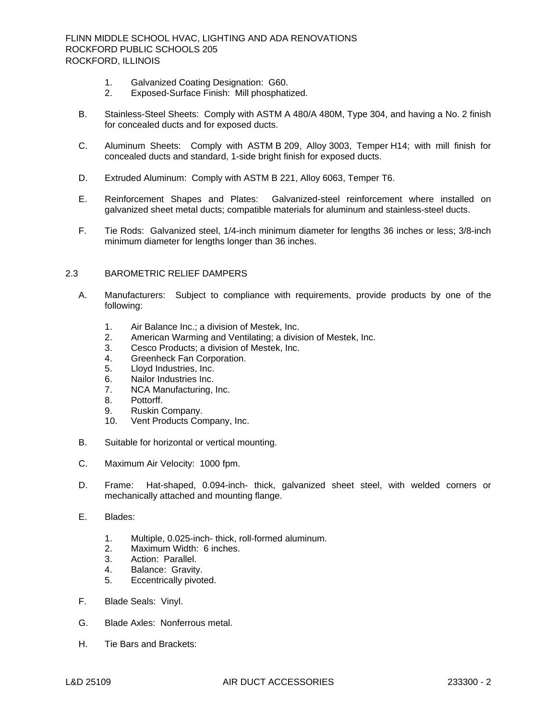- 1. Galvanized Coating Designation: G60.
- 2. Exposed-Surface Finish: Mill phosphatized.
- B. Stainless-Steel Sheets: Comply with ASTM A 480/A 480M, Type 304, and having a No. 2 finish for concealed ducts and for exposed ducts.
- C. Aluminum Sheets: Comply with ASTM B 209, Alloy 3003, Temper H14; with mill finish for concealed ducts and standard, 1-side bright finish for exposed ducts.
- D. Extruded Aluminum: Comply with ASTM B 221, Alloy 6063, Temper T6.
- E. Reinforcement Shapes and Plates: Galvanized-steel reinforcement where installed on galvanized sheet metal ducts; compatible materials for aluminum and stainless-steel ducts.
- F. Tie Rods: Galvanized steel, 1/4-inch minimum diameter for lengths 36 inches or less; 3/8-inch minimum diameter for lengths longer than 36 inches.

#### 2.3 BAROMETRIC RELIEF DAMPERS

- A. Manufacturers: Subject to compliance with requirements, provide products by one of the following:
	- 1. [Air Balance Inc.; a division of Mestek, Inc.](http://www.specagent.com/LookUp/?uid=123456821233&mf=04&src=wd)
	- 2. [American Warming and Ventilating; a division of Mestek, Inc.](http://www.specagent.com/LookUp/?uid=123456821237&mf=04&src=wd)
	- 3. [Cesco Products; a division of Mestek, Inc.](http://www.specagent.com/LookUp/?uid=123456821239&mf=04&src=wd)
	- 4. [Greenheck Fan Corporation.](http://www.specagent.com/LookUp/?uid=123456812700&mf=04&src=wd)
	- 5. [Lloyd Industries, Inc.](http://www.specagent.com/LookUp/?uid=123456812701&mf=04&src=wd)
	- 6. [Nailor Industries Inc.](http://www.specagent.com/LookUp/?uid=123456812702&mf=04&src=wd)
	- 7. [NCA Manufacturing, Inc.](http://www.specagent.com/LookUp/?uid=123456812703&mf=04&src=wd)
	- 8. [Pottorff.](http://www.specagent.com/LookUp/?uid=123456812704&mf=04&src=wd)
	- 9. [Ruskin Company.](http://www.specagent.com/LookUp/?uid=123456812705&mf=04&src=wd)
	- 10. [Vent Products Company, Inc.](http://www.specagent.com/LookUp/?uid=123456812706&mf=04&src=wd)
- B. Suitable for horizontal or vertical mounting.
- C. Maximum Air Velocity: 1000 fpm.
- D. Frame: Hat-shaped, 0.094-inch- thick, galvanized sheet steel, with welded corners or mechanically attached and mounting flange.
- E. Blades:
	- 1. Multiple, 0.025-inch- thick, roll-formed aluminum.
	- 2. Maximum Width: 6 inches.
	- 3. Action: Parallel.
	- 4. Balance: Gravity.<br>5. Eccentrically pivot
	- Eccentrically pivoted.
- F. Blade Seals: Vinyl.
- G. Blade Axles: Nonferrous metal.
- H. Tie Bars and Brackets: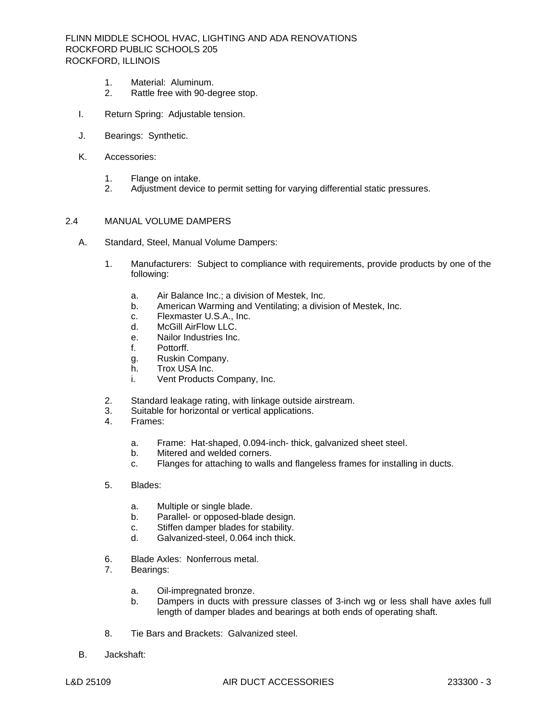- 1. Material: Aluminum.
- 2. Rattle free with 90-degree stop.
- I. Return Spring: Adjustable tension.
- J. Bearings: Synthetic.
- K. Accessories:
	- 1. Flange on intake.
	- 2. Adjustment device to permit setting for varying differential static pressures.

#### 2.4 MANUAL VOLUME DAMPERS

- A. Standard, Steel, Manual Volume Dampers:
	- 1. Manufacturers: Subject to compliance with requirements, provide products by one of the following:
		- a. [Air Balance Inc.; a division of Mestek, Inc.](http://www.specagent.com/LookUp/?uid=123456821240&mf=04&src=wd)
		- b. [American Warming and Ventilating; a division of Mestek, Inc.](http://www.specagent.com/LookUp/?uid=123456821244&mf=04&src=wd)
		- c. [Flexmaster U.S.A., Inc.](http://www.specagent.com/LookUp/?uid=123456812707&mf=04&src=wd)
		- d. [McGill AirFlow LLC.](http://www.specagent.com/LookUp/?uid=123456812708&mf=04&src=wd)
		- e. [Nailor Industries Inc.](http://www.specagent.com/LookUp/?uid=123456812709&mf=04&src=wd)
		- f. [Pottorff.](http://www.specagent.com/LookUp/?uid=123456812710&mf=04&src=wd)
		- g. [Ruskin Company.](http://www.specagent.com/LookUp/?uid=123456812711&mf=04&src=wd)
		- h. [Trox USA Inc.](http://www.specagent.com/LookUp/?uid=123456812712&mf=04&src=wd)
		- i. [Vent Products Company, Inc.](http://www.specagent.com/LookUp/?uid=123456812713&mf=04&src=wd)
	- 2. Standard leakage rating, with linkage outside airstream.
	- 3. Suitable for horizontal or vertical applications.
	- 4. Frames:
		- a. Frame: Hat-shaped, 0.094-inch- thick, galvanized sheet steel.
		- b. Mitered and welded corners.
		- c. Flanges for attaching to walls and flangeless frames for installing in ducts.
	- 5. Blades:
		- a. Multiple or single blade.
		- b. Parallel- or opposed-blade design.
		- c. Stiffen damper blades for stability.
		- d. Galvanized-steel, 0.064 inch thick.
	- 6. Blade Axles: Nonferrous metal.
	- 7. Bearings:
		- a. Oil-impregnated bronze.
		- b. Dampers in ducts with pressure classes of 3-inch wg or less shall have axles full length of damper blades and bearings at both ends of operating shaft.
	- 8. Tie Bars and Brackets: Galvanized steel.
- B. Jackshaft: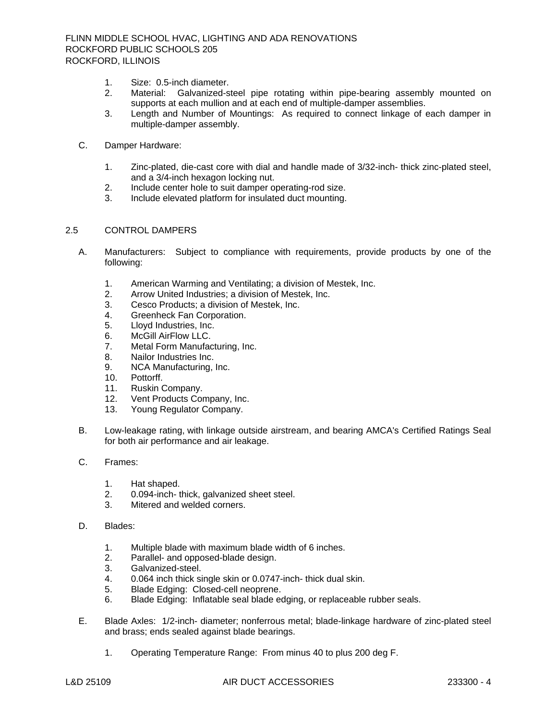- 1. Size: 0.5-inch diameter.
- 2. Material: Galvanized-steel pipe rotating within pipe-bearing assembly mounted on supports at each mullion and at each end of multiple-damper assemblies.
- 3. Length and Number of Mountings: As required to connect linkage of each damper in multiple-damper assembly.
- C. Damper Hardware:
	- 1. Zinc-plated, die-cast core with dial and handle made of 3/32-inch- thick zinc-plated steel, and a 3/4-inch hexagon locking nut.
	- 2. Include center hole to suit damper operating-rod size.
	- 3. Include elevated platform for insulated duct mounting.

#### 2.5 CONTROL DAMPERS

- A. Manufacturers: Subject to compliance with requirements, provide products by one of the following:
	- 1. [American Warming and Ventilating; a division of Mestek, Inc.](http://www.specagent.com/LookUp/?uid=123456821259&mf=04&src=wd)
	- 2. [Arrow United Industries; a division of Mestek, Inc.](http://www.specagent.com/LookUp/?uid=123456821262&mf=04&src=wd)
	- 3. [Cesco Products; a division of Mestek, Inc.](http://www.specagent.com/LookUp/?uid=123456821264&mf=04&src=wd)
	- 4. [Greenheck Fan Corporation.](http://www.specagent.com/LookUp/?uid=123456812733&mf=04&src=wd)
	- 5. [Lloyd Industries, Inc.](http://www.specagent.com/LookUp/?uid=123456812734&mf=04&src=wd)
	- 6. [McGill AirFlow LLC.](http://www.specagent.com/LookUp/?uid=123456812735&mf=04&src=wd)
	- 7. [Metal Form Manufacturing, Inc.](http://www.specagent.com/LookUp/?uid=123456812736&mf=04&src=wd)
	- 8. [Nailor Industries Inc.](http://www.specagent.com/LookUp/?uid=123456812737&mf=04&src=wd)
	- 9. [NCA Manufacturing, Inc.](http://www.specagent.com/LookUp/?uid=123456812738&mf=04&src=wd)
	- 10. [Pottorff.](http://www.specagent.com/LookUp/?uid=123456812739&mf=04&src=wd)
	- 11. [Ruskin Company.](http://www.specagent.com/LookUp/?uid=123456812740&mf=04&src=wd)
	- 12. [Vent Products Company, Inc.](http://www.specagent.com/LookUp/?uid=123456812741&mf=04&src=wd)
	- 13. [Young Regulator Company.](http://www.specagent.com/LookUp/?uid=123456812742&mf=04&src=wd)
- B. Low-leakage rating, with linkage outside airstream, and bearing AMCA's Certified Ratings Seal for both air performance and air leakage.
- C. Frames:
	- 1. Hat shaped.
	- 2. 0.094-inch- thick, galvanized sheet steel.<br>3. Mitered and welded corners.
	- Mitered and welded corners.
- D. Blades:
	- 1. Multiple blade with maximum blade width of 6 inches.
	- 2. Parallel- and opposed-blade design.
	- 3. Galvanized-steel.
	- 4. 0.064 inch thick single skin or 0.0747-inch- thick dual skin.
	- 5. Blade Edging: Closed-cell neoprene.
	- 6. Blade Edging: Inflatable seal blade edging, or replaceable rubber seals.
- E. Blade Axles: 1/2-inch- diameter; nonferrous metal; blade-linkage hardware of zinc-plated steel and brass; ends sealed against blade bearings.
	- 1. Operating Temperature Range: From minus 40 to plus 200 deg F.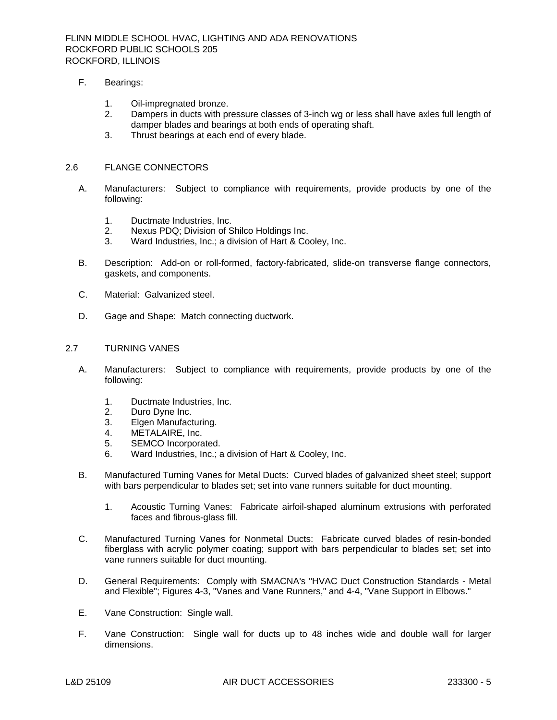FLINN MIDDLE SCHOOL HVAC, LIGHTING AND ADA RENOVATIONS ROCKFORD PUBLIC SCHOOLS 205 ROCKFORD, ILLINOIS

- F. Bearings:
	- 1. Oil-impregnated bronze.
	- 2. Dampers in ducts with pressure classes of 3-inch wg or less shall have axles full length of damper blades and bearings at both ends of operating shaft.
	- 3. Thrust bearings at each end of every blade.

### 2.6 FLANGE CONNECTORS

- A. Manufacturers: Subject to compliance with requirements, provide products by one of the following:
	- 1. [Ductmate Industries, Inc.](http://www.specagent.com/LookUp/?uid=123456812763&mf=04&src=wd)
	- 2. [Nexus PDQ; Division of Shilco Holdings Inc.](http://www.specagent.com/LookUp/?uid=123456821309&mf=04&src=wd)
	- 3. [Ward Industries, Inc.; a division of Hart & Cooley, Inc.](http://www.specagent.com/LookUp/?uid=123456821313&mf=04&src=wd)
- B. Description: Add-on or roll-formed, factory-fabricated, slide-on transverse flange connectors, gaskets, and components.
- C. Material: Galvanized steel.
- D. Gage and Shape: Match connecting ductwork.

### 2.7 TURNING VANES

- A. Manufacturers: Subject to compliance with requirements, provide products by one of the following:
	- 1. [Ductmate Industries, Inc.](http://www.specagent.com/LookUp/?uid=123456812764&mf=04&src=wd)
	- 2. [Duro Dyne Inc.](http://www.specagent.com/LookUp/?uid=123456812765&mf=04&src=wd)
	- 3. [Elgen Manufacturing.](http://www.specagent.com/LookUp/?uid=123456826009&mf=04&src=wd)<br>4. METALAIRE, Inc.
	- [METALAIRE, Inc.](http://www.specagent.com/LookUp/?uid=123456812766&mf=04&src=wd)
	- 5. [SEMCO Incorporated.](http://www.specagent.com/LookUp/?uid=123456812767&mf=04&src=wd)
	- 6. [Ward Industries, Inc.; a division of Hart & Cooley, Inc.](http://www.specagent.com/LookUp/?uid=123456821331&mf=04&src=wd)
- B. Manufactured Turning Vanes for Metal Ducts: Curved blades of galvanized sheet steel; support with bars perpendicular to blades set; set into vane runners suitable for duct mounting.
	- 1. Acoustic Turning Vanes: Fabricate airfoil-shaped aluminum extrusions with perforated faces and fibrous-glass fill.
- C. Manufactured Turning Vanes for Nonmetal Ducts: Fabricate curved blades of resin-bonded fiberglass with acrylic polymer coating; support with bars perpendicular to blades set; set into vane runners suitable for duct mounting.
- D. General Requirements: Comply with SMACNA's "HVAC Duct Construction Standards Metal and Flexible"; Figures 4-3, "Vanes and Vane Runners," and 4-4, "Vane Support in Elbows."
- E. Vane Construction: Single wall.
- F. Vane Construction: Single wall for ducts up to 48 inches wide and double wall for larger dimensions.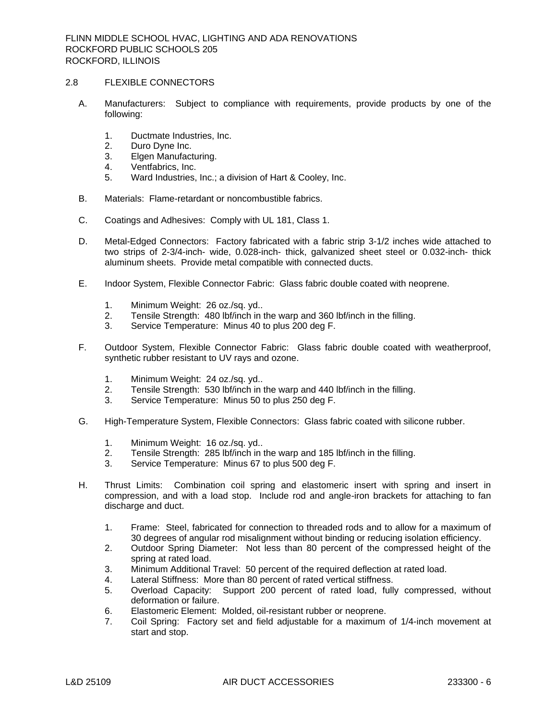### 2.8 FLEXIBLE CONNECTORS

- A. Manufacturers: Subject to compliance with requirements, provide products by one of the following:
	- 1. [Ductmate Industries, Inc.](http://www.specagent.com/LookUp/?uid=123456812781&mf=04&src=wd)
	- 2. [Duro Dyne Inc.](http://www.specagent.com/LookUp/?uid=123456812782&mf=04&src=wd)
	- 3. [Elgen Manufacturing.](http://www.specagent.com/LookUp/?uid=123456826011&mf=04&src=wd)
	- 4. [Ventfabrics, Inc.](http://www.specagent.com/LookUp/?uid=123456812783&mf=04&src=wd)
	- 5. [Ward Industries, Inc.; a division of Hart & Cooley, Inc.](http://www.specagent.com/LookUp/?uid=123456821343&mf=04&src=wd)
- B. Materials: Flame-retardant or noncombustible fabrics.
- C. Coatings and Adhesives: Comply with UL 181, Class 1.
- D. Metal-Edged Connectors: Factory fabricated with a fabric strip 3-1/2 inches wide attached to two strips of 2-3/4-inch- wide, 0.028-inch- thick, galvanized sheet steel or 0.032-inch- thick aluminum sheets. Provide metal compatible with connected ducts.
- E. Indoor System, Flexible Connector Fabric: Glass fabric double coated with neoprene.
	- 1. Minimum Weight: 26 oz./sq. yd..
	- 2. Tensile Strength: 480 lbf/inch in the warp and 360 lbf/inch in the filling.<br>3. Service Temperature: Minus 40 to plus 200 deg F.
	- Service Temperature: Minus 40 to plus 200 deg F.
- F. Outdoor System, Flexible Connector Fabric: Glass fabric double coated with weatherproof, synthetic rubber resistant to UV rays and ozone.
	- 1. Minimum Weight: 24 oz./sq. yd..<br>2. Tensile Strenath: 530 lbf/inch in t
	- Tensile Strength: 530 lbf/inch in the warp and 440 lbf/inch in the filling.
	- 3. Service Temperature: Minus 50 to plus 250 deg F.
- G. High-Temperature System, Flexible Connectors: Glass fabric coated with silicone rubber.
	- 1. Minimum Weight: 16 oz./sq. yd..
	- 2. Tensile Strength: 285 lbf/inch in the warp and 185 lbf/inch in the filling.
	- 3. Service Temperature: Minus 67 to plus 500 deg F.
- H. Thrust Limits: Combination coil spring and elastomeric insert with spring and insert in compression, and with a load stop. Include rod and angle-iron brackets for attaching to fan discharge and duct.
	- 1. Frame: Steel, fabricated for connection to threaded rods and to allow for a maximum of 30 degrees of angular rod misalignment without binding or reducing isolation efficiency.
	- 2. Outdoor Spring Diameter: Not less than 80 percent of the compressed height of the spring at rated load.
	- 3. Minimum Additional Travel: 50 percent of the required deflection at rated load.
	- 4. Lateral Stiffness: More than 80 percent of rated vertical stiffness.
	- 5. Overload Capacity: Support 200 percent of rated load, fully compressed, without deformation or failure.
	- 6. Elastomeric Element: Molded, oil-resistant rubber or neoprene.
	- 7. Coil Spring: Factory set and field adjustable for a maximum of 1/4-inch movement at start and stop.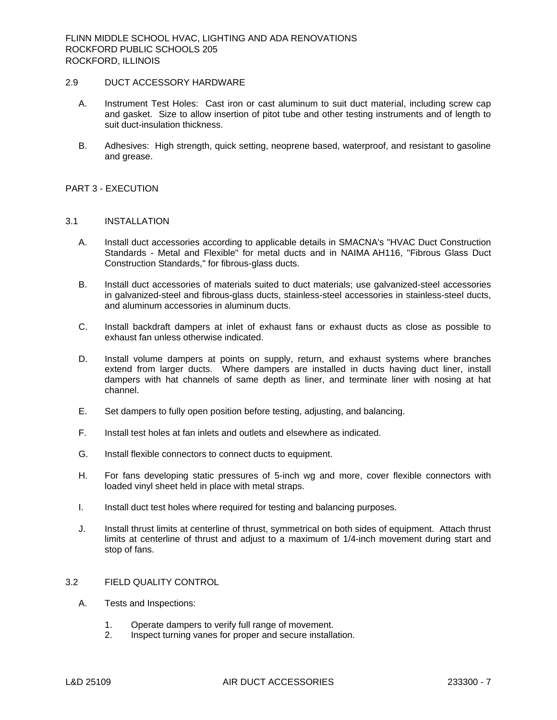## 2.9 DUCT ACCESSORY HARDWARE

- A. Instrument Test Holes: Cast iron or cast aluminum to suit duct material, including screw cap and gasket. Size to allow insertion of pitot tube and other testing instruments and of length to suit duct-insulation thickness.
- B. Adhesives: High strength, quick setting, neoprene based, waterproof, and resistant to gasoline and grease.

### PART 3 - EXECUTION

#### 3.1 INSTALLATION

- A. Install duct accessories according to applicable details in SMACNA's "HVAC Duct Construction Standards - Metal and Flexible" for metal ducts and in NAIMA AH116, "Fibrous Glass Duct Construction Standards," for fibrous-glass ducts.
- B. Install duct accessories of materials suited to duct materials; use galvanized-steel accessories in galvanized-steel and fibrous-glass ducts, stainless-steel accessories in stainless-steel ducts, and aluminum accessories in aluminum ducts.
- C. Install backdraft dampers at inlet of exhaust fans or exhaust ducts as close as possible to exhaust fan unless otherwise indicated.
- D. Install volume dampers at points on supply, return, and exhaust systems where branches extend from larger ducts. Where dampers are installed in ducts having duct liner, install dampers with hat channels of same depth as liner, and terminate liner with nosing at hat channel.
- E. Set dampers to fully open position before testing, adjusting, and balancing.
- F. Install test holes at fan inlets and outlets and elsewhere as indicated.
- G. Install flexible connectors to connect ducts to equipment.
- H. For fans developing static pressures of 5-inch wg and more, cover flexible connectors with loaded vinyl sheet held in place with metal straps.
- I. Install duct test holes where required for testing and balancing purposes.
- J. Install thrust limits at centerline of thrust, symmetrical on both sides of equipment. Attach thrust limits at centerline of thrust and adjust to a maximum of 1/4-inch movement during start and stop of fans.

# 3.2 FIELD QUALITY CONTROL

- A. Tests and Inspections:
	- 1. Operate dampers to verify full range of movement.<br>2. Inspect turning vanes for proper and secure installa
	- Inspect turning vanes for proper and secure installation.